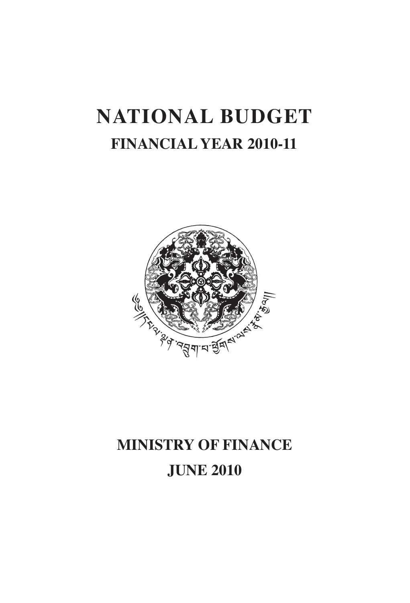# **National Budget Financial Year 2010-11**



# **Ministry of Finance JuNE 2010**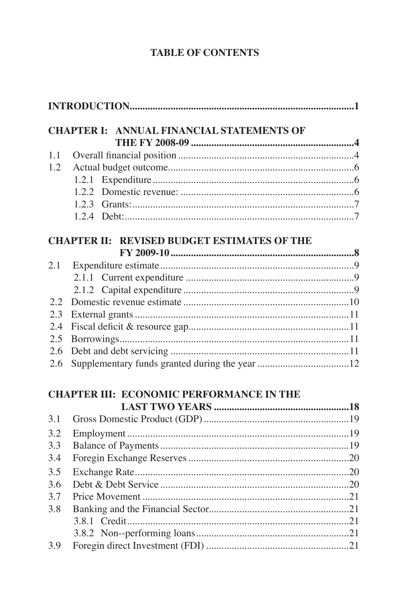# **TABLE OF CONTENTS**

|            | <b>CHAPTER I: ANNUAL FINANCIAL STATEMENTS OF</b>   |  |
|------------|----------------------------------------------------|--|
|            |                                                    |  |
| 1.1        |                                                    |  |
| 1.2        |                                                    |  |
|            |                                                    |  |
|            |                                                    |  |
|            |                                                    |  |
|            |                                                    |  |
|            | <b>CHAPTER II: REVISED BUDGET ESTIMATES OF THE</b> |  |
|            |                                                    |  |
| 2.1        |                                                    |  |
|            |                                                    |  |
|            |                                                    |  |
| 2.2        |                                                    |  |
| 2.3        |                                                    |  |
| 2.4<br>2.5 |                                                    |  |
| 2.6        |                                                    |  |
| 2.6        |                                                    |  |
|            |                                                    |  |
|            | <b>CHAPTER III: ECONOMIC PERFORMANCE IN THE</b>    |  |
| 3.1        |                                                    |  |
| 3.2        |                                                    |  |
| 3.3        |                                                    |  |
| 3.4        |                                                    |  |
| 3.5        |                                                    |  |
| 3.6        |                                                    |  |
| 3.7        |                                                    |  |
| 3.8        |                                                    |  |
|            |                                                    |  |
|            |                                                    |  |
| 3.9        |                                                    |  |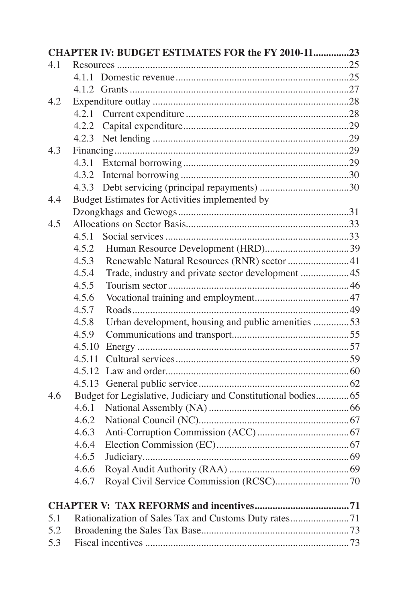|     |        | CHAPTER IV: BUDGET ESTIMATES FOR the FY 2010-1123              |  |
|-----|--------|----------------------------------------------------------------|--|
| 4.1 |        |                                                                |  |
|     |        |                                                                |  |
|     |        |                                                                |  |
| 4.2 |        |                                                                |  |
|     |        |                                                                |  |
|     |        |                                                                |  |
|     |        |                                                                |  |
| 4.3 |        |                                                                |  |
|     |        |                                                                |  |
|     |        |                                                                |  |
|     |        |                                                                |  |
| 4.4 |        | Budget Estimates for Activities implemented by                 |  |
|     |        |                                                                |  |
| 4.5 |        |                                                                |  |
|     | 4.5.1  |                                                                |  |
|     | 4.5.2  |                                                                |  |
|     | 4.5.3  | Renewable Natural Resources (RNR) sector 41                    |  |
|     | 4.5.4  |                                                                |  |
|     | 4.5.5  |                                                                |  |
|     | 4.5.6  |                                                                |  |
|     | 4.5.7  |                                                                |  |
|     | 4.5.8  | Urban development, housing and public amenities 53             |  |
|     | 4.5.9  |                                                                |  |
|     | 4.5.10 |                                                                |  |
|     | 4.5.11 |                                                                |  |
|     |        |                                                                |  |
|     |        |                                                                |  |
| 4.6 |        | Budget for Legislative, Judiciary and Constitutional bodies 65 |  |
|     | 4.6.1  |                                                                |  |
|     | 4.6.2  |                                                                |  |
|     | 4.6.3  |                                                                |  |
|     | 4.6.4  |                                                                |  |
|     | 4.6.5  |                                                                |  |
|     | 4.6.6  |                                                                |  |
|     | 4.6.7  |                                                                |  |
|     |        |                                                                |  |
| 5.1 |        |                                                                |  |
| 5.2 |        |                                                                |  |
| 5.3 |        |                                                                |  |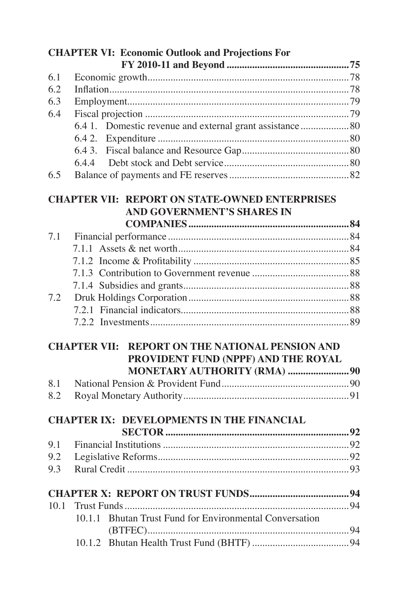|      | <b>CHAPTER VI: Economic Outlook and Projections For</b>                                       |  |
|------|-----------------------------------------------------------------------------------------------|--|
|      |                                                                                               |  |
| 6.1  |                                                                                               |  |
| 6.2  |                                                                                               |  |
| 6.3  |                                                                                               |  |
| 6.4  |                                                                                               |  |
|      | 6.4 1. Domestic revenue and external grant assistance  80                                     |  |
|      |                                                                                               |  |
|      |                                                                                               |  |
|      |                                                                                               |  |
| 6.5  |                                                                                               |  |
|      | <b>CHAPTER VII: REPORT ON STATE-OWNED ENTERPRISES</b><br>AND GOVERNMENT'S SHARES IN           |  |
|      |                                                                                               |  |
| 7.1  |                                                                                               |  |
|      |                                                                                               |  |
|      |                                                                                               |  |
|      |                                                                                               |  |
|      |                                                                                               |  |
| 7.2  |                                                                                               |  |
|      |                                                                                               |  |
|      |                                                                                               |  |
|      | <b>CHAPTER VII: REPORT ON THE NATIONAL PENSION AND</b><br>PROVIDENT FUND (NPPF) AND THE ROYAL |  |
|      | MONETARY AUTHORITY (RMA) 90                                                                   |  |
| 8.1  |                                                                                               |  |
| 8.2  |                                                                                               |  |
|      |                                                                                               |  |
|      | <b>CHAPTER IX: DEVELOPMENTS IN THE FINANCIAL</b>                                              |  |
| 9.1  |                                                                                               |  |
| 9.2  |                                                                                               |  |
| 9.3  |                                                                                               |  |
|      |                                                                                               |  |
|      |                                                                                               |  |
| 10.1 |                                                                                               |  |
|      | Bhutan Trust Fund for Environmental Conversation<br>10.1.1                                    |  |
|      |                                                                                               |  |
|      |                                                                                               |  |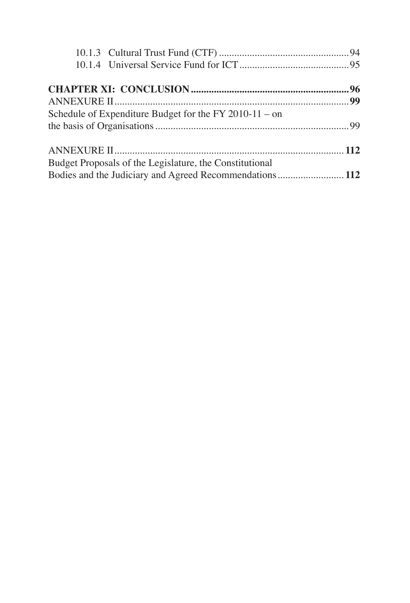| Schedule of Expenditure Budget for the FY 2010-11 – on  |  |
|---------------------------------------------------------|--|
|                                                         |  |
|                                                         |  |
| Budget Proposals of the Legislature, the Constitutional |  |
|                                                         |  |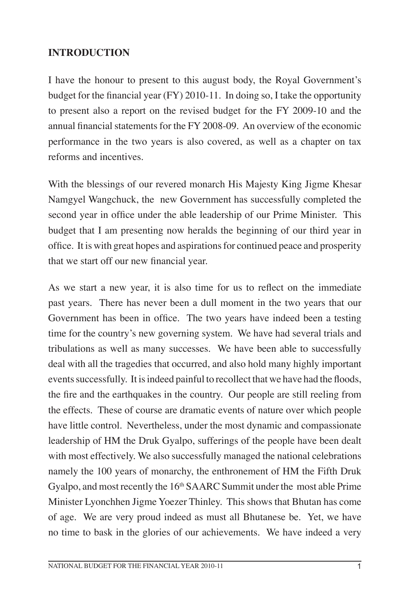#### **INTRODUCTION**

I have the honour to present to this august body, the Royal Government's budget for the financial year (FY) 2010-11. In doing so, I take the opportunity to present also a report on the revised budget for the FY 2009-10 and the annual financial statements for the FY 2008-09. An overview of the economic performance in the two years is also covered, as well as a chapter on tax reforms and incentives.

With the blessings of our revered monarch His Majesty King Jigme Khesar Namgyel Wangchuck, the new Government has successfully completed the second year in office under the able leadership of our Prime Minister. This budget that I am presenting now heralds the beginning of our third year in office. It is with great hopes and aspirations for continued peace and prosperity that we start off our new financial year.

As we start a new year, it is also time for us to reflect on the immediate past years. There has never been a dull moment in the two years that our Government has been in office. The two years have indeed been a testing time for the country's new governing system. We have had several trials and tribulations as well as many successes. We have been able to successfully deal with all the tragedies that occurred, and also hold many highly important events successfully. It is indeed painful to recollect that we have had the floods, the fire and the earthquakes in the country. Our people are still reeling from the effects. These of course are dramatic events of nature over which people have little control. Nevertheless, under the most dynamic and compassionate leadership of HM the Druk Gyalpo, sufferings of the people have been dealt with most effectively. We also successfully managed the national celebrations namely the 100 years of monarchy, the enthronement of HM the Fifth Druk Gyalpo, and most recently the 16<sup>th</sup> SAARC Summit under the most able Prime Minister Lyonchhen Jigme Yoezer Thinley. This shows that Bhutan has come of age. We are very proud indeed as must all Bhutanese be. Yet, we have no time to bask in the glories of our achievements. We have indeed a very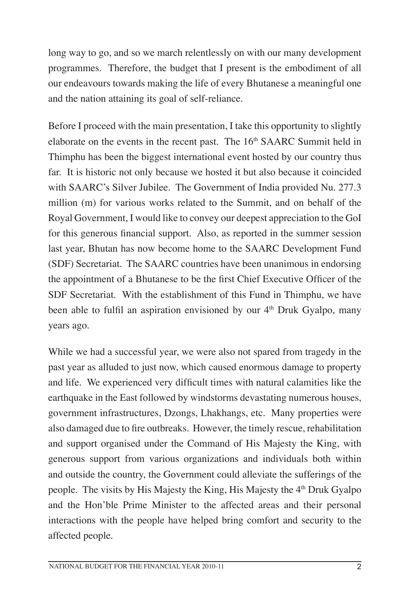long way to go, and so we march relentlessly on with our many development programmes. Therefore, the budget that I present is the embodiment of all our endeavours towards making the life of every Bhutanese a meaningful one and the nation attaining its goal of self-reliance.

Before I proceed with the main presentation, I take this opportunity to slightly elaborate on the events in the recent past. The 16<sup>th</sup> SAARC Summit held in Thimphu has been the biggest international event hosted by our country thus far. It is historic not only because we hosted it but also because it coincided with SAARC's Silver Jubilee. The Government of India provided Nu. 277.3 million (m) for various works related to the Summit, and on behalf of the Royal Government, I would like to convey our deepest appreciation to the GoI for this generous financial support. Also, as reported in the summer session last year, Bhutan has now become home to the SAARC Development Fund (SDF) Secretariat. The SAARC countries have been unanimous in endorsing the appointment of a Bhutanese to be the first Chief Executive Officer of the SDF Secretariat. With the establishment of this Fund in Thimphu, we have been able to fulfil an aspiration envisioned by our  $4<sup>th</sup>$  Druk Gyalpo, many years ago.

While we had a successful year, we were also not spared from tragedy in the past year as alluded to just now, which caused enormous damage to property and life. We experienced very difficult times with natural calamities like the earthquake in the East followed by windstorms devastating numerous houses, government infrastructures, Dzongs, Lhakhangs, etc. Many properties were also damaged due to fire outbreaks. However, the timely rescue, rehabilitation and support organised under the Command of His Majesty the King, with generous support from various organizations and individuals both within and outside the country, the Government could alleviate the sufferings of the people. The visits by His Majesty the King, His Majesty the 4<sup>th</sup> Druk Gyalpo and the Hon'ble Prime Minister to the affected areas and their personal interactions with the people have helped bring comfort and security to the affected people.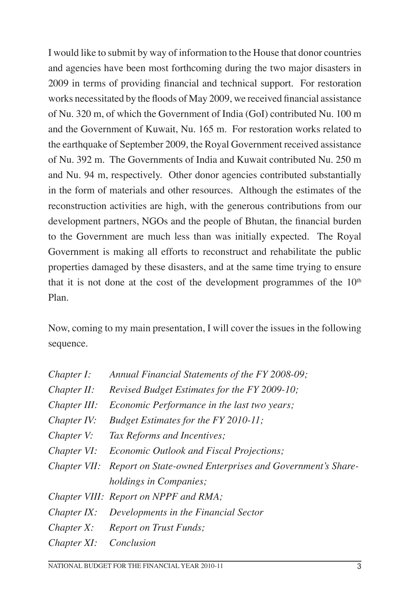I would like to submit by way of information to the House that donor countries and agencies have been most forthcoming during the two major disasters in 2009 in terms of providing financial and technical support. For restoration works necessitated by the floods of May 2009, we received financial assistance of Nu. 320 m, of which the Government of India (GoI) contributed Nu. 100 m and the Government of Kuwait, Nu. 165 m. For restoration works related to the earthquake of September 2009, the Royal Government received assistance of Nu. 392 m. The Governments of India and Kuwait contributed Nu. 250 m and Nu. 94 m, respectively. Other donor agencies contributed substantially in the form of materials and other resources. Although the estimates of the reconstruction activities are high, with the generous contributions from our development partners, NGOs and the people of Bhutan, the financial burden to the Government are much less than was initially expected. The Royal Government is making all efforts to reconstruct and rehabilitate the public properties damaged by these disasters, and at the same time trying to ensure that it is not done at the cost of the development programmes of the  $10<sup>th</sup>$ Plan.

Now, coming to my main presentation, I will cover the issues in the following sequence.

| Chapter I:   | Annual Financial Statements of the FY 2008-09;                         |
|--------------|------------------------------------------------------------------------|
| Chapter II:  | Revised Budget Estimates for the FY 2009-10;                           |
| Chapter III: | <i>Economic Performance in the last two years;</i>                     |
| Chapter IV:  | Budget Estimates for the FY 2010-11;                                   |
| Chapter V:   | Tax Reforms and Incentives;                                            |
| Chapter VI:  | <i>Economic Outlook and Fiscal Projections;</i>                        |
|              | Chapter VII: Report on State-owned Enterprises and Government's Share- |
|              | <i>holdings in Companies;</i>                                          |
|              | Chapter VIII: Report on NPPF and RMA;                                  |
| Chapter IX:  | Developments in the Financial Sector                                   |
|              | Chapter X: Report on Trust Funds;                                      |
| Chapter XI:  | Conclusion                                                             |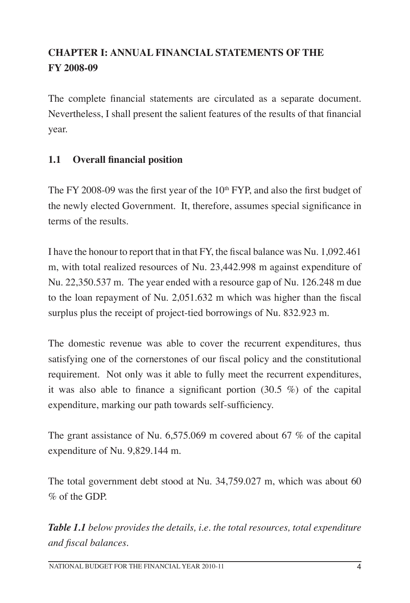# **CHAPTER I: ANNUAL FINANCIAL STATEMENTS OF THE FY 2008-09**

The complete financial statements are circulated as a separate document. Nevertheless, I shall present the salient features of the results of that financial year.

# **1.1 Overall financial position**

The FY 2008-09 was the first year of the  $10<sup>th</sup> FYP$ , and also the first budget of the newly elected Government. It, therefore, assumes special significance in terms of the results.

I have the honour to report that in that FY, the fiscal balance was Nu. 1,092.461 m, with total realized resources of Nu. 23,442.998 m against expenditure of Nu. 22,350.537 m. The year ended with a resource gap of Nu. 126.248 m due to the loan repayment of Nu. 2,051.632 m which was higher than the fiscal surplus plus the receipt of project-tied borrowings of Nu. 832.923 m.

The domestic revenue was able to cover the recurrent expenditures, thus satisfying one of the cornerstones of our fiscal policy and the constitutional requirement. Not only was it able to fully meet the recurrent expenditures, it was also able to finance a significant portion (30.5 %) of the capital expenditure, marking our path towards self-sufficiency.

The grant assistance of Nu. 6,575.069 m covered about 67 % of the capital expenditure of Nu. 9,829.144 m.

The total government debt stood at Nu. 34,759.027 m, which was about 60 % of the GDP.

*Table 1.1 below provides the details, i.e. the total resources, total expenditure and fiscal balances.*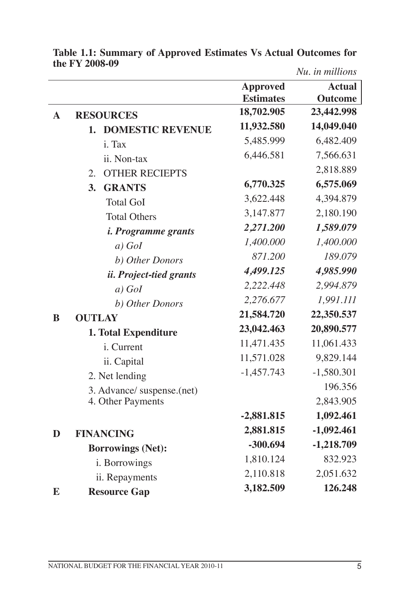|             |                                |                  | Nu. in millions |
|-------------|--------------------------------|------------------|-----------------|
|             |                                | <b>Approved</b>  | <b>Actual</b>   |
|             |                                | <b>Estimates</b> | <b>Outcome</b>  |
| $\mathbf A$ | <b>RESOURCES</b>               | 18,702.905       | 23,442.998      |
|             | <b>DOMESTIC REVENUE</b><br>1.  | 11,932.580       | 14,049.040      |
|             | i. Tax                         | 5,485.999        | 6,482.409       |
|             | ii. Non-tax                    | 6,446.581        | 7,566.631       |
|             | <b>OTHER RECIEPTS</b><br>2.    |                  | 2,818.889       |
|             | <b>GRANTS</b><br>3.            | 6,770.325        | 6,575.069       |
|             | <b>Total GoI</b>               | 3,622.448        | 4,394.879       |
|             | <b>Total Others</b>            | 3,147.877        | 2,180.190       |
|             | <i>i. Programme grants</i>     | 2,271.200        | 1,589.079       |
|             | $a)$ GoI                       | 1,400.000        | 1,400.000       |
|             | b) Other Donors                | 871.200          | 189.079         |
|             | <i>ii. Project-tied grants</i> | 4,499.125        | 4,985.990       |
|             | $a)$ GoI                       | 2,222.448        | 2,994.879       |
|             | b) Other Donors                | 2,276.677        | 1,991.111       |
| $\bf{B}$    | <b>OUTLAY</b>                  | 21,584.720       | 22,350.537      |
|             | 1. Total Expenditure           | 23,042.463       | 20,890.577      |
|             | i. Current                     | 11,471.435       | 11,061.433      |
|             | ii. Capital                    | 11,571.028       | 9,829.144       |
|             | 2. Net lending                 | $-1,457.743$     | $-1,580.301$    |
|             | 3. Advance/ suspense.(net)     |                  | 196.356         |
|             | 4. Other Payments              |                  | 2,843.905       |
|             |                                | $-2,881.815$     | 1,092.461       |
| D           | <b>FINANCING</b>               | 2,881.815        | $-1,092.461$    |
|             | <b>Borrowings (Net):</b>       | $-300.694$       | $-1,218.709$    |
|             | i. Borrowings                  | 1,810.124        | 832.923         |
|             | ii. Repayments                 | 2,110.818        | 2,051.632       |
| E           | <b>Resource Gap</b>            | 3,182.509        | 126.248         |

**Table 1.1: Summary of Approved Estimates Vs Actual Outcomes for the FY 2008-09** *Nu. in millions*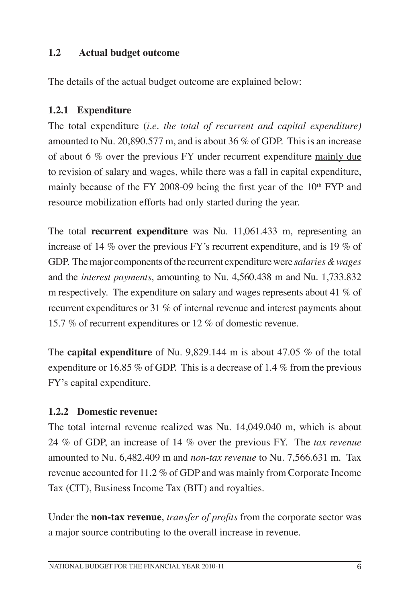# **1.2 Actual budget outcome**

The details of the actual budget outcome are explained below:

# **1.2.1 Expenditure**

The total expenditure (*i.e. the total of recurrent and capital expenditure)* amounted to Nu. 20,890.577 m, and is about 36 % of GDP. This is an increase of about 6 % over the previous FY under recurrent expenditure mainly due to revision of salary and wages, while there was a fall in capital expenditure, mainly because of the FY 2008-09 being the first year of the  $10<sup>th</sup> FYP$  and resource mobilization efforts had only started during the year.

The total **recurrent expenditure** was Nu. 11,061.433 m, representing an increase of 14 % over the previous FY's recurrent expenditure, and is 19 % of GDP. The major components of the recurrent expenditure were *salaries & wages* and the *interest payments*, amounting to Nu. 4,560.438 m and Nu. 1,733.832 m respectively. The expenditure on salary and wages represents about 41 % of recurrent expenditures or 31 % of internal revenue and interest payments about 15.7 % of recurrent expenditures or 12 % of domestic revenue.

The **capital expenditure** of Nu. 9,829.144 m is about 47.05 % of the total expenditure or 16.85 % of GDP. This is a decrease of 1.4 % from the previous FY's capital expenditure.

# **1.2.2 Domestic revenue:**

The total internal revenue realized was Nu. 14,049.040 m, which is about 24 % of GDP, an increase of 14 % over the previous FY. The *tax revenue* amounted to Nu. 6,482.409 m and *non-tax revenue* to Nu. 7,566.631 m. Tax revenue accounted for 11.2 % of GDP and was mainly from Corporate Income Tax (CIT), Business Income Tax (BIT) and royalties.

Under the **non-tax revenue**, *transfer of profits* from the corporate sector was a major source contributing to the overall increase in revenue.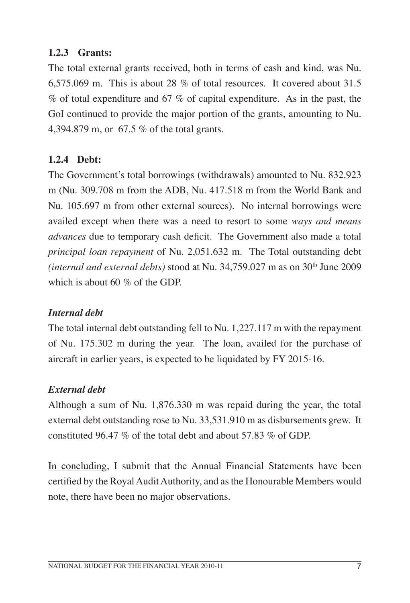# **1.2.3 Grants:**

The total external grants received, both in terms of cash and kind, was Nu. 6,575.069 m. This is about 28 % of total resources. It covered about 31.5  $%$  of total expenditure and 67  $%$  of capital expenditure. As in the past, the GoI continued to provide the major portion of the grants, amounting to Nu. 4,394.879 m, or 67.5 % of the total grants.

# **1.2.4 Debt:**

The Government's total borrowings (withdrawals) amounted to Nu. 832.923 m (Nu. 309.708 m from the ADB, Nu. 417.518 m from the World Bank and Nu. 105.697 m from other external sources). No internal borrowings were availed except when there was a need to resort to some *ways and means advances* due to temporary cash deficit. The Government also made a total *principal loan repayment* of Nu. 2,051.632 m. The Total outstanding debt *(internal and external debts)* stood at Nu. 34,759.027 m as on 30<sup>th</sup> June 2009 which is about 60 % of the GDP.

#### *Internal debt*

The total internal debt outstanding fell to Nu. 1,227.117 m with the repayment of Nu. 175.302 m during the year. The loan, availed for the purchase of aircraft in earlier years, is expected to be liquidated by FY 2015-16.

#### *External debt*

Although a sum of Nu. 1,876.330 m was repaid during the year, the total external debt outstanding rose to Nu. 33,531.910 m as disbursements grew. It constituted 96.47 % of the total debt and about 57.83 % of GDP.

In concluding, I submit that the Annual Financial Statements have been certified by the Royal Audit Authority, and as the Honourable Members would note, there have been no major observations.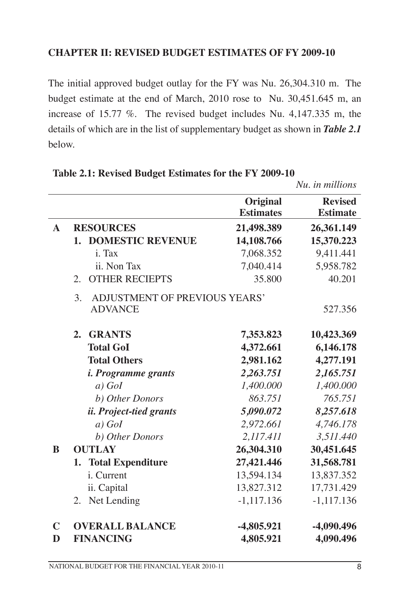#### **CHAPTER II: REVISED BUDGET ESTIMATES OF FY 2009-10**

The initial approved budget outlay for the FY was Nu. 26,304.310 m. The budget estimate at the end of March, 2010 rose to Nu. 30,451.645 m, an increase of 15.77 %. The revised budget includes Nu. 4,147.335 m, the details of which are in the list of supplementary budget as shown in *Table 2.1* below.

|              |                                     |                              | Nu. in millions                   |
|--------------|-------------------------------------|------------------------------|-----------------------------------|
|              |                                     | Original<br><b>Estimates</b> | <b>Revised</b><br><b>Estimate</b> |
| $\mathbf{A}$ | <b>RESOURCES</b>                    | 21,498.389                   | 26,361.149                        |
|              | <b>DOMESTIC REVENUE</b><br>1.       | 14,108.766                   | 15,370.223                        |
|              | i. Tax                              | 7,068.352                    | 9,411.441                         |
|              | ii. Non Tax                         | 7,040.414                    | 5,958.782                         |
|              | <b>OTHER RECIEPTS</b><br>2.         | 35.800                       | 40.201                            |
|              | ADJUSTMENT OF PREVIOUS YEARS'<br>3. |                              |                                   |
|              | <b>ADVANCE</b>                      |                              | 527.356                           |
|              | <b>GRANTS</b><br>2.                 | 7,353.823                    | 10,423.369                        |
|              | <b>Total GoI</b>                    | 4,372.661                    | 6,146.178                         |
|              | <b>Total Others</b>                 | 2,981.162                    | 4,277.191                         |
|              | <i>i. Programme grants</i>          | 2,263.751                    | 2,165.751                         |
|              | $a)$ GoI                            | 1,400.000                    | 1,400.000                         |
|              | b) Other Donors                     | 863.751                      | 765.751                           |
|              | ii. Project-tied grants             | 5,090.072                    | 8,257.618                         |
|              | $a)$ GoI                            | 2,972.661                    | 4,746.178                         |
|              | b) Other Donors                     | 2,117.411                    | 3,511.440                         |
| B            | <b>OUTLAY</b>                       | 26,304.310                   | 30,451.645                        |
|              | 1. Total Expenditure                | 27,421.446                   | 31,568.781                        |
|              | i. Current                          | 13,594.134                   | 13,837.352                        |
|              | ii. Capital                         | 13,827.312                   | 17,731.429                        |
|              | Net Lending<br>2.                   | $-1,117.136$                 | $-1,117.136$                      |
| $\mathbf C$  | <b>OVERALL BALANCE</b>              | -4,805.921                   | $-4,090.496$                      |
| D            | <b>FINANCING</b>                    | 4,805.921                    | 4,090.496                         |

#### **Table 2.1: Revised Budget Estimates for the FY 2009-10**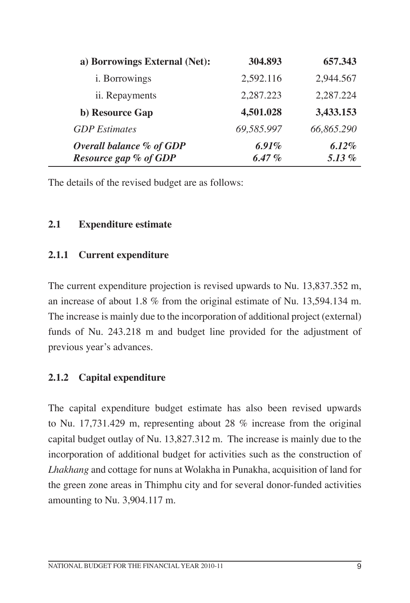| a) Borrowings External (Net):                     | 304.893           | 657.343              |
|---------------------------------------------------|-------------------|----------------------|
| <i>i</i> . Borrowings                             | 2,592.116         | 2,944.567            |
| ii. Repayments                                    | 2,287.223         | 2,287.224            |
| b) Resource Gap                                   | 4,501.028         | 3,433.153            |
| <b>GDP</b> Estimates                              | 69,585.997        | 66,865.290           |
| Overall balance % of GDP<br>Resource gap % of GDP | 6.91%<br>$6.47\%$ | $6.12\%$<br>5.13 $%$ |

The details of the revised budget are as follows:

# **2.1 Expenditure estimate**

#### **2.1.1 Current expenditure**

The current expenditure projection is revised upwards to Nu. 13,837.352 m, an increase of about 1.8 % from the original estimate of Nu. 13,594.134 m. The increase is mainly due to the incorporation of additional project (external) funds of Nu. 243.218 m and budget line provided for the adjustment of previous year's advances.

# **2.1.2 Capital expenditure**

The capital expenditure budget estimate has also been revised upwards to Nu. 17,731.429 m, representing about 28 % increase from the original capital budget outlay of Nu. 13,827.312 m. The increase is mainly due to the incorporation of additional budget for activities such as the construction of *Lhakhang* and cottage for nuns at Wolakha in Punakha, acquisition of land for the green zone areas in Thimphu city and for several donor-funded activities amounting to Nu. 3,904.117 m.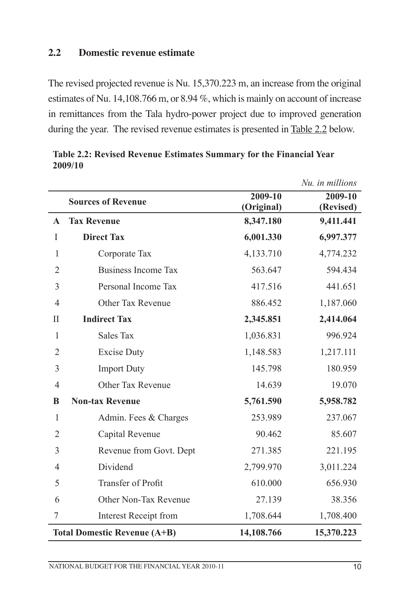#### **2.2 Domestic revenue estimate**

The revised projected revenue is Nu. 15,370.223 m, an increase from the original estimates of Nu. 14,108.766 m, or 8.94 %, which is mainly on account of increase in remittances from the Tala hydro-power project due to improved generation during the year. The revised revenue estimates is presented in Table 2.2 below.

|                |                                     |                       | Nu. in millions      |
|----------------|-------------------------------------|-----------------------|----------------------|
|                | <b>Sources of Revenue</b>           | 2009-10<br>(Original) | 2009-10<br>(Revised) |
| $\mathbf{A}$   | <b>Tax Revenue</b>                  | 8,347.180             | 9,411.441            |
| $\bf{I}$       | <b>Direct Tax</b>                   | 6,001.330             | 6,997.377            |
|                |                                     |                       |                      |
| $\mathbf{1}$   | Corporate Tax                       | 4,133.710             | 4,774.232            |
| $\overline{2}$ | <b>Business Income Tax</b>          | 563.647               | 594.434              |
| 3              | Personal Income Tax                 | 417.516               | 441.651              |
| 4              | Other Tax Revenue                   | 886.452               | 1,187.060            |
| П              | <b>Indirect Tax</b>                 | 2,345.851             | 2,414.064            |
| $\mathbf{1}$   | Sales Tax                           | 1,036.831             | 996.924              |
| $\overline{2}$ | <b>Excise Duty</b>                  | 1,148.583             | 1,217.111            |
| 3              | <b>Import Duty</b>                  | 145.798               | 180.959              |
| $\overline{4}$ | Other Tax Revenue                   | 14.639                | 19.070               |
| B              | <b>Non-tax Revenue</b>              | 5,761.590             | 5,958.782            |
| $\mathbf{1}$   | Admin. Fees & Charges               | 253.989               | 237.067              |
| $\overline{2}$ | Capital Revenue                     | 90.462                | 85.607               |
| 3              | Revenue from Govt. Dept             | 271.385               | 221.195              |
| $\overline{4}$ | Dividend                            | 2,799.970             | 3,011.224            |
| 5              | Transfer of Profit                  | 610.000               | 656.930              |
| 6              | Other Non-Tax Revenue               | 27.139                | 38.356               |
| 7              | <b>Interest Receipt from</b>        | 1,708.644             | 1,708.400            |
|                | <b>Total Domestic Revenue (A+B)</b> | 14,108.766            | 15,370.223           |

**Table 2.2: Revised Revenue Estimates Summary for the Financial Year 2009/10**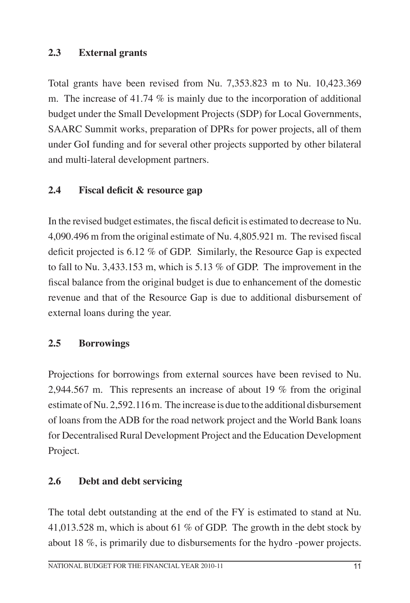# **2.3 External grants**

Total grants have been revised from Nu. 7,353.823 m to Nu. 10,423.369 m. The increase of 41.74 % is mainly due to the incorporation of additional budget under the Small Development Projects (SDP) for Local Governments, SAARC Summit works, preparation of DPRs for power projects, all of them under GoI funding and for several other projects supported by other bilateral and multi-lateral development partners.

# **2.4 Fiscal deficit & resource gap**

In the revised budget estimates, the fiscal deficit is estimated to decrease to Nu. 4,090.496 m from the original estimate of Nu. 4,805.921 m. The revised fiscal deficit projected is 6.12 % of GDP. Similarly, the Resource Gap is expected to fall to Nu. 3,433.153 m, which is 5.13 % of GDP. The improvement in the fiscal balance from the original budget is due to enhancement of the domestic revenue and that of the Resource Gap is due to additional disbursement of external loans during the year.

#### **2.5 Borrowings**

Projections for borrowings from external sources have been revised to Nu. 2,944.567 m. This represents an increase of about 19 % from the original estimate of Nu. 2,592.116 m. The increase is due to the additional disbursement of loans from the ADB for the road network project and the World Bank loans for Decentralised Rural Development Project and the Education Development Project.

#### **2.6 Debt and debt servicing**

The total debt outstanding at the end of the FY is estimated to stand at Nu. 41,013.528 m, which is about 61 % of GDP. The growth in the debt stock by about 18 %, is primarily due to disbursements for the hydro -power projects.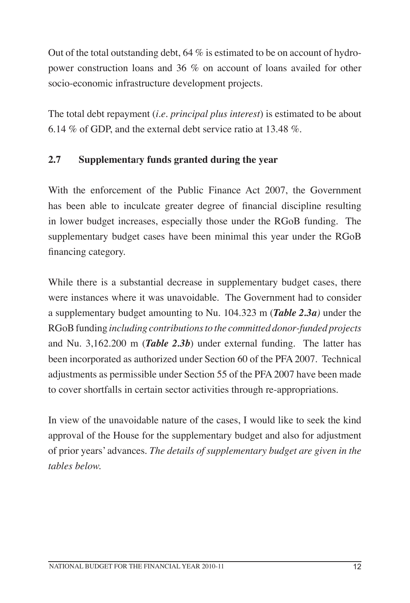Out of the total outstanding debt,  $64\%$  is estimated to be on account of hydropower construction loans and 36 % on account of loans availed for other socio-economic infrastructure development projects.

The total debt repayment (*i.e. principal plus interest*) is estimated to be about 6.14 % of GDP, and the external debt service ratio at 13.48 %.

# **2.7 Supplementa**r**y funds granted during the year**

With the enforcement of the Public Finance Act 2007, the Government has been able to inculcate greater degree of financial discipline resulting in lower budget increases, especially those under the RGoB funding. The supplementary budget cases have been minimal this year under the RGoB financing category.

While there is a substantial decrease in supplementary budget cases, there were instances where it was unavoidable. The Government had to consider a supplementary budget amounting to Nu. 104.323 m (*Table 2.3a)* under the RGoB funding *including contributions to the committed donor-funded projects* and Nu. 3,162.200 m (*Table 2.3b*) under external funding. The latter has been incorporated as authorized under Section 60 of the PFA 2007. Technical adjustments as permissible under Section 55 of the PFA 2007 have been made to cover shortfalls in certain sector activities through re-appropriations.

In view of the unavoidable nature of the cases, I would like to seek the kind approval of the House for the supplementary budget and also for adjustment of prior years' advances. *The details of supplementary budget are given in the tables below.*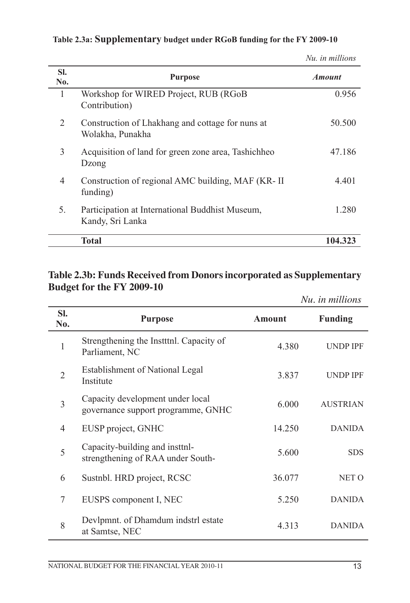| SI.<br>No. | <b>Purpose</b>                                                       | <b>Amount</b> |
|------------|----------------------------------------------------------------------|---------------|
| 1          | Workshop for WIRED Project, RUB (RGoB<br>Contribution)               | 0.956         |
| 2          | Construction of Lhakhang and cottage for nuns at<br>Wolakha, Punakha | 50.500        |
| 3          | Acquisition of land for green zone area, Tashichheo<br>Dzong         | 47.186        |
| 4          | Construction of regional AMC building, MAF (KR-II)<br>funding)       | 4.401         |
| 5.         | Participation at International Buddhist Museum,<br>Kandy, Sri Lanka  | 1.280         |
|            | <b>Total</b>                                                         | 104.323       |

#### **Table 2.3a: Supplementary budget under RGoB funding for the FY 2009-10**

*Nu. in millions*

# **Table 2.3b: Funds Received from Donorsincorporated as Supplementary Budget for the FY 2009-10**

|                |                                                                        |               | Nu. in millions |
|----------------|------------------------------------------------------------------------|---------------|-----------------|
| SI.<br>No.     | <b>Purpose</b>                                                         | <b>Amount</b> | <b>Funding</b>  |
| 1              | Strengthening the Institute. Capacity of<br>Parliament, NC             | 4.380         | <b>UNDP IPF</b> |
| $\overline{2}$ | <b>Establishment of National Legal</b><br>Institute                    | 3.837         | <b>UNDP IPF</b> |
| $\overline{3}$ | Capacity development under local<br>governance support programme, GNHC | 6.000         | <b>AUSTRIAN</b> |
| 4              | EUSP project, GNHC                                                     | 14.250        | <b>DANIDA</b>   |
| 5              | Capacity-building and instinl-<br>strengthening of RAA under South-    | 5.600         | <b>SDS</b>      |
| 6              | Sustnbl. HRD project, RCSC                                             | 36.077        | NET O           |
| 7              | EUSPS component I, NEC                                                 | 5.250         | <b>DANIDA</b>   |
| 8              | Devlpmnt. of Dhamdum indstrl estate<br>at Samtse, NEC                  | 4.313         | <b>DANIDA</b>   |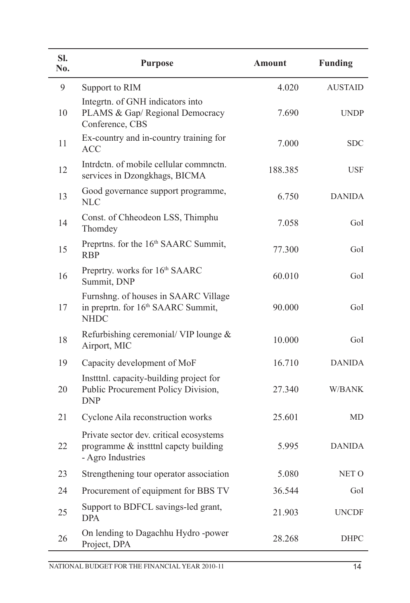| SI.<br>No. | <b>Purpose</b>                                                                                        | <b>Amount</b> | <b>Funding</b> |
|------------|-------------------------------------------------------------------------------------------------------|---------------|----------------|
| 9          | Support to RIM                                                                                        | 4.020         | <b>AUSTAID</b> |
| 10         | Integrtn. of GNH indicators into<br>PLAMS & Gap/ Regional Democracy<br>Conference, CBS                | 7.690         | <b>UNDP</b>    |
| 11         | Ex-country and in-country training for<br><b>ACC</b>                                                  | 7.000         | <b>SDC</b>     |
| 12         | Intrdctn. of mobile cellular commnctn.<br>services in Dzongkhags, BICMA                               | 188.385       | <b>USF</b>     |
| 13         | Good governance support programme,<br><b>NLC</b>                                                      | 6.750         | <b>DANIDA</b>  |
| 14         | Const. of Chheodeon LSS, Thimphu<br>Thomdey                                                           | 7.058         | GoI            |
| 15         | Preprtns. for the 16 <sup>th</sup> SAARC Summit,<br><b>RBP</b>                                        | 77.300        | GoI            |
| 16         | Preprtry. works for 16th SAARC<br>Summit, DNP                                                         | 60.010        | GoI            |
| 17         | Furnshng. of houses in SAARC Village<br>in preprtn. for 16 <sup>th</sup> SAARC Summit,<br><b>NHDC</b> | 90.000        | GoI            |
| 18         | Refurbishing ceremonial/ VIP lounge $\&$<br>Airport, MIC                                              | 10.000        | GoI            |
| 19         | Capacity development of MoF                                                                           | 16.710        | <b>DANIDA</b>  |
| 20         | Institul. capacity-building project for<br>Public Procurement Policy Division,<br><b>DNP</b>          | 27.340        | W/BANK         |
| 21         | Cyclone Aila reconstruction works                                                                     | 25.601        | MD             |
| 22         | Private sector dev. critical ecosystems<br>programme & institute capety building<br>- Agro Industries | 5.995         | <b>DANIDA</b>  |
| 23         | Strengthening tour operator association                                                               | 5.080         | NET O          |
| 24         | Procurement of equipment for BBS TV                                                                   | 36.544        | GoI            |
| 25         | Support to BDFCL savings-led grant,<br><b>DPA</b>                                                     | 21.903        | <b>UNCDF</b>   |
| 26         | On lending to Dagachhu Hydro -power<br>Project, DPA                                                   | 28.268        | <b>DHPC</b>    |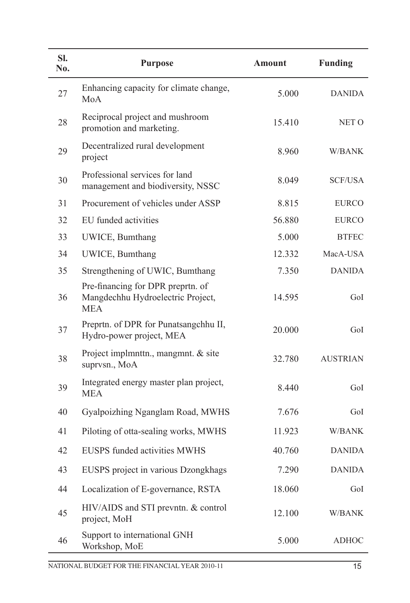| SI.<br>No. | <b>Purpose</b>                                                                       | <b>Amount</b> | <b>Funding</b>  |
|------------|--------------------------------------------------------------------------------------|---------------|-----------------|
| 27         | Enhancing capacity for climate change,<br>MoA                                        | 5.000         | <b>DANIDA</b>   |
| 28         | Reciprocal project and mushroom<br>promotion and marketing.                          | 15.410        | NET O           |
| 29         | Decentralized rural development<br>project                                           | 8.960         | W/BANK          |
| 30         | Professional services for land<br>management and biodiversity, NSSC                  | 8.049         | <b>SCF/USA</b>  |
| 31         | Procurement of vehicles under ASSP                                                   | 8.815         | <b>EURCO</b>    |
| 32         | EU funded activities                                                                 | 56.880        | <b>EURCO</b>    |
| 33         | UWICE, Bumthang                                                                      | 5.000         | <b>BTFEC</b>    |
| 34         | UWICE, Bumthang                                                                      | 12.332        | MacA-USA        |
| 35         | Strengthening of UWIC, Bumthang                                                      | 7.350         | <b>DANIDA</b>   |
| 36         | Pre-financing for DPR preprtn. of<br>Mangdechhu Hydroelectric Project,<br><b>MEA</b> | 14.595        | GoI             |
| 37         | Preprtn. of DPR for Punatsangchhu II,<br>Hydro-power project, MEA                    | 20.000        | GoI             |
| 38         | Project implmnttn., mangmnt. & site<br>suprvsn., MoA                                 | 32.780        | <b>AUSTRIAN</b> |
| 39         | Integrated energy master plan project,<br><b>MEA</b>                                 | 8.440         | GoI             |
| 40         | Gyalpoizhing Nganglam Road, MWHS                                                     | 7.676         | GoI             |
| 41         | Piloting of otta-sealing works, MWHS                                                 | 11.923        | W/BANK          |
| 42         | <b>EUSPS</b> funded activities MWHS                                                  | 40.760        | <b>DANIDA</b>   |
| 43         | EUSPS project in various Dzongkhags                                                  | 7.290         | <b>DANIDA</b>   |
| 44         | Localization of E-governance, RSTA                                                   | 18.060        | GoI             |
| 45         | HIV/AIDS and STI prevntn. & control<br>project, MoH                                  | 12.100        | W/BANK          |
| 46         | Support to international GNH<br>Workshop, MoE                                        | 5.000         | <b>ADHOC</b>    |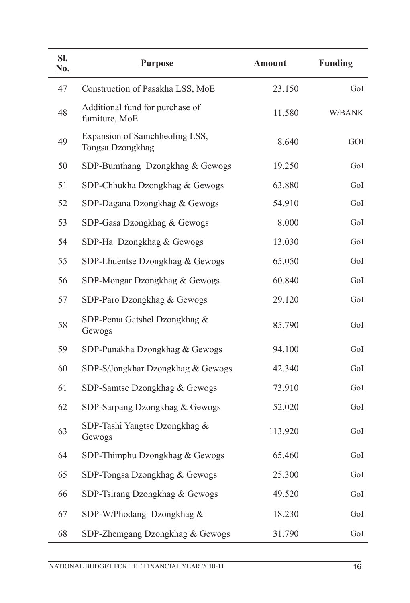| SI.<br>No. | <b>Purpose</b>                                     | <b>Amount</b> | <b>Funding</b> |
|------------|----------------------------------------------------|---------------|----------------|
| 47         | Construction of Pasakha LSS, MoE                   | 23.150        | GoI            |
| 48         | Additional fund for purchase of<br>furniture, MoE  | 11.580        | W/BANK         |
| 49         | Expansion of Samchheoling LSS,<br>Tongsa Dzongkhag | 8.640         | GOI            |
| 50         | SDP-Bumthang Dzongkhag & Gewogs                    | 19.250        | GoI            |
| 51         | SDP-Chhukha Dzongkhag & Gewogs                     | 63.880        | GoI            |
| 52         | SDP-Dagana Dzongkhag & Gewogs                      | 54.910        | GoI            |
| 53         | SDP-Gasa Dzongkhag & Gewogs                        | 8.000         | GoI            |
| 54         | SDP-Ha Dzongkhag & Gewogs                          | 13.030        | GoI            |
| 55         | SDP-Lhuentse Dzongkhag & Gewogs                    | 65.050        | GoI            |
| 56         | SDP-Mongar Dzongkhag & Gewogs                      | 60.840        | GoI            |
| 57         | SDP-Paro Dzongkhag & Gewogs                        | 29.120        | GoI            |
| 58         | SDP-Pema Gatshel Dzongkhag &<br>Gewogs             | 85.790        | GoI            |
| 59         | SDP-Punakha Dzongkhag & Gewogs                     | 94.100        | GoI            |
| 60         | SDP-S/Jongkhar Dzongkhag & Gewogs                  | 42.340        | GoI            |
| 61         | SDP-Samtse Dzongkhag & Gewogs                      | 73.910        | GoI            |
| 62         | SDP-Sarpang Dzongkhag & Gewogs                     | 52.020        | GoI            |
| 63         | SDP-Tashi Yangtse Dzongkhag &<br>Gewogs            | 113.920       | GoI            |
| 64         | SDP-Thimphu Dzongkhag & Gewogs                     | 65.460        | GoI            |
| 65         | SDP-Tongsa Dzongkhag & Gewogs                      | 25.300        | GoI            |
| 66         | SDP-Tsirang Dzongkhag & Gewogs                     | 49.520        | GoI            |
| 67         | SDP-W/Phodang Dzongkhag &                          | 18.230        | GoI            |
| 68         | SDP-Zhemgang Dzongkhag & Gewogs                    | 31.790        | GoI            |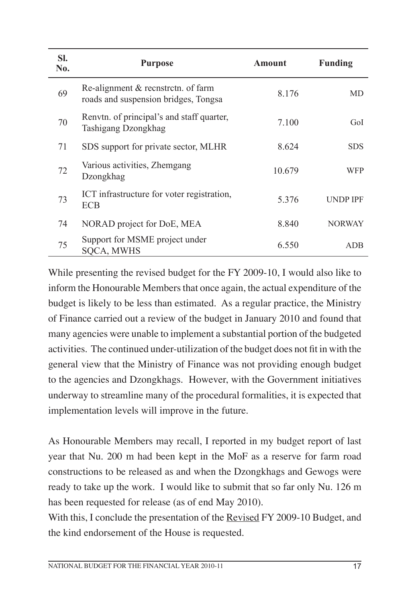| SI.<br>No. | <b>Purpose</b>                                                             | <b>Amount</b> | <b>Funding</b>  |
|------------|----------------------------------------------------------------------------|---------------|-----------------|
| 69         | Re-alignment & recnstrctn. of farm<br>roads and suspension bridges, Tongsa | 8.176         | MD              |
| 70         | Renvtn. of principal's and staff quarter,<br>Tashigang Dzongkhag           | 7.100         | GoL             |
| 71         | SDS support for private sector, MLHR                                       | 8.624         | <b>SDS</b>      |
| 72         | Various activities, Zhemgang<br>Dzongkhag                                  | 10.679        | <b>WFP</b>      |
| 73         | ICT infrastructure for voter registration,<br><b>ECB</b>                   | 5.376         | <b>UNDP IPF</b> |
| 74         | NORAD project for DoE, MEA                                                 | 8.840         | <b>NORWAY</b>   |
| 75         | Support for MSME project under<br><b>SQCA, MWHS</b>                        | 6.550         | <b>ADB</b>      |

While presenting the revised budget for the FY 2009-10, I would also like to inform the Honourable Members that once again, the actual expenditure of the budget is likely to be less than estimated. As a regular practice, the Ministry of Finance carried out a review of the budget in January 2010 and found that many agencies were unable to implement a substantial portion of the budgeted activities. The continued under-utilization of the budget does not fit in with the general view that the Ministry of Finance was not providing enough budget to the agencies and Dzongkhags. However, with the Government initiatives underway to streamline many of the procedural formalities, it is expected that implementation levels will improve in the future.

As Honourable Members may recall, I reported in my budget report of last year that Nu. 200 m had been kept in the MoF as a reserve for farm road constructions to be released as and when the Dzongkhags and Gewogs were ready to take up the work. I would like to submit that so far only Nu. 126 m has been requested for release (as of end May 2010).

With this, I conclude the presentation of the Revised FY 2009-10 Budget, and the kind endorsement of the House is requested.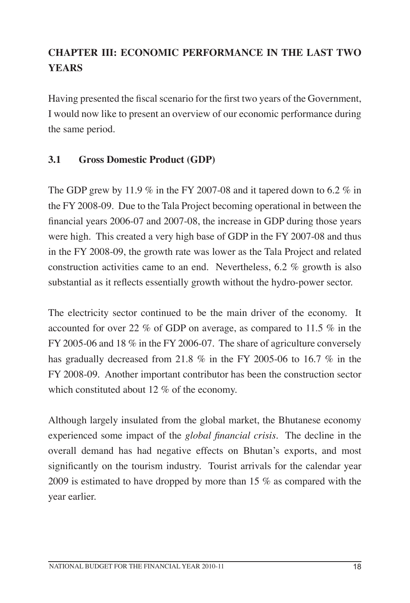# **Chapter III: Economic PERFORMANCE in the last two Years**

Having presented the fiscal scenario for the first two years of the Government, I would now like to present an overview of our economic performance during the same period.

# **3.1 Gross Domestic Product (GDP)**

The GDP grew by 11.9  $\%$  in the FY 2007-08 and it tapered down to 6.2  $\%$  in the FY 2008-09. Due to the Tala Project becoming operational in between the financial years 2006-07 and 2007-08, the increase in GDP during those years were high. This created a very high base of GDP in the FY 2007-08 and thus in the FY 2008-09, the growth rate was lower as the Tala Project and related construction activities came to an end. Nevertheless, 6.2 % growth is also substantial as it reflects essentially growth without the hydro-power sector.

The electricity sector continued to be the main driver of the economy. It accounted for over 22 % of GDP on average, as compared to 11.5 % in the FY 2005-06 and 18 % in the FY 2006-07. The share of agriculture conversely has gradually decreased from 21.8 % in the FY 2005-06 to 16.7 % in the FY 2008-09. Another important contributor has been the construction sector which constituted about 12 % of the economy.

Although largely insulated from the global market, the Bhutanese economy experienced some impact of the *global financial crisis*. The decline in the overall demand has had negative effects on Bhutan's exports, and most significantly on the tourism industry. Tourist arrivals for the calendar year 2009 is estimated to have dropped by more than 15 % as compared with the year earlier.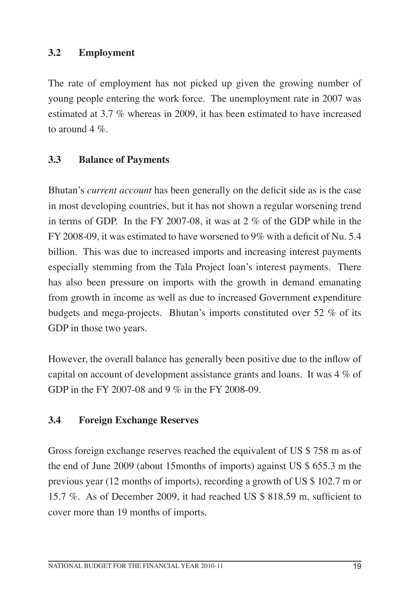# **3.2 Employment**

The rate of employment has not picked up given the growing number of young people entering the work force. The unemployment rate in 2007 was estimated at 3.7 % whereas in 2009, it has been estimated to have increased to around  $4\%$ .

#### **3.3 Balance of Payments**

Bhutan's *current account* has been generally on the deficit side as is the case in most developing countries, but it has not shown a regular worsening trend in terms of GDP. In the FY 2007-08, it was at 2 % of the GDP while in the FY 2008-09, it was estimated to have worsened to 9% with a deficit of Nu. 5.4 billion. This was due to increased imports and increasing interest payments especially stemming from the Tala Project loan's interest payments. There has also been pressure on imports with the growth in demand emanating from growth in income as well as due to increased Government expenditure budgets and mega-projects. Bhutan's imports constituted over 52 % of its GDP in those two years.

However, the overall balance has generally been positive due to the inflow of capital on account of development assistance grants and loans. It was 4 % of GDP in the FY 2007-08 and 9 % in the FY 2008-09.

#### **3.4 Foreign Exchange Reserves**

Gross foreign exchange reserves reached the equivalent of US \$ 758 m as of the end of June 2009 (about 15months of imports) against US \$ 655.3 m the previous year (12 months of imports), recording a growth of US \$ 102.7 m or 15.7 %. As of December 2009, it had reached US \$ 818.59 m, sufficient to cover more than 19 months of imports.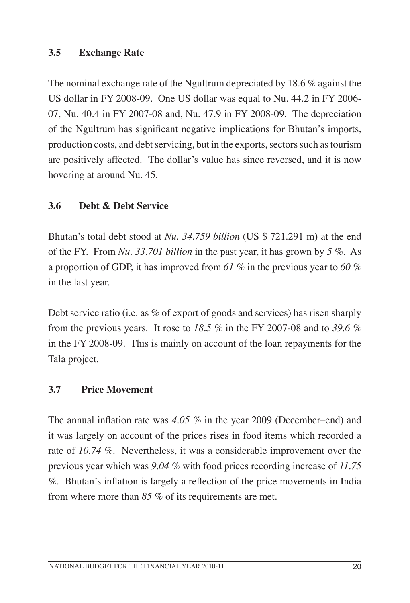# **3.5 Exchange Rate**

The nominal exchange rate of the Ngultrum depreciated by 18.6 % against the US dollar in FY 2008-09. One US dollar was equal to Nu. 44.2 in FY 2006- 07, Nu. 40.4 in FY 2007-08 and, Nu. 47.9 in FY 2008-09. The depreciation of the Ngultrum has significant negative implications for Bhutan's imports, production costs, and debt servicing, but in the exports, sectors such as tourism are positively affected. The dollar's value has since reversed, and it is now hovering at around Nu. 45.

# **3.6 Debt & Debt Service**

Bhutan's total debt stood at *Nu. 34.759 billion* (US \$ 721.291 m) at the end of the FY. From *Nu. 33.701 billion* in the past year, it has grown by *5 %*. As a proportion of GDP, it has improved from *61 %* in the previous year to *60 %* in the last year.

Debt service ratio (i.e. as % of export of goods and services) has risen sharply from the previous years. It rose to *18.5 %* in the FY 2007-08 and to *39.6 %* in the FY 2008-09. This is mainly on account of the loan repayments for the Tala project.

#### **3.7 Price Movement**

The annual inflation rate was *4.05 %* in the year 2009 (December–end) and it was largely on account of the prices rises in food items which recorded a rate of *10.74 %.* Nevertheless, it was a considerable improvement over the previous year which was *9.04 %* with food prices recording increase of *11.75 %*. Bhutan's inflation is largely a reflection of the price movements in India from where more than *85 %* of its requirements are met.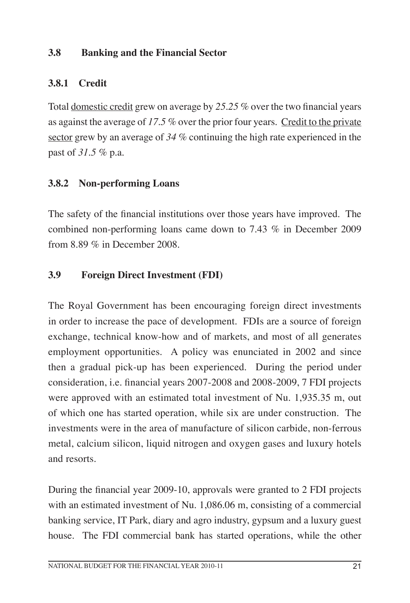### **3.8 Banking and the Financial Sector**

# **3.8.1 Credit**

Total domestic credit grew on average by *25.25 %* over the two financial years as against the average of *17.5 %* over the prior four years. Credit to the private sector grew by an average of *34 %* continuing the high rate experienced in the past of *31.5 %* p.a.

# **3.8.2 Non-performing Loans**

The safety of the financial institutions over those years have improved. The combined non-performing loans came down to 7.43 % in December 2009 from 8.89 % in December 2008.

# **3.9 Foreign Direct Investment (FDI)**

The Royal Government has been encouraging foreign direct investments in order to increase the pace of development. FDIs are a source of foreign exchange, technical know-how and of markets, and most of all generates employment opportunities. A policy was enunciated in 2002 and since then a gradual pick-up has been experienced. During the period under consideration, i.e. financial years 2007-2008 and 2008-2009, 7 FDI projects were approved with an estimated total investment of Nu. 1,935.35 m, out of which one has started operation, while six are under construction. The investments were in the area of manufacture of silicon carbide, non-ferrous metal, calcium silicon, liquid nitrogen and oxygen gases and luxury hotels and resorts.

During the financial year 2009-10, approvals were granted to 2 FDI projects with an estimated investment of Nu. 1,086.06 m, consisting of a commercial banking service, IT Park, diary and agro industry, gypsum and a luxury guest house. The FDI commercial bank has started operations, while the other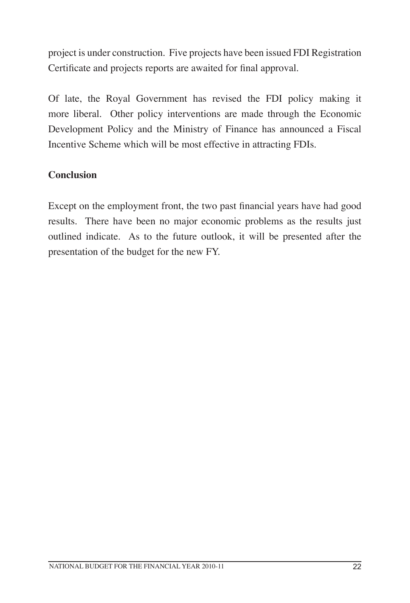project is under construction. Five projects have been issued FDI Registration Certificate and projects reports are awaited for final approval.

Of late, the Royal Government has revised the FDI policy making it more liberal. Other policy interventions are made through the Economic Development Policy and the Ministry of Finance has announced a Fiscal Incentive Scheme which will be most effective in attracting FDIs.

# **Conclusion**

Except on the employment front, the two past financial years have had good results. There have been no major economic problems as the results just outlined indicate. As to the future outlook, it will be presented after the presentation of the budget for the new FY.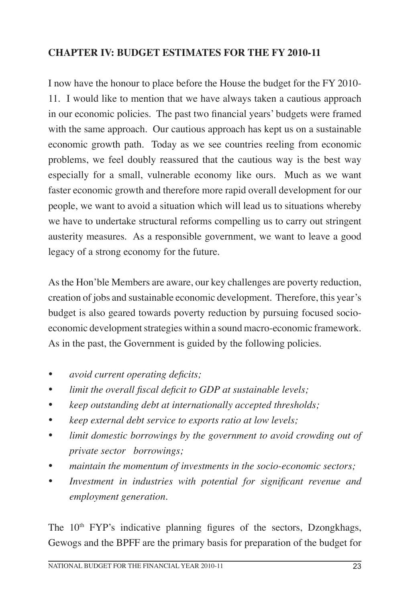# **CHAPTER IV: BUDGET ESTIMATES FOR the FY 2010-11**

I now have the honour to place before the House the budget for the FY 2010- 11. I would like to mention that we have always taken a cautious approach in our economic policies. The past two financial years' budgets were framed with the same approach. Our cautious approach has kept us on a sustainable economic growth path. Today as we see countries reeling from economic problems, we feel doubly reassured that the cautious way is the best way especially for a small, vulnerable economy like ours. Much as we want faster economic growth and therefore more rapid overall development for our people, we want to avoid a situation which will lead us to situations whereby we have to undertake structural reforms compelling us to carry out stringent austerity measures. As a responsible government, we want to leave a good legacy of a strong economy for the future.

As the Hon'ble Members are aware, our key challenges are poverty reduction, creation of jobs and sustainable economic development. Therefore, this year's budget is also geared towards poverty reduction by pursuing focused socioeconomic development strategies within a sound macro-economic framework. As in the past, the Government is guided by the following policies.

- *avoid current operating deficits;*
- limit the overall fiscal deficit to GDP at sustainable levels;
- keep outstanding debt at internationally accepted thresholds;
- ü *keep external debt service to exports ratio at low levels;*
- ü *limit domestic borrowings by the government to avoid crowding out of private sector borrowings;*
- maintain the momentum of investments in the socio-economic sectors;
- ü *Investment in industries with potential for significant revenue and employment generation.*

The  $10<sup>th</sup> FYP's$  indicative planning figures of the sectors, Dzongkhags, Gewogs and the BPFF are the primary basis for preparation of the budget for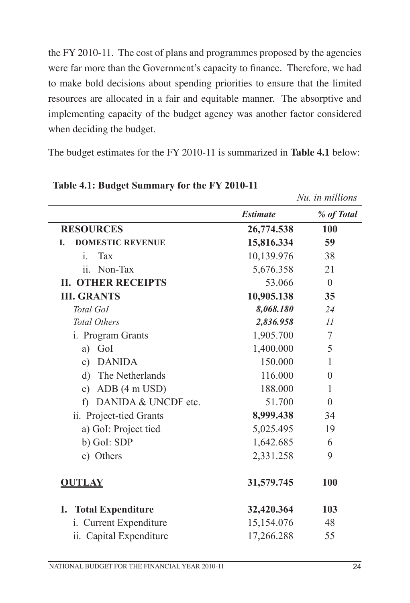the FY 2010-11. The cost of plans and programmes proposed by the agencies were far more than the Government's capacity to finance. Therefore, we had to make bold decisions about spending priorities to ensure that the limited resources are allocated in a fair and equitable manner. The absorptive and implementing capacity of the budget agency was another factor considered when deciding the budget.

The budget estimates for the FY 2010-11 is summarized in **Table 4.1** below:

|                                    |                 | Nu. in millions |
|------------------------------------|-----------------|-----------------|
|                                    | <b>Estimate</b> | % of Total      |
| <b>RESOURCES</b>                   | 26,774.538      | <b>100</b>      |
| <b>DOMESTIC REVENUE</b><br>L.      | 15,816.334      | 59              |
| $\mathbf{i}$ .<br><b>Tax</b>       | 10,139.976      | 38              |
| ii. Non-Tax                        | 5,676.358       | 21              |
| <b>II. OTHER RECEIPTS</b>          | 53.066          | $\overline{0}$  |
| <b>III. GRANTS</b>                 | 10,905.138      | 35              |
| Total GoI                          | 8,068.180       | 24              |
| <b>Total Others</b>                | 2,836.958       | II              |
| i. Program Grants                  | 1,905.700       | 7               |
| GoI<br>a)                          | 1,400.000       | 5               |
| <b>DANIDA</b><br>c)                | 150.000         | $\mathbf{1}$    |
| d) The Netherlands                 | 116.000         | $\overline{0}$  |
| e) ADB $(4 \text{ m } \text{USD})$ | 188.000         | $\mathbf{1}$    |
| f) DANIDA & UNCDF etc.             | 51.700          | $\overline{0}$  |
| ii. Project-tied Grants            | 8,999.438       | 34              |
| a) GoI: Project tied               | 5,025.495       | 19              |
| b) GoI: SDP                        | 1,642.685       | 6               |
| c) Others                          | 2,331.258       | 9               |
| <b>OUTLAY</b>                      | 31,579.745      | 100             |
| I. Total Expenditure               | 32,420.364      | 103             |
| i. Current Expenditure             | 15,154.076      | 48              |
| ii. Capital Expenditure            | 17,266.288      | 55              |

#### **Table 4.1: Budget Summary for the FY 2010-11**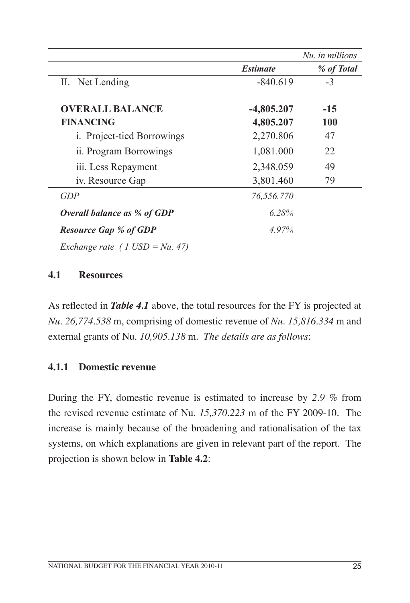|                                    |                 | Nu, in millions |
|------------------------------------|-----------------|-----------------|
|                                    | <b>Estimate</b> | % of Total      |
| II. Net Lending                    | $-840.619$      | $-3$            |
| <b>OVERALL BALANCE</b>             | $-4,805.207$    | $-15$           |
| <b>FINANCING</b>                   | 4,805.207       | 100             |
| <i>i.</i> Project-tied Borrowings  | 2,270.806       | 47              |
| ii. Program Borrowings             | 1,081.000       | 22              |
| iii. Less Repayment                | 2,348.059       | 49              |
| iv. Resource Gap                   | 3,801.460       | 79              |
| GDP                                | 76,556.770      |                 |
| <b>Overall balance as % of GDP</b> | 6.28%           |                 |
| <b>Resource Gap % of GDP</b>       | 4.97%           |                 |
| Exchange rate (1 USD = $Nu.$ 47)   |                 |                 |

#### **4.1 Resources**

As reflected in *Table 4.1* above, the total resources for the FY is projected at *Nu. 26,774.538* m, comprising of domestic revenue of *Nu. 15,816.334* m and external grants of Nu. *10,905.138* m. *The details are as follows*:

#### **4.1.1 Domestic revenue**

During the FY, domestic revenue is estimated to increase by *2.9 %* from the revised revenue estimate of Nu. *15,370.223* m of the FY 2009-10. The increase is mainly because of the broadening and rationalisation of the tax systems, on which explanations are given in relevant part of the report. The projection is shown below in **Table 4.2**: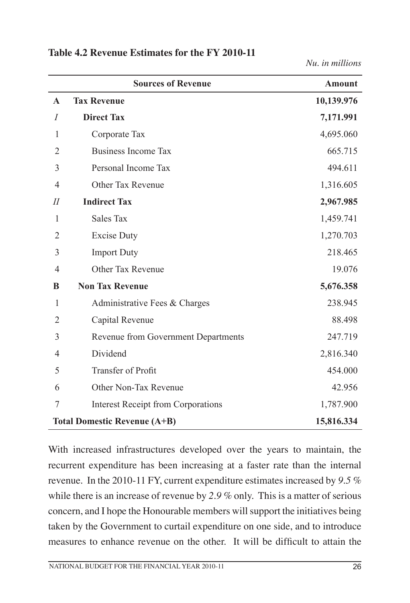|                | <b>Sources of Revenue</b>                 | <b>Amount</b> |
|----------------|-------------------------------------------|---------------|
| $\mathbf A$    | <b>Tax Revenue</b>                        | 10,139.976    |
| $\overline{I}$ | <b>Direct Tax</b>                         | 7,171.991     |
| 1              | Corporate Tax                             | 4,695.060     |
| $\overline{2}$ | <b>Business Income Tax</b>                | 665.715       |
| 3              | Personal Income Tax                       | 494.611       |
| 4              | Other Tax Revenue                         | 1,316.605     |
| $I\!I$         | <b>Indirect Tax</b>                       | 2,967.985     |
| 1              | <b>Sales Tax</b>                          | 1,459.741     |
| $\overline{2}$ | <b>Excise Duty</b>                        | 1,270.703     |
| 3              | <b>Import Duty</b>                        | 218.465       |
| 4              | Other Tax Revenue                         | 19.076        |
| B              | <b>Non Tax Revenue</b>                    | 5,676.358     |
| 1              | Administrative Fees & Charges             | 238.945       |
| $\overline{2}$ | Capital Revenue                           | 88.498        |
| 3              | Revenue from Government Departments       | 247.719       |
| 4              | Dividend                                  | 2,816.340     |
| 5              | Transfer of Profit                        | 454.000       |
| 6              | Other Non-Tax Revenue                     | 42.956        |
| 7              | <b>Interest Receipt from Corporations</b> | 1,787.900     |
|                | <b>Total Domestic Revenue (A+B)</b>       | 15,816.334    |

#### **Table 4.2 Revenue Estimates for the FY 2010-11**

*Nu. in millions*

With increased infrastructures developed over the years to maintain, the recurrent expenditure has been increasing at a faster rate than the internal revenue. In the 2010-11 FY, current expenditure estimates increased by *9.5 %* while there is an increase of revenue by *2.9 %* only. This is a matter of serious concern, and I hope the Honourable members will support the initiatives being taken by the Government to curtail expenditure on one side, and to introduce measures to enhance revenue on the other. It will be difficult to attain the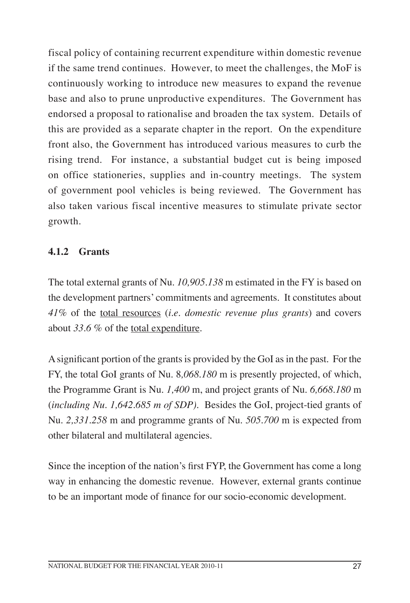fiscal policy of containing recurrent expenditure within domestic revenue if the same trend continues. However, to meet the challenges, the MoF is continuously working to introduce new measures to expand the revenue base and also to prune unproductive expenditures. The Government has endorsed a proposal to rationalise and broaden the tax system. Details of this are provided as a separate chapter in the report. On the expenditure front also, the Government has introduced various measures to curb the rising trend. For instance, a substantial budget cut is being imposed on office stationeries, supplies and in-country meetings. The system of government pool vehicles is being reviewed. The Government has also taken various fiscal incentive measures to stimulate private sector growth.

# **4.1.2 Grants**

The total external grants of Nu. *10,905.138* m estimated in the FY is based on the development partners' commitments and agreements. It constitutes about *41%* of the total resources (*i.e. domestic revenue plus grants*) and covers about *33.6* % of the total expenditure.

A significant portion of the grants is provided by the GoI as in the past. For the FY, the total GoI grants of Nu. 8*,068.180* m is presently projected, of which, the Programme Grant is Nu. *1,400* m, and project grants of Nu. *6,668.180* m (*including Nu. 1,642.685 m of SDP).* Besides the GoI, project-tied grants of Nu. *2,331.258* m and programme grants of Nu. *505.700* m is expected from other bilateral and multilateral agencies.

Since the inception of the nation's first FYP, the Government has come a long way in enhancing the domestic revenue. However, external grants continue to be an important mode of finance for our socio-economic development.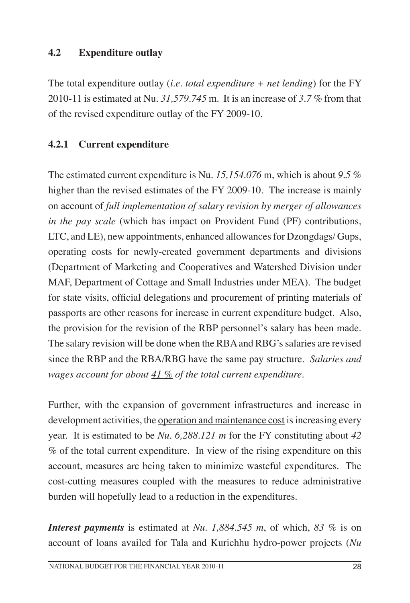# **4.2 Expenditure outlay**

The total expenditure outlay (*i.e. total expenditure + net lending*) for the FY 2010-11 is estimated at Nu. *31,579.745* m. It is an increase of *3.7 %* from that of the revised expenditure outlay of the FY 2009-10.

# **4.2.1 Current expenditure**

The estimated current expenditure is Nu. *15,154.076* m, which is about *9.5* % higher than the revised estimates of the FY 2009-10. The increase is mainly on account of *full implementation of salary revision by merger of allowances in the pay scale* (which has impact on Provident Fund (PF) contributions, LTC, and LE), new appointments, enhanced allowances for Dzongdags/ Gups, operating costs for newly-created government departments and divisions (Department of Marketing and Cooperatives and Watershed Division under MAF, Department of Cottage and Small Industries under MEA). The budget for state visits, official delegations and procurement of printing materials of passports are other reasons for increase in current expenditure budget. Also, the provision for the revision of the RBP personnel's salary has been made. The salary revision will be done when the RBA and RBG's salaries are revised since the RBP and the RBA/RBG have the same pay structure. *Salaries and wages account for about 41 % of the total current expenditure.*

Further, with the expansion of government infrastructures and increase in development activities, the <u>operation and maintenance cost</u> is increasing every year. It is estimated to be *Nu. 6,288.121 m* for the FY constituting about *42* % of the total current expenditure. In view of the rising expenditure on this account, measures are being taken to minimize wasteful expenditures. The cost-cutting measures coupled with the measures to reduce administrative burden will hopefully lead to a reduction in the expenditures.

*Interest payments* is estimated at *Nu. 1,884.545 m*, of which, *83 %* is on account of loans availed for Tala and Kurichhu hydro-power projects (*Nu*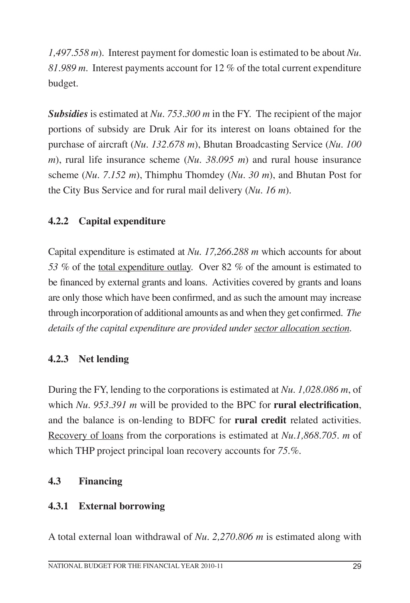*1,497.558 m*). Interest payment for domestic loan is estimated to be about *Nu. 81.989 m*. Interest payments account for 12 % of the total current expenditure budget.

*Subsidies* is estimated at *Nu. 753.300 m* in the FY. The recipient of the major portions of subsidy are Druk Air for its interest on loans obtained for the purchase of aircraft (*Nu. 132.678 m*), Bhutan Broadcasting Service (*Nu. 100 m*), rural life insurance scheme (*Nu. 38.095 m*) and rural house insurance scheme (*Nu. 7.152 m*), Thimphu Thomdey (*Nu. 30 m*), and Bhutan Post for the City Bus Service and for rural mail delivery (*Nu. 16 m*).

# **4.2.2 Capital expenditure**

Capital expenditure is estimated at *Nu. 17,266.288 m* which accounts for about *53 %* of the total expenditure outlay. Over 82 *%* of the amount is estimated to be financed by external grants and loans. Activities covered by grants and loans are only those which have been confirmed, and as such the amount may increase through incorporation of additional amounts as and when they get confirmed. *The details of the capital expenditure are provided under sector allocation section.*

#### **4.2.3 Net lending**

During the FY, lending to the corporations is estimated at *Nu. 1,028.086 m*, of which *Nu. 953.391 m* will be provided to the BPC for **rural electrification**, and the balance is on-lending to BDFC for **rural credit** related activities. Recovery of loans from the corporations is estimated at *Nu.1,868.705. m* of which THP project principal loan recovery accounts for *75.%.*

#### **4.3 Financing**

#### **4.3.1 External borrowing**

A total external loan withdrawal of *Nu. 2,270.806 m* is estimated along with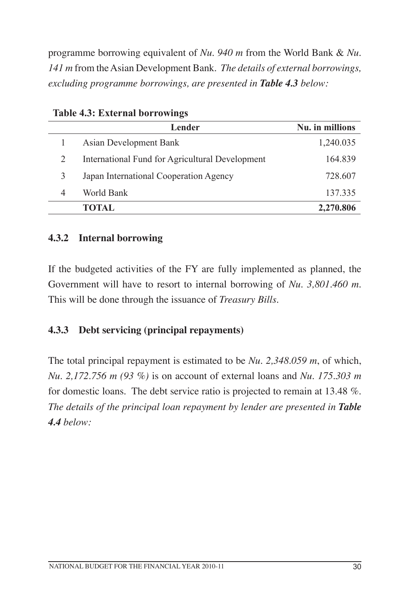programme borrowing equivalent of *Nu. 940 m* from the World Bank & *Nu. 141 m* from the Asian Development Bank. *The details of external borrowings, excluding programme borrowings, are presented in Table 4.3 below:*

|   | Lender                                          | Nu. in millions |
|---|-------------------------------------------------|-----------------|
|   | Asian Development Bank                          | 1,240.035       |
| 2 | International Fund for Agricultural Development | 164.839         |
| 3 | Japan International Cooperation Agency          | 728.607         |
| 4 | World Bank                                      | 137.335         |
|   | <b>TOTAL</b>                                    | 2,270.806       |

**Table 4.3: External borrowings**

#### **4.3.2 Internal borrowing**

If the budgeted activities of the FY are fully implemented as planned, the Government will have to resort to internal borrowing of *Nu. 3,801.460 m*. This will be done through the issuance of *Treasury Bills*.

# **4.3.3 Debt servicing (principal repayments)**

The total principal repayment is estimated to be *Nu. 2,348.059 m*, of which, *Nu. 2,172.756 m (93 %)* is on account of external loans and *Nu. 175.303 m* for domestic loans. The debt service ratio is projected to remain at 13.48 %. *The details of the principal loan repayment by lender are presented in Table 4.4 below:*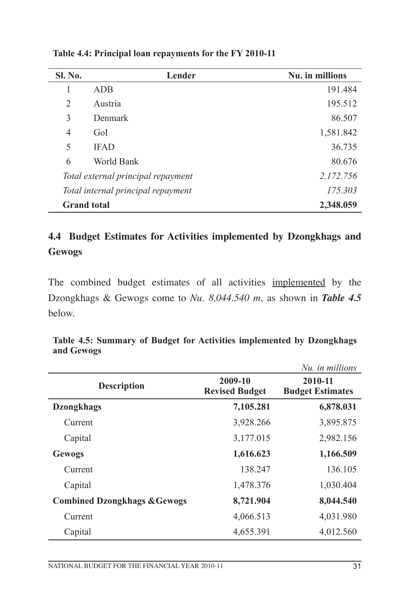| <b>Sl. No.</b>     | Lender                             | Nu. in millions |
|--------------------|------------------------------------|-----------------|
| 1                  | <b>ADB</b>                         | 191.484         |
| $\overline{2}$     | Austria                            | 195.512         |
| 3                  | Denmark                            | 86.507          |
| $\overline{4}$     | GoI                                | 1,581.842       |
| 5                  | <b>IFAD</b>                        | 36.735          |
| 6                  | World Bank                         | 80.676          |
|                    | Total external principal repayment | 2,172.756       |
|                    | Total internal principal repayment | 175.303         |
| <b>Grand</b> total |                                    | 2,348.059       |

**Table 4.4: Principal loan repayments for the FY 2010-11**

# **4.4 Budget Estimates for Activities implemented by Dzongkhags and Gewogs**

The combined budget estimates of all activities implemented by the Dzongkhags & Gewogs come to *Nu. 8,044.540 m*, as shown in *Table 4.5* below.

|                                         |                                  | Nu, in millions                    |
|-----------------------------------------|----------------------------------|------------------------------------|
| <b>Description</b>                      | 2009-10<br><b>Revised Budget</b> | 2010-11<br><b>Budget Estimates</b> |
| <b>Dzongkhags</b>                       | 7,105.281                        | 6,878.031                          |
| Current                                 | 3,928.266                        | 3,895.875                          |
| Capital                                 | 3,177.015                        | 2,982.156                          |
| <b>Gewogs</b>                           | 1,616.623                        | 1,166.509                          |
| Current                                 | 138.247                          | 136.105                            |
| Capital                                 | 1,478.376                        | 1,030.404                          |
| <b>Combined Dzongkhags &amp; Gewogs</b> | 8,721.904                        | 8,044.540                          |
| Current                                 | 4,066.513                        | 4,031.980                          |
| Capital                                 | 4,655.391                        | 4,012.560                          |

**Table 4.5: Summary of Budget for Activities implemented by Dzongkhags and Gewogs**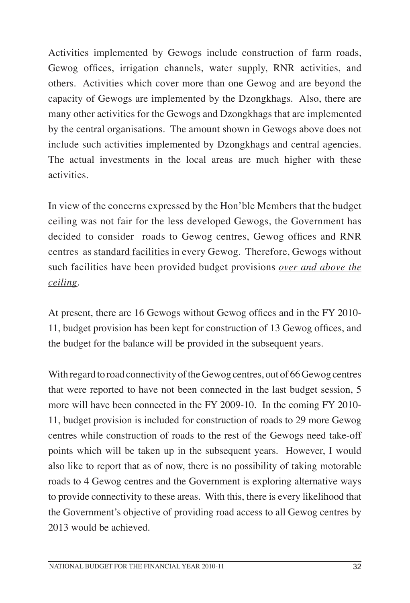Activities implemented by Gewogs include construction of farm roads, Gewog offices, irrigation channels, water supply, RNR activities, and others. Activities which cover more than one Gewog and are beyond the capacity of Gewogs are implemented by the Dzongkhags. Also, there are many other activities for the Gewogs and Dzongkhags that are implemented by the central organisations. The amount shown in Gewogs above does not include such activities implemented by Dzongkhags and central agencies. The actual investments in the local areas are much higher with these activities.

In view of the concerns expressed by the Hon'ble Members that the budget ceiling was not fair for the less developed Gewogs, the Government has decided to consider roads to Gewog centres, Gewog offices and RNR centres as standard facilities in every Gewog. Therefore, Gewogs without such facilities have been provided budget provisions *over and above the ceiling*.

At present, there are 16 Gewogs without Gewog offices and in the FY 2010- 11, budget provision has been kept for construction of 13 Gewog offices, and the budget for the balance will be provided in the subsequent years.

With regard to road connectivity of the Gewog centres, out of 66 Gewog centres that were reported to have not been connected in the last budget session, 5 more will have been connected in the FY 2009-10. In the coming FY 2010- 11, budget provision is included for construction of roads to 29 more Gewog centres while construction of roads to the rest of the Gewogs need take-off points which will be taken up in the subsequent years. However, I would also like to report that as of now, there is no possibility of taking motorable roads to 4 Gewog centres and the Government is exploring alternative ways to provide connectivity to these areas. With this, there is every likelihood that the Government's objective of providing road access to all Gewog centres by 2013 would be achieved.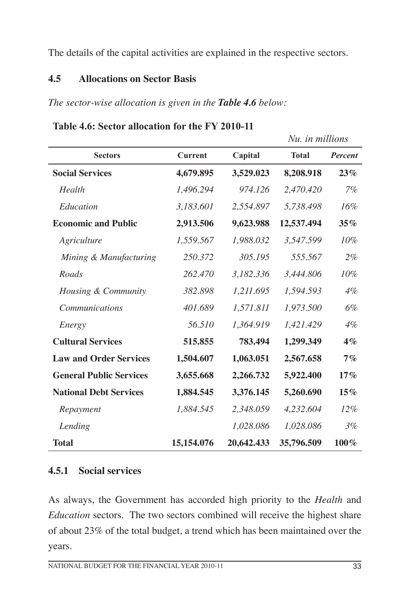The details of the capital activities are explained in the respective sectors.

### **4.5 Allocations on Sector Basis**

*The sector-wise allocation is given in the Table 4.6 below:*

|                                |                |            | Nu. in millions |         |
|--------------------------------|----------------|------------|-----------------|---------|
| <b>Sectors</b>                 | <b>Current</b> | Capital    | <b>Total</b>    | Percent |
| <b>Social Services</b>         | 4,679.895      | 3,529.023  | 8,208.918       | 23%     |
| Health                         | 1,496.294      | 974.126    | 2,470.420       | 7%      |
| Education                      | 3,183.601      | 2,554.897  | 5,738.498       | 16%     |
| <b>Economic and Public</b>     | 2,913.506      | 9,623.988  | 12,537.494      | 35%     |
| Agriculture                    | 1,559.567      | 1,988.032  | 3,547.599       | $10\%$  |
| Mining & Manufacturing         | 250.372        | 305.195    | 555.567         | $2\%$   |
| Roads                          | 262.470        | 3,182.336  | 3,444.806       | 10%     |
| Housing & Community            | 382.898        | 1,211.695  | 1,594.593       | $4\%$   |
| <i>Communications</i>          | 401.689        | 1,571.811  | 1,973.500       | 6%      |
| Energy                         | 56.510         | 1,364.919  | 1,421.429       | 4%      |
| <b>Cultural Services</b>       | 515.855        | 783.494    | 1,299.349       | $4\%$   |
| <b>Law and Order Services</b>  | 1,504.607      | 1,063.051  | 2,567.658       | $7\%$   |
| <b>General Public Services</b> | 3,655.668      | 2,266.732  | 5,922.400       | 17%     |
| <b>National Debt Services</b>  | 1,884.545      | 3,376.145  | 5,260.690       | 15%     |
| Repayment                      | 1,884.545      | 2,348.059  | 4,232.604       | $12\%$  |
| Lending                        |                | 1,028.086  | 1,028.086       | 3%      |
| <b>Total</b>                   | 15,154.076     | 20,642.433 | 35,796.509      | $100\%$ |

**Table 4.6: Sector allocation for the FY 2010-11**

## **4.5.1 Social services**

As always, the Government has accorded high priority to the *Health* and *Education* sectors. The two sectors combined will receive the highest share of about 23% of the total budget, a trend which has been maintained over the years.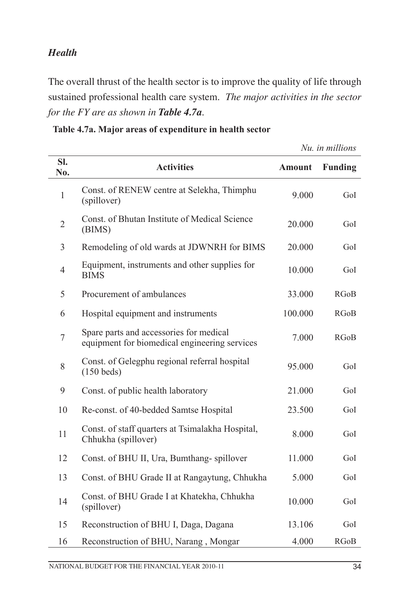## *Health*

The overall thrust of the health sector is to improve the quality of life through sustained professional health care system. *The major activities in the sector for the FY are as shown in Table 4.7a.*

| Sl.<br>No.     | <b>Activities</b>                                                                        | <b>Amount</b> | <b>Funding</b> |
|----------------|------------------------------------------------------------------------------------------|---------------|----------------|
| $\mathbf{1}$   | Const. of RENEW centre at Selekha, Thimphu<br>(spillover)                                | 9.000         | GoI            |
| $\overline{2}$ | Const. of Bhutan Institute of Medical Science<br>(BIMS)                                  | 20.000        | GoI            |
| 3              | Remodeling of old wards at JDWNRH for BIMS                                               | 20.000        | GoI            |
| $\overline{4}$ | Equipment, instruments and other supplies for<br><b>BIMS</b>                             | 10.000        | GoI            |
| 5              | Procurement of ambulances                                                                | 33.000        | RGoB           |
| 6              | Hospital equipment and instruments                                                       | 100.000       | RGoB           |
| $\overline{7}$ | Spare parts and accessories for medical<br>equipment for biomedical engineering services | 7.000         | <b>RGoB</b>    |
| 8              | Const. of Gelegphu regional referral hospital<br>$(150$ beds)                            | 95.000        | GoI            |
| 9              | Const. of public health laboratory                                                       | 21.000        | GoI            |
| 10             | Re-const. of 40-bedded Samtse Hospital                                                   | 23.500        | GoI            |
| 11             | Const. of staff quarters at Tsimalakha Hospital,<br>Chhukha (spillover)                  | 8.000         | GoI            |
| 12             | Const. of BHU II, Ura, Bumthang-spillover                                                | 11.000        | GoI            |
| 13             | Const. of BHU Grade II at Rangaytung, Chhukha                                            | 5.000         | GoI            |
| 14             | Const. of BHU Grade I at Khatekha, Chhukha<br>(spillover)                                | 10.000        | GoI            |
| 15             | Reconstruction of BHU I, Daga, Dagana                                                    | 13.106        | GoI            |
| 16             | Reconstruction of BHU, Narang, Mongar                                                    | 4.000         | RGoB           |

**Table 4.7a. Major areas of expenditure in health sector**

*Nu. in millions*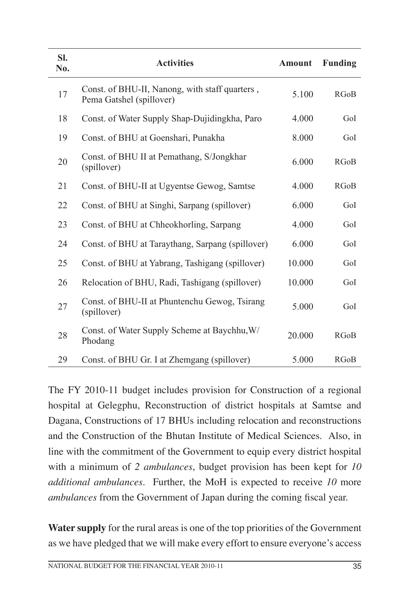| SI.<br>No. | <b>Activities</b>                                                          | Amount | Funding     |
|------------|----------------------------------------------------------------------------|--------|-------------|
| 17         | Const. of BHU-II, Nanong, with staff quarters,<br>Pema Gatshel (spillover) | 5.100  | <b>RGoB</b> |
| 18         | Const. of Water Supply Shap-Dujidingkha, Paro                              | 4.000  | GoI         |
| 19         | Const. of BHU at Goenshari, Punakha                                        | 8.000  | GoI         |
| 20         | Const. of BHU II at Pemathang, S/Jongkhar<br>(spillover)                   | 6.000  | <b>RGoB</b> |
| 21         | Const. of BHU-II at Ugyentse Gewog, Samtse                                 | 4.000  | <b>RGoB</b> |
| 22         | Const. of BHU at Singhi, Sarpang (spillover)                               | 6.000  | GoI         |
| 23         | Const. of BHU at Chheokhorling, Sarpang                                    | 4.000  | GoI         |
| 24         | Const. of BHU at Taraythang, Sarpang (spillover)                           | 6.000  | GoI         |
| 25         | Const. of BHU at Yabrang, Tashigang (spillover)                            | 10.000 | GoI         |
| 26         | Relocation of BHU, Radi, Tashigang (spillover)                             | 10.000 | GoI         |
| 27         | Const. of BHU-II at Phuntenchu Gewog, Tsirang<br>(spillover)               | 5.000  | GoI         |
| 28         | Const. of Water Supply Scheme at Baychhu, W/<br>Phodang                    | 20.000 | <b>RGoB</b> |
| 29         | Const. of BHU Gr. I at Zhemgang (spillover)                                | 5.000  | <b>RGoB</b> |

The FY 2010-11 budget includes provision for Construction of a regional hospital at Gelegphu, Reconstruction of district hospitals at Samtse and Dagana, Constructions of 17 BHUs including relocation and reconstructions and the Construction of the Bhutan Institute of Medical Sciences. Also, in line with the commitment of the Government to equip every district hospital with a minimum of *2 ambulances*, budget provision has been kept for *10 additional ambulances*. Further, the MoH is expected to receive *10* more *ambulances* from the Government of Japan during the coming fiscal year.

**Water supply** for the rural areas is one of the top priorities of the Government as we have pledged that we will make every effort to ensure everyone's access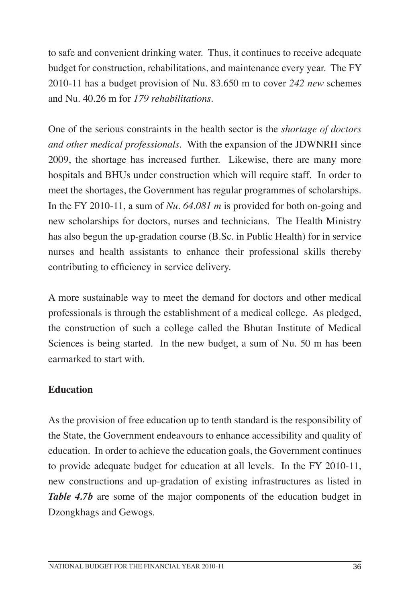to safe and convenient drinking water. Thus, it continues to receive adequate budget for construction, rehabilitations, and maintenance every year. The FY 2010-11 has a budget provision of Nu. 83.650 m to cover *242 new* schemes and Nu. 40.26 m for *179 rehabilitations*.

One of the serious constraints in the health sector is the *shortage of doctors and other medical professionals*. With the expansion of the JDWNRH since 2009, the shortage has increased further. Likewise, there are many more hospitals and BHUs under construction which will require staff. In order to meet the shortages, the Government has regular programmes of scholarships. In the FY 2010-11, a sum of *Nu. 64.081 m* is provided for both on-going and new scholarships for doctors, nurses and technicians. The Health Ministry has also begun the up-gradation course (B.Sc. in Public Health) for in service nurses and health assistants to enhance their professional skills thereby contributing to efficiency in service delivery.

A more sustainable way to meet the demand for doctors and other medical professionals is through the establishment of a medical college. As pledged, the construction of such a college called the Bhutan Institute of Medical Sciences is being started. In the new budget, a sum of Nu. 50 m has been earmarked to start with.

## **Education**

As the provision of free education up to tenth standard is the responsibility of the State, the Government endeavours to enhance accessibility and quality of education. In order to achieve the education goals, the Government continues to provide adequate budget for education at all levels. In the FY 2010-11, new constructions and up-gradation of existing infrastructures as listed in *Table 4.7b* are some of the major components of the education budget in Dzongkhags and Gewogs.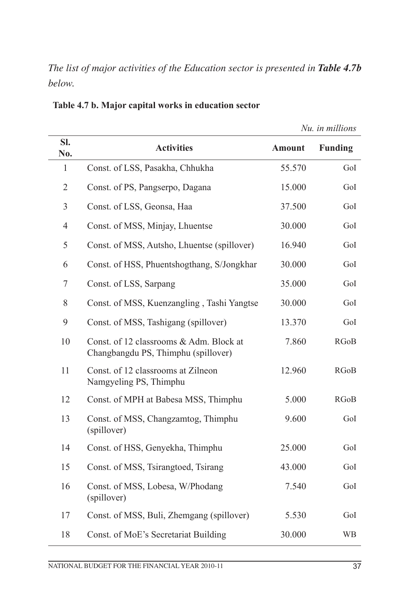*The list of major activities of the Education sector is presented in Table 4.7b below.*

|                |                                                                                |               | Nu. in millions |
|----------------|--------------------------------------------------------------------------------|---------------|-----------------|
| Sl.<br>No.     | <b>Activities</b>                                                              | <b>Amount</b> | <b>Funding</b>  |
| $\mathbf{1}$   | Const. of LSS, Pasakha, Chhukha                                                | 55.570        | GoI             |
| $\overline{2}$ | Const. of PS, Pangserpo, Dagana                                                | 15.000        | GoI             |
| $\mathfrak{Z}$ | Const. of LSS, Geonsa, Haa                                                     | 37.500        | GoI             |
| $\overline{4}$ | Const. of MSS, Minjay, Lhuentse                                                | 30.000        | GoI             |
| 5              | Const. of MSS, Autsho, Lhuentse (spillover)                                    | 16.940        | GoI             |
| 6              | Const. of HSS, Phuentshogthang, S/Jongkhar                                     | 30.000        | GoI             |
| $\tau$         | Const. of LSS, Sarpang                                                         | 35.000        | GoI             |
| 8              | Const. of MSS, Kuenzangling, Tashi Yangtse                                     | 30.000        | GoI             |
| 9              | Const. of MSS, Tashigang (spillover)                                           | 13.370        | GoI             |
| 10             | Const. of 12 classrooms & Adm. Block at<br>Changbangdu PS, Thimphu (spillover) | 7.860         | <b>RGoB</b>     |
| 11             | Const. of 12 classrooms at Zilneon<br>Namgyeling PS, Thimphu                   | 12.960        | <b>RGoB</b>     |
| 12             | Const. of MPH at Babesa MSS, Thimphu                                           | 5.000         | <b>RGoB</b>     |
| 13             | Const. of MSS, Changzamtog, Thimphu<br>(spillover)                             | 9.600         | GoI             |
| 14             | Const. of HSS, Genyekha, Thimphu                                               | 25.000        | GoI             |
| 15             | Const. of MSS, Tsirangtoed, Tsirang                                            | 43.000        | GoI             |
| 16             | Const. of MSS, Lobesa, W/Phodang<br>(spillover)                                | 7.540         | GoI             |
| 17             | Const. of MSS, Buli, Zhemgang (spillover)                                      | 5.530         | GoI             |
| 18             | Const. of MoE's Secretariat Building                                           | 30.000        | <b>WB</b>       |

**Table 4.7 b. Major capital works in education sector**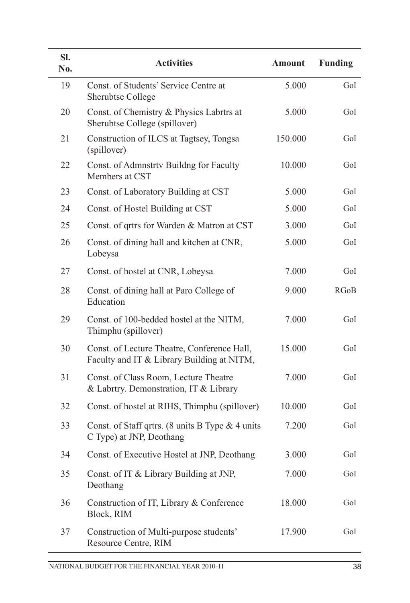| SI.<br>No. | <b>Activities</b>                                                                         | <b>Amount</b> | <b>Funding</b> |
|------------|-------------------------------------------------------------------------------------------|---------------|----------------|
| 19         | Const. of Students' Service Centre at<br><b>Sherubtse College</b>                         | 5.000         | GoI            |
| 20         | Const. of Chemistry & Physics Labrtrs at<br>Sherubtse College (spillover)                 | 5.000         | GoI            |
| 21         | Construction of ILCS at Tagtsey, Tongsa<br>(spillover)                                    | 150.000       | GoI            |
| 22         | Const. of Admnstrty Buildng for Faculty<br>Members at CST                                 | 10.000        | GoI            |
| 23         | Const. of Laboratory Building at CST                                                      | 5.000         | GoI            |
| 24         | Const. of Hostel Building at CST                                                          | 5.000         | GoI            |
| 25         | Const. of qrtrs for Warden & Matron at CST                                                | 3.000         | GoI            |
| 26         | Const. of dining hall and kitchen at CNR,<br>Lobeysa                                      | 5.000         | GoI            |
| 27         | Const. of hostel at CNR, Lobeysa                                                          | 7.000         | GoI            |
| 28         | Const. of dining hall at Paro College of<br>Education                                     | 9.000         | <b>RGoB</b>    |
| 29         | Const. of 100-bedded hostel at the NITM,<br>Thimphu (spillover)                           | 7.000         | GoI            |
| 30         | Const. of Lecture Theatre, Conference Hall,<br>Faculty and IT & Library Building at NITM, | 15.000        | GoI            |
| 31         | Const. of Class Room, Lecture Theatre<br>& Labrtry. Demonstration, IT & Library           | 7.000         | GoI            |
| 32         | Const. of hostel at RIHS, Thimphu (spillover)                                             | 10.000        | GoI            |
| 33         | Const. of Staff qrtrs. (8 units B Type $& 4$ units<br>C Type) at JNP, Deothang            | 7.200         | GoI            |
| 34         | Const. of Executive Hostel at JNP, Deothang                                               | 3.000         | GoI            |
| 35         | Const. of IT & Library Building at JNP,<br>Deothang                                       | 7.000         | GoI            |
| 36         | Construction of IT, Library & Conference<br>Block, RIM                                    | 18.000        | GoI            |
| 37         | Construction of Multi-purpose students'<br>Resource Centre, RIM                           | 17.900        | GoI            |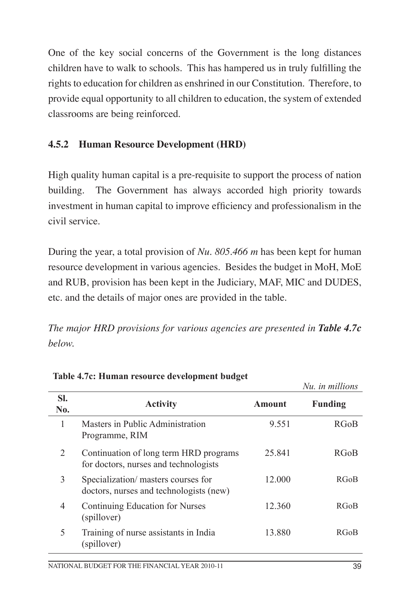One of the key social concerns of the Government is the long distances children have to walk to schools. This has hampered us in truly fulfilling the rights to education for children as enshrined in our Constitution. Therefore, to provide equal opportunity to all children to education, the system of extended classrooms are being reinforced.

## **4.5.2 Human Resource Development (HRD)**

High quality human capital is a pre-requisite to support the process of nation building. The Government has always accorded high priority towards investment in human capital to improve efficiency and professionalism in the civil service.

During the year, a total provision of *Nu. 805.466 m* has been kept for human resource development in various agencies. Besides the budget in MoH, MoE and RUB, provision has been kept in the Judiciary, MAF, MIC and DUDES, etc. and the details of major ones are provided in the table.

*The major HRD provisions for various agencies are presented in Table 4.7c below.*

|                |                                                                                 |        | Nu. in millions |
|----------------|---------------------------------------------------------------------------------|--------|-----------------|
| SI.<br>No.     | <b>Activity</b>                                                                 | Amount | <b>Funding</b>  |
| 1              | Masters in Public Administration<br>Programme, RIM                              | 9.551  | <b>RGoB</b>     |
| 2              | Continuation of long term HRD programs<br>for doctors, nurses and technologists | 25.841 | <b>RGoB</b>     |
| 3              | Specialization/masters courses for<br>doctors, nurses and technologists (new)   | 12.000 | <b>RGoB</b>     |
| $\overline{4}$ | Continuing Education for Nurses<br>(spillover)                                  | 12.360 | <b>RGoB</b>     |
| 5              | Training of nurse assistants in India<br>(spillover)                            | 13.880 | <b>RGoB</b>     |

**Table 4.7c: Human resource development budget**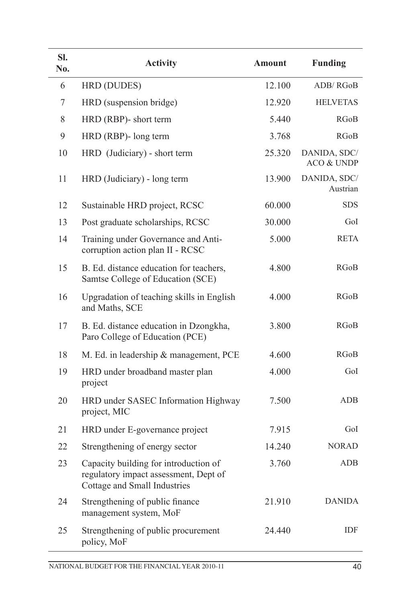| SI.<br>No. | <b>Activity</b>                                                                                                | <b>Amount</b> | <b>Funding</b>             |
|------------|----------------------------------------------------------------------------------------------------------------|---------------|----------------------------|
| 6          | HRD (DUDES)                                                                                                    | 12.100        | ADB/RGoB                   |
| 7          | HRD (suspension bridge)                                                                                        | 12.920        | <b>HELVETAS</b>            |
| 8          | HRD (RBP)- short term                                                                                          | 5.440         | <b>RGoB</b>                |
| 9          | HRD (RBP)- long term                                                                                           | 3.768         | <b>RGoB</b>                |
| 10         | HRD (Judiciary) - short term                                                                                   | 25.320        | DANIDA, SDC/<br>ACO & UNDP |
| 11         | HRD (Judiciary) - long term                                                                                    | 13.900        | DANIDA, SDC/<br>Austrian   |
| 12         | Sustainable HRD project, RCSC                                                                                  | 60.000        | <b>SDS</b>                 |
| 13         | Post graduate scholarships, RCSC                                                                               | 30.000        | GoI                        |
| 14         | Training under Governance and Anti-<br>corruption action plan II - RCSC                                        | 5.000         | <b>RETA</b>                |
| 15         | B. Ed. distance education for teachers,<br>Samtse College of Education (SCE)                                   | 4.800         | RGoB                       |
| 16         | Upgradation of teaching skills in English<br>and Maths, SCE                                                    | 4.000         | <b>RGoB</b>                |
| 17         | B. Ed. distance education in Dzongkha,<br>Paro College of Education (PCE)                                      | 3.800         | RGoB                       |
| 18         | M. Ed. in leadership & management, PCE                                                                         | 4.600         | RGoB                       |
| 19         | HRD under broadband master plan<br>project                                                                     | 4.000         | GoI                        |
| 20         | HRD under SASEC Information Highway<br>project, MIC                                                            | 7.500         | <b>ADB</b>                 |
| 21         | HRD under E-governance project                                                                                 | 7.915         | GoI                        |
| 22         | Strengthening of energy sector                                                                                 | 14.240        | <b>NORAD</b>               |
| 23         | Capacity building for introduction of<br>regulatory impact assessment, Dept of<br>Cottage and Small Industries | 3.760         | <b>ADB</b>                 |
| 24         | Strengthening of public finance<br>management system, MoF                                                      | 21.910        | <b>DANIDA</b>              |
| 25         | Strengthening of public procurement<br>policy, MoF                                                             | 24.440        | IDF                        |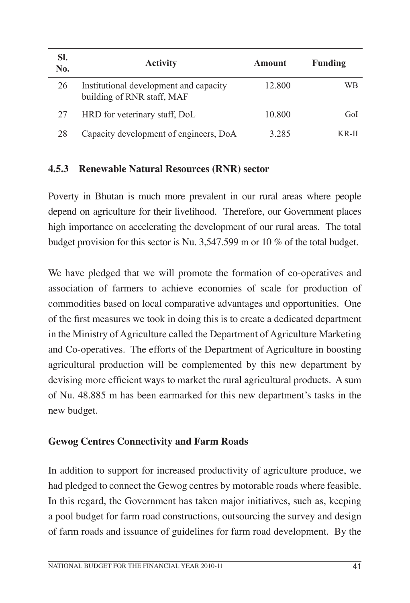| SI.<br>No. | <b>Activity</b>                                                      | Amount  | <b>Funding</b> |
|------------|----------------------------------------------------------------------|---------|----------------|
| 26         | Institutional development and capacity<br>building of RNR staff, MAF | 12.800  | WВ             |
| 27         | HRD for veterinary staff, DoL                                        | 10.800  | GoL            |
| 28         | Capacity development of engineers, DoA                               | 3 2 8 5 | KR-II          |

### **4.5.3 Renewable Natural Resources (RNR) sector**

Poverty in Bhutan is much more prevalent in our rural areas where people depend on agriculture for their livelihood. Therefore, our Government places high importance on accelerating the development of our rural areas. The total budget provision for this sector is Nu. 3,547.599 m or 10 % of the total budget.

We have pledged that we will promote the formation of co-operatives and association of farmers to achieve economies of scale for production of commodities based on local comparative advantages and opportunities. One of the first measures we took in doing this is to create a dedicated department in the Ministry of Agriculture called the Department of Agriculture Marketing and Co-operatives. The efforts of the Department of Agriculture in boosting agricultural production will be complemented by this new department by devising more efficient ways to market the rural agricultural products. A sum of Nu. 48.885 m has been earmarked for this new department's tasks in the new budget.

## **Gewog Centres Connectivity and Farm Roads**

In addition to support for increased productivity of agriculture produce, we had pledged to connect the Gewog centres by motorable roads where feasible. In this regard, the Government has taken major initiatives, such as, keeping a pool budget for farm road constructions, outsourcing the survey and design of farm roads and issuance of guidelines for farm road development. By the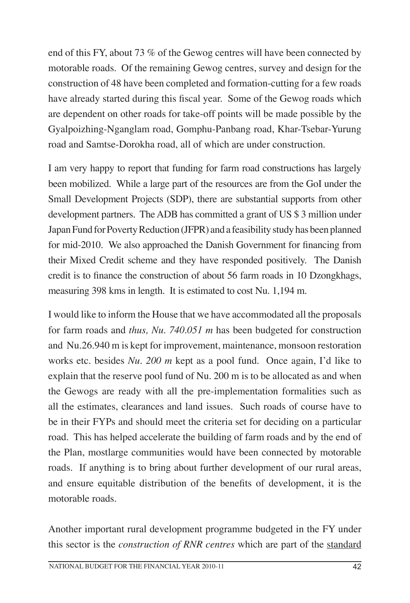end of this FY, about 73 % of the Gewog centres will have been connected by motorable roads. Of the remaining Gewog centres, survey and design for the construction of 48 have been completed and formation-cutting for a few roads have already started during this fiscal year. Some of the Gewog roads which are dependent on other roads for take-off points will be made possible by the Gyalpoizhing-Nganglam road, Gomphu-Panbang road, Khar-Tsebar-Yurung road and Samtse-Dorokha road, all of which are under construction.

I am very happy to report that funding for farm road constructions has largely been mobilized. While a large part of the resources are from the GoI under the Small Development Projects (SDP), there are substantial supports from other development partners. The ADB has committed a grant of US \$ 3 million under Japan Fund for Poverty Reduction (JFPR) and a feasibility study has been planned for mid-2010. We also approached the Danish Government for financing from their Mixed Credit scheme and they have responded positively. The Danish credit is to finance the construction of about 56 farm roads in 10 Dzongkhags, measuring 398 kms in length. It is estimated to cost Nu. 1,194 m.

I would like to inform the House that we have accommodated all the proposals for farm roads and *thus, Nu. 740.051 m* has been budgeted for construction and Nu.26.940 m is kept for improvement, maintenance, monsoon restoration works etc. besides *Nu. 200 m* kept as a pool fund. Once again, I'd like to explain that the reserve pool fund of Nu. 200 m is to be allocated as and when the Gewogs are ready with all the pre-implementation formalities such as all the estimates, clearances and land issues. Such roads of course have to be in their FYPs and should meet the criteria set for deciding on a particular road. This has helped accelerate the building of farm roads and by the end of the Plan, mostlarge communities would have been connected by motorable roads. If anything is to bring about further development of our rural areas, and ensure equitable distribution of the benefits of development, it is the motorable roads.

Another important rural development programme budgeted in the FY under this sector is the *construction of RNR centres* which are part of the standard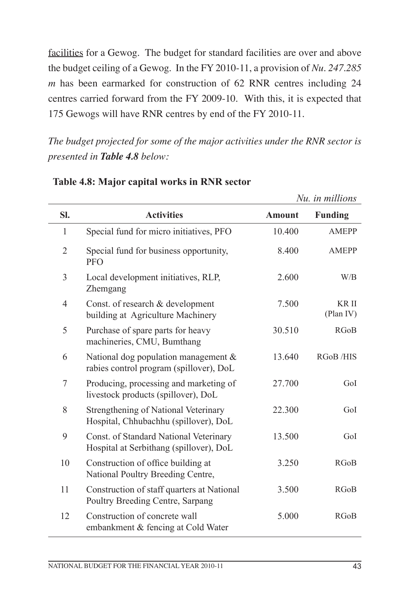facilities for a Gewog. The budget for standard facilities are over and above the budget ceiling of a Gewog. In the FY 2010-11, a provision of *Nu. 247.285 m* has been earmarked for construction of 62 RNR centres including 24 centres carried forward from the FY 2009-10. With this, it is expected that 175 Gewogs will have RNR centres by end of the FY 2010-11.

*The budget projected for some of the major activities under the RNR sector is presented in Table 4.8 below:*

|                |                                                                                    |               | Nu. in millions    |
|----------------|------------------------------------------------------------------------------------|---------------|--------------------|
| SI.            | <b>Activities</b>                                                                  | <b>Amount</b> | <b>Funding</b>     |
| $\mathbf{1}$   | Special fund for micro initiatives, PFO                                            | 10.400        | <b>AMEPP</b>       |
| $\overline{2}$ | Special fund for business opportunity,<br><b>PFO</b>                               | 8.400         | <b>AMEPP</b>       |
| 3              | Local development initiatives, RLP,<br>Zhemgang                                    | 2.600         | W/B                |
| $\overline{4}$ | Const. of research & development<br>building at Agriculture Machinery              | 7.500         | KR II<br>(Plan IV) |
| 5              | Purchase of spare parts for heavy<br>machineries, CMU, Bumthang                    | 30.510        | <b>RGoB</b>        |
| 6              | National dog population management $\&$<br>rabies control program (spillover), DoL | 13.640        | RGoB/HIS           |
| 7              | Producing, processing and marketing of<br>livestock products (spillover), DoL      | 27.700        | GoI                |
| 8              | Strengthening of National Veterinary<br>Hospital, Chhubachhu (spillover), DoL      | 22.300        | GoI                |
| 9              | Const. of Standard National Veterinary<br>Hospital at Serbithang (spillover), DoL  | 13.500        | GoI                |
| 10             | Construction of office building at<br>National Poultry Breeding Centre,            | 3.250         | <b>RGoB</b>        |
| 11             | Construction of staff quarters at National<br>Poultry Breeding Centre, Sarpang     | 3.500         | <b>RGoB</b>        |
| 12             | Construction of concrete wall<br>embankment & fencing at Cold Water                | 5.000         | <b>RGoB</b>        |

### **Table 4.8: Major capital works in RNR sector**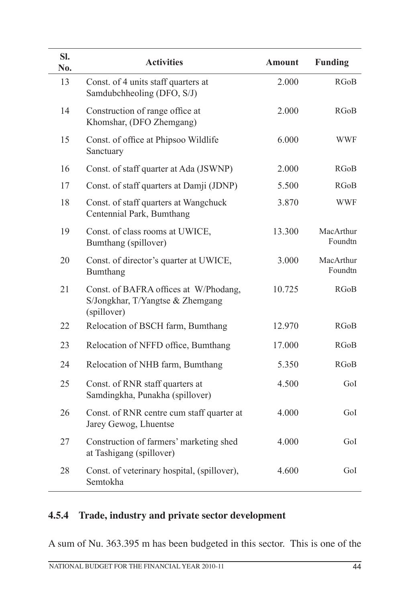| Sl.<br>No. | <b>Activities</b>                                                                        | <b>Amount</b> | <b>Funding</b>       |
|------------|------------------------------------------------------------------------------------------|---------------|----------------------|
| 13         | Const. of 4 units staff quarters at<br>Samdubchheoling (DFO, S/J)                        | 2.000         | RGoB                 |
| 14         | Construction of range office at<br>Khomshar, (DFO Zhemgang)                              | 2.000         | RGoB                 |
| 15         | Const. of office at Phipsoo Wildlife<br>Sanctuary                                        | 6.000         | WWF                  |
| 16         | Const. of staff quarter at Ada (JSWNP)                                                   | 2.000         | RGoB                 |
| 17         | Const. of staff quarters at Damji (JDNP)                                                 | 5.500         | RGoB                 |
| 18         | Const. of staff quarters at Wangchuck<br>Centennial Park, Bumthang                       | 3.870         | <b>WWF</b>           |
| 19         | Const. of class rooms at UWICE,<br>Bumthang (spillover)                                  | 13.300        | MacArthur<br>Foundtn |
| 20         | Const. of director's quarter at UWICE,<br>Bumthang                                       | 3.000         | MacArthur<br>Foundtn |
| 21         | Const. of BAFRA offices at W/Phodang,<br>S/Jongkhar, T/Yangtse & Zhemgang<br>(spillover) | 10.725        | RGoB                 |
| 22         | Relocation of BSCH farm, Bumthang                                                        | 12.970        | RGoB                 |
| 23         | Relocation of NFFD office, Bumthang                                                      | 17.000        | RGoB                 |
| 24         | Relocation of NHB farm, Bumthang                                                         | 5.350         | RGoB                 |
| 25         | Const. of RNR staff quarters at<br>Samdingkha, Punakha (spillover)                       | 4.500         | GoI                  |
| 26         | Const. of RNR centre cum staff quarter at<br>Jarey Gewog, Lhuentse                       | 4.000         | GoI                  |
| 27         | Construction of farmers' marketing shed<br>at Tashigang (spillover)                      | 4.000         | GoI                  |
| 28         | Const. of veterinary hospital, (spillover),<br>Semtokha                                  | 4.600         | GoI                  |

## **4.5.4 Trade, industry and private sector development**

A sum of Nu. 363.395 m has been budgeted in this sector. This is one of the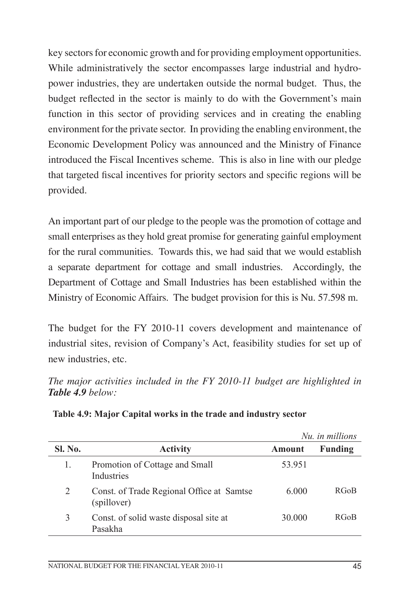key sectors for economic growth and for providing employment opportunities. While administratively the sector encompasses large industrial and hydropower industries, they are undertaken outside the normal budget. Thus, the budget reflected in the sector is mainly to do with the Government's main function in this sector of providing services and in creating the enabling environment for the private sector. In providing the enabling environment, the Economic Development Policy was announced and the Ministry of Finance introduced the Fiscal Incentives scheme. This is also in line with our pledge that targeted fiscal incentives for priority sectors and specific regions will be provided.

An important part of our pledge to the people was the promotion of cottage and small enterprises as they hold great promise for generating gainful employment for the rural communities. Towards this, we had said that we would establish a separate department for cottage and small industries. Accordingly, the Department of Cottage and Small Industries has been established within the Ministry of Economic Affairs. The budget provision for this is Nu. 57.598 m.

The budget for the FY 2010-11 covers development and maintenance of industrial sites, revision of Company's Act, feasibility studies for set up of new industries, etc.

*The major activities included in the FY 2010-11 budget are highlighted in Table 4.9 below:* 

|         |                                                          |               | Nu. in millions |
|---------|----------------------------------------------------------|---------------|-----------------|
| Sl. No. | <b>Activity</b>                                          | <b>Amount</b> | <b>Funding</b>  |
| 1.      | Promotion of Cottage and Small<br>Industries             | 53.951        |                 |
| 2       | Const. of Trade Regional Office at Samtse<br>(spillover) | 6.000         | <b>RGoB</b>     |
| 3       | Const. of solid waste disposal site at<br>Pasakha        | 30.000        | <b>RGoB</b>     |

|  |  | Table 4.9: Major Capital works in the trade and industry sector |  |
|--|--|-----------------------------------------------------------------|--|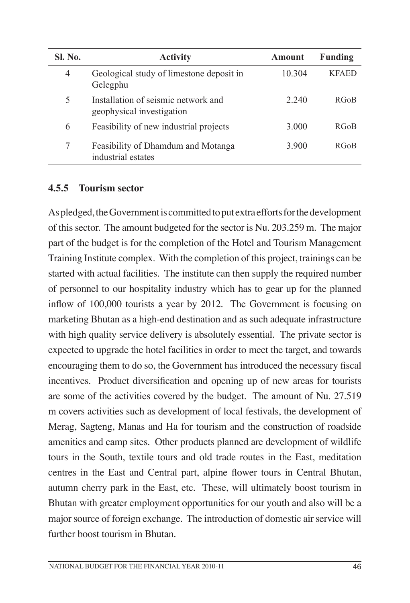| <b>Sl. No.</b> | <b>Activity</b>                                                  | Amount  | Funding      |
|----------------|------------------------------------------------------------------|---------|--------------|
| 4              | Geological study of limestone deposit in<br>Gelegphu             | 10.304  | <b>KFAED</b> |
| 5              | Installation of seismic network and<br>geophysical investigation | 2 2 4 0 | <b>RGoB</b>  |
| 6              | Feasibility of new industrial projects                           | 3.000   | <b>RGoB</b>  |
| 7              | Feasibility of Dhamdum and Motanga<br>industrial estates         | 3 900   | <b>RGoB</b>  |

#### **4.5.5 Tourism sector**

As pledged, the Government is committed to put extra efforts for the development of this sector. The amount budgeted for the sector is Nu. 203.259 m. The major part of the budget is for the completion of the Hotel and Tourism Management Training Institute complex. With the completion of this project, trainings can be started with actual facilities. The institute can then supply the required number of personnel to our hospitality industry which has to gear up for the planned inflow of 100,000 tourists a year by 2012. The Government is focusing on marketing Bhutan as a high-end destination and as such adequate infrastructure with high quality service delivery is absolutely essential. The private sector is expected to upgrade the hotel facilities in order to meet the target, and towards encouraging them to do so, the Government has introduced the necessary fiscal incentives. Product diversification and opening up of new areas for tourists are some of the activities covered by the budget. The amount of Nu. 27.519 m covers activities such as development of local festivals, the development of Merag, Sagteng, Manas and Ha for tourism and the construction of roadside amenities and camp sites. Other products planned are development of wildlife tours in the South, textile tours and old trade routes in the East, meditation centres in the East and Central part, alpine flower tours in Central Bhutan, autumn cherry park in the East, etc. These, will ultimately boost tourism in Bhutan with greater employment opportunities for our youth and also will be a major source of foreign exchange. The introduction of domestic air service will further boost tourism in Bhutan.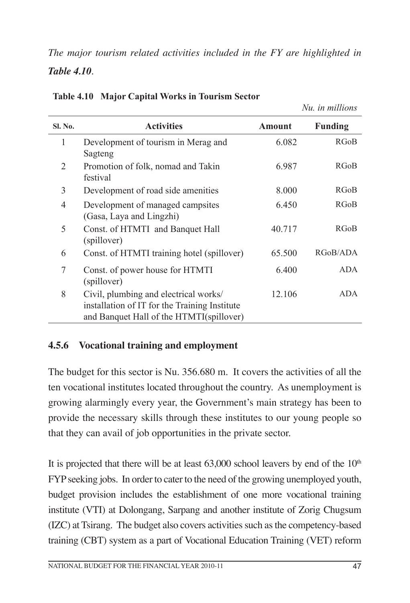*The major tourism related activities included in the FY are highlighted in Table 4.10.*

| <b>Sl. No.</b> | <b>Activities</b>                                                                                                                  | Amount | <b>Funding</b> |
|----------------|------------------------------------------------------------------------------------------------------------------------------------|--------|----------------|
| 1              | Development of tourism in Merag and<br>Sagteng                                                                                     | 6.082  | RGoB           |
| 2              | Promotion of folk, nomad and Takin<br>festival                                                                                     | 6.987  | RGoB           |
| 3              | Development of road side amenities                                                                                                 | 8.000  | RGoB           |
| 4              | Development of managed campsites<br>(Gasa, Laya and Lingzhi)                                                                       | 6.450  | RGoB           |
| 5              | Const. of HTMTI and Banquet Hall<br>(spillover)                                                                                    | 40.717 | RGoB           |
| 6              | Const. of HTMTI training hotel (spillover)                                                                                         | 65.500 | RGoB/ADA       |
| 7              | Const. of power house for HTMTI<br>(spillover)                                                                                     | 6.400  | ADA.           |
| 8              | Civil, plumbing and electrical works/<br>installation of IT for the Training Institute<br>and Banquet Hall of the HTMTI(spillover) | 12.106 | <b>ADA</b>     |

**Table 4.10 Major Capital Works in Tourism Sector** 

## **4.5.6 Vocational training and employment**

The budget for this sector is Nu. 356.680 m. It covers the activities of all the ten vocational institutes located throughout the country. As unemployment is growing alarmingly every year, the Government's main strategy has been to provide the necessary skills through these institutes to our young people so that they can avail of job opportunities in the private sector.

It is projected that there will be at least  $63,000$  school leavers by end of the  $10<sup>th</sup>$ FYP seeking jobs. In order to cater to the need of the growing unemployed youth, budget provision includes the establishment of one more vocational training institute (VTI) at Dolongang, Sarpang and another institute of Zorig Chugsum (IZC) at Tsirang. The budget also covers activities such as the competency-based training (CBT) system as a part of Vocational Education Training (VET) reform

*Nu. in millions*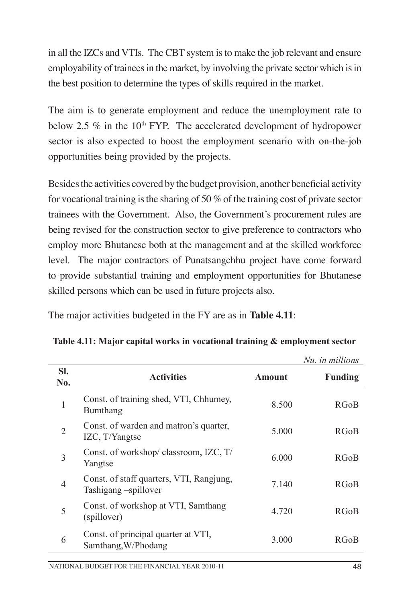in all the IZCs and VTIs. The CBT system is to make the job relevant and ensure employability of trainees in the market, by involving the private sector which is in the best position to determine the types of skills required in the market.

The aim is to generate employment and reduce the unemployment rate to below 2.5  $\%$  in the 10<sup>th</sup> FYP. The accelerated development of hydropower sector is also expected to boost the employment scenario with on-the-job opportunities being provided by the projects.

Besides the activities covered by the budget provision, another beneficial activity for vocational training is the sharing of 50 % of the training cost of private sector trainees with the Government. Also, the Government's procurement rules are being revised for the construction sector to give preference to contractors who employ more Bhutanese both at the management and at the skilled workforce level. The major contractors of Punatsangchhu project have come forward to provide substantial training and employment opportunities for Bhutanese skilled persons which can be used in future projects also.

The major activities budgeted in the FY are as in **Table 4.11**:

|                |                                                                  |        | Nu. in millions |
|----------------|------------------------------------------------------------------|--------|-----------------|
| SI.<br>No.     | <b>Activities</b>                                                | Amount | <b>Funding</b>  |
| 1              | Const. of training shed, VTI, Chhumey,<br>Bumthang               | 8.500  | <b>RGoB</b>     |
| $\overline{2}$ | Const. of warden and matron's quarter,<br>IZC, T/Yangtse         | 5.000  | <b>RGoB</b>     |
| $\overline{3}$ | Const. of workshop/classroom, IZC, T/<br>Yangtse                 | 6.000  | <b>RGoB</b>     |
| $\overline{4}$ | Const. of staff quarters, VTI, Rangjung,<br>Tashigang -spillover | 7.140  | <b>RGoB</b>     |
| 5              | Const. of workshop at VTI, Samthang<br>(spillover)               | 4.720  | RGoB            |
| 6              | Const. of principal quarter at VTI,<br>Samthang, W/Phodang       | 3.000  | RGoB            |

|  |  | Table 4.11: Major capital works in vocational training & employment sector |
|--|--|----------------------------------------------------------------------------|
|--|--|----------------------------------------------------------------------------|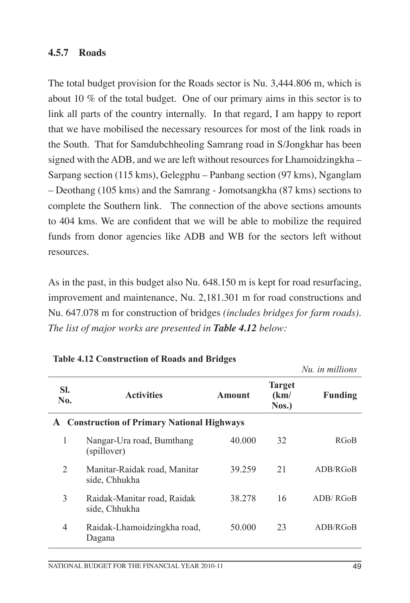### **4.5.7 Roads**

The total budget provision for the Roads sector is Nu. 3,444.806 m, which is about 10 % of the total budget. One of our primary aims in this sector is to link all parts of the country internally. In that regard, I am happy to report that we have mobilised the necessary resources for most of the link roads in the South. That for Samdubchheoling Samrang road in S/Jongkhar has been signed with the ADB, and we are left without resources for Lhamoidzingkha – Sarpang section (115 kms), Gelegphu – Panbang section (97 kms), Nganglam – Deothang (105 kms) and the Samrang - Jomotsangkha (87 kms) sections to complete the Southern link. The connection of the above sections amounts to 404 kms. We are confident that we will be able to mobilize the required funds from donor agencies like ADB and WB for the sectors left without resources.

As in the past, in this budget also Nu. 648.150 m is kept for road resurfacing, improvement and maintenance, Nu. 2,181.301 m for road constructions and Nu. 647.078 m for construction of bridges *(includes bridges for farm roads)*. *The list of major works are presented in Table 4.12 below:*

|            |                                                  |        |                                | Nu, in millions |
|------------|--------------------------------------------------|--------|--------------------------------|-----------------|
| SI.<br>No. | <b>Activities</b>                                | Amount | <b>Target</b><br>(km)<br>Nos.) | <b>Funding</b>  |
| A          | <b>Construction of Primary National Highways</b> |        |                                |                 |
| 1          | Nangar-Ura road, Bumthang<br>(spillover)         | 40.000 | 32                             | <b>RGoB</b>     |
| 2          | Manitar-Raidak road, Manitar<br>side, Chhukha    | 39.259 | 21                             | ADB/RGoB        |
| 3          | Raidak-Manitar road, Raidak<br>side, Chhukha     | 38.278 | 16                             | ADB/RGoB        |
| 4          | Raidak-Lhamoidzingkha road,<br>Dagana            | 50.000 | 23                             | ADB/RGoB        |

#### **Table 4.12 Construction of Roads and Bridges**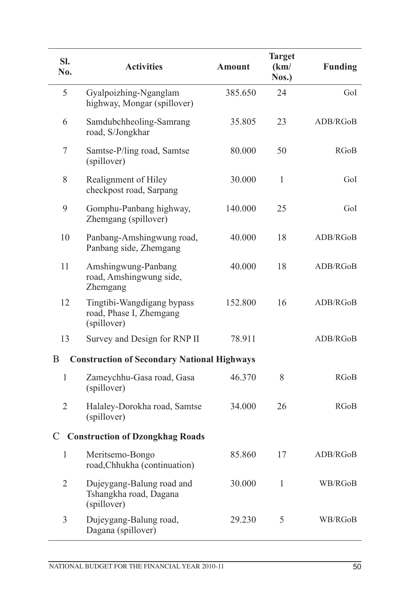| SI.<br>No.     | <b>Activities</b>                                                    | <b>Amount</b> | <b>Target</b><br>(km)<br>Nos.) | <b>Funding</b> |
|----------------|----------------------------------------------------------------------|---------------|--------------------------------|----------------|
| 5              | Gyalpoizhing-Nganglam<br>highway, Mongar (spillover)                 | 385.650       | 24                             | GoI            |
| 6              | Samdubchheoling-Samrang<br>road, S/Jongkhar                          | 35.805        | 23                             | ADB/RGoB       |
| 7              | Samtse-P/ling road, Samtse<br>(spillover)                            | 80.000        | 50                             | RGoB           |
| 8              | Realignment of Hiley<br>checkpost road, Sarpang                      | 30.000        | 1                              | GoI            |
| 9              | Gomphu-Panbang highway,<br>Zhemgang (spillover)                      | 140.000       | 25                             | GoI            |
| 10             | Panbang-Amshingwung road,<br>Panbang side, Zhemgang                  | 40.000        | 18                             | ADB/RGoB       |
| 11             | Amshingwung-Panbang<br>road, Amshingwung side,<br>Zhemgang           | 40.000        | 18                             | ADB/RGoB       |
| 12             | Tingtibi-Wangdigang bypass<br>road, Phase I, Zhemgang<br>(spillover) | 152.800       | 16                             | ADB/RGoB       |
| 13             | Survey and Design for RNP II                                         | 78.911        |                                | ADB/RGoB       |
| B              | <b>Construction of Secondary National Highways</b>                   |               |                                |                |
| $\mathbf{1}$   | Zameychhu-Gasa road, Gasa<br>(spillover)                             | 46.370        | 8                              | <b>RGoB</b>    |
| $\overline{2}$ | Halaley-Dorokha road, Samtse<br>(spillover)                          | 34.000        | 26                             | RGoB           |
| $\mathcal{C}$  | <b>Construction of Dzongkhag Roads</b>                               |               |                                |                |
| 1              | Meritsemo-Bongo<br>road, Chhukha (continuation)                      | 85.860        | 17                             | ADB/RGoB       |
| $\overline{2}$ | Dujeygang-Balung road and<br>Tshangkha road, Dagana<br>(spillover)   | 30.000        | $\mathbf{1}$                   | WB/RGoB        |
| 3              | Dujeygang-Balung road,<br>Dagana (spillover)                         | 29.230        | 5                              | WB/RGoB        |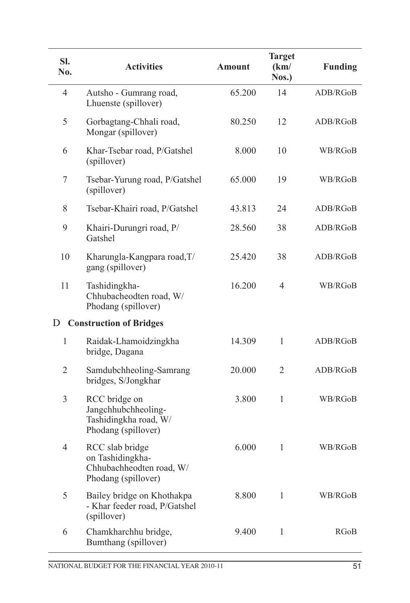| SI.<br>No.     | <b>Activities</b>                                                                      | <b>Amount</b> | <b>Target</b><br>(km)<br>Nos.) | <b>Funding</b> |
|----------------|----------------------------------------------------------------------------------------|---------------|--------------------------------|----------------|
| $\overline{4}$ | Autsho - Gumrang road,<br>Lhuenste (spillover)                                         | 65.200        | 14                             | ADB/RGoB       |
| 5              | Gorbagtang-Chhali road,<br>Mongar (spillover)                                          | 80.250        | 12                             | ADB/RGoB       |
| 6              | Khar-Tsebar road, P/Gatshel<br>(spillover)                                             | 8.000         | 10                             | WB/RGoB        |
| 7              | Tsebar-Yurung road, P/Gatshel<br>(spillover)                                           | 65.000        | 19                             | WB/RGoB        |
| 8              | Tsebar-Khairi road, P/Gatshel                                                          | 43.813        | 24                             | ADB/RGoB       |
| 9              | Khairi-Durungri road, P/<br>Gatshel                                                    | 28.560        | 38                             | ADB/RGoB       |
| 10             | Kharungla-Kangpara road, T/<br>gang (spillover)                                        | 25.420        | 38                             | ADB/RGoB       |
| 11             | Tashidingkha-<br>Chhubacheodten road, W/<br>Phodang (spillover)                        | 16.200        | $\overline{4}$                 | WB/RGoB        |
| D              | <b>Construction of Bridges</b>                                                         |               |                                |                |
| $\mathbf{1}$   | Raidak-Lhamoidzingkha<br>bridge, Dagana                                                | 14.309        | 1                              | ADB/RGoB       |
| $\overline{2}$ | Samdubchheoling-Samrang<br>bridges, S/Jongkhar                                         | 20.000        | $\overline{2}$                 | ADB/RGoB       |
| $\mathfrak{Z}$ | RCC bridge on<br>Jangchhubchheoling-<br>Tashidingkha road, W/<br>Phodang (spillover)   | 3.800         | $\mathbf{1}$                   | WB/RGoB        |
| $\overline{4}$ | RCC slab bridge<br>on Tashidingkha-<br>Chhubachheodten road, W/<br>Phodang (spillover) | 6.000         | 1                              | WB/RGoB        |
| 5              | Bailey bridge on Khothakpa<br>- Khar feeder road, P/Gatshel<br>(spillover)             | 8.800         | $\mathbf{1}$                   | WB/RGoB        |
| 6              | Chamkharchhu bridge,<br>Bumthang (spillover)                                           | 9.400         | 1                              | RGoB           |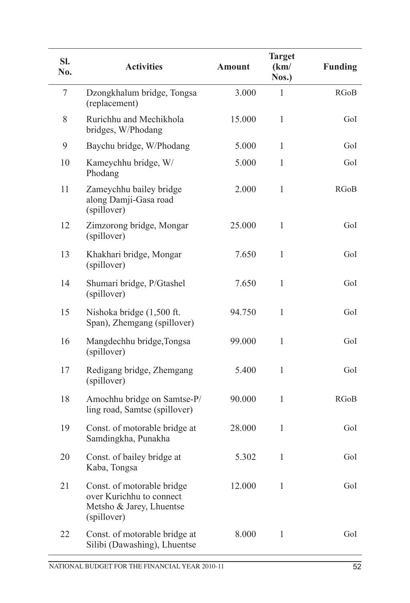| SI.<br>No. | <b>Activities</b>                                                                                 | <b>Amount</b> | <b>Target</b><br>(km)<br>Nos.) | <b>Funding</b> |
|------------|---------------------------------------------------------------------------------------------------|---------------|--------------------------------|----------------|
| 7          | Dzongkhalum bridge, Tongsa<br>(replacement)                                                       | 3.000         | 1                              | <b>RGoB</b>    |
| 8          | Rurichhu and Mechikhola<br>bridges, W/Phodang                                                     | 15.000        | $\mathbf{1}$                   | GoI            |
| 9          | Baychu bridge, W/Phodang                                                                          | 5.000         | $\mathbf{1}$                   | GoI            |
| 10         | Kameychhu bridge, W/<br>Phodang                                                                   | 5.000         | 1                              | GoI            |
| 11         | Zameychhu bailey bridge<br>along Damji-Gasa road<br>(spillover)                                   | 2.000         | $\mathbf{1}$                   | <b>RGoB</b>    |
| 12         | Zimzorong bridge, Mongar<br>(spillover)                                                           | 25.000        | $\mathbf{1}$                   | GoI            |
| 13         | Khakhari bridge, Mongar<br>(spillover)                                                            | 7.650         | $\mathbf{1}$                   | GoI            |
| 14         | Shumari bridge, P/Gtashel<br>(spillover)                                                          | 7.650         | $\mathbf{1}$                   | GoI            |
| 15         | Nishoka bridge (1,500 ft.<br>Span), Zhemgang (spillover)                                          | 94.750        | $\mathbf{1}$                   | GoI            |
| 16         | Mangdechhu bridge, Tongsa<br>(spillover)                                                          | 99.000        | $\mathbf{1}$                   | GoI            |
| 17         | Redigang bridge, Zhemgang<br>(spillover)                                                          | 5.400         | $\mathbf{1}$                   | GoI            |
| 18         | Amochhu bridge on Samtse-P/<br>ling road, Samtse (spillover)                                      | 90.000        | $\mathbf{1}$                   | <b>RGoB</b>    |
| 19         | Const. of motorable bridge at<br>Samdingkha, Punakha                                              | 28.000        | $\mathbf{1}$                   | GoI            |
| 20         | Const. of bailey bridge at<br>Kaba, Tongsa                                                        | 5.302         | $\mathbf{1}$                   | GoI            |
| 21         | Const. of motorable bridge<br>over Kurichhu to connect<br>Metsho & Jarey, Lhuentse<br>(spillover) | 12.000        | $\mathbf{1}$                   | GoI            |
| 22         | Const. of motorable bridge at<br>Silibi (Dawashing), Lhuentse                                     | 8.000         | $\mathbf{1}$                   | GoI            |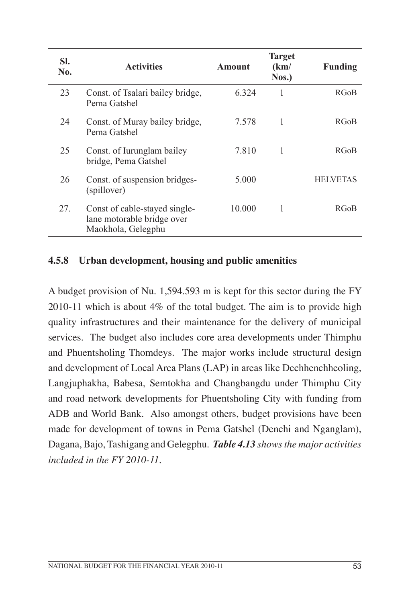| SI.<br>No. | <b>Activities</b>                                                                 | <b>Amount</b> | <b>Target</b><br>(km)<br>$N$ os.) | <b>Funding</b>  |
|------------|-----------------------------------------------------------------------------------|---------------|-----------------------------------|-----------------|
| 23         | Const. of Tsalari bailey bridge,<br>Pema Gatshel                                  | 6.324         | 1                                 | <b>RGoB</b>     |
| 24         | Const. of Muray bailey bridge,<br>Pema Gatshel                                    | 7.578         | 1                                 | <b>RGoB</b>     |
| 25         | Const. of Iurunglam bailey<br>bridge, Pema Gatshel                                | 7.810         | 1                                 | <b>RGoB</b>     |
| 26         | Const. of suspension bridges-<br>(spillover)                                      | 5.000         |                                   | <b>HELVETAS</b> |
| 27.        | Const of cable-stayed single-<br>lane motorable bridge over<br>Maokhola, Gelegphu | 10.000        | 1                                 | <b>RGoB</b>     |

### **4.5.8 Urban development, housing and public amenities**

A budget provision of Nu. 1,594.593 m is kept for this sector during the FY 2010-11 which is about 4% of the total budget. The aim is to provide high quality infrastructures and their maintenance for the delivery of municipal services. The budget also includes core area developments under Thimphu and Phuentsholing Thomdeys. The major works include structural design and development of Local Area Plans (LAP) in areas like Dechhenchheoling, Langjuphakha, Babesa, Semtokha and Changbangdu under Thimphu City and road network developments for Phuentsholing City with funding from ADB and World Bank. Also amongst others, budget provisions have been made for development of towns in Pema Gatshel (Denchi and Nganglam), Dagana, Bajo, Tashigang and Gelegphu. *Table 4.13 shows the major activities included in the FY 2010-11.*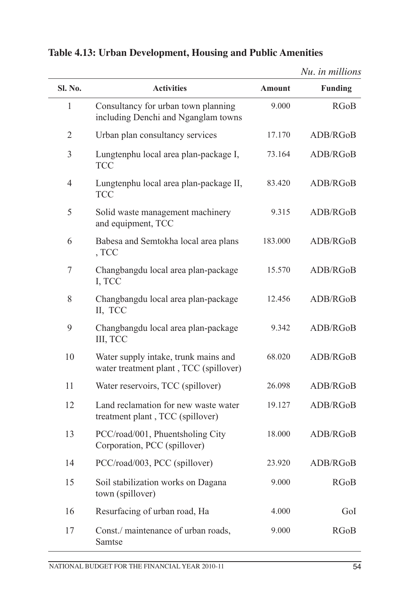|                |                                                                                |         | Nu. in millions |
|----------------|--------------------------------------------------------------------------------|---------|-----------------|
| <b>Sl. No.</b> | <b>Activities</b>                                                              | Amount  | <b>Funding</b>  |
| 1              | Consultancy for urban town planning<br>including Denchi and Nganglam towns     | 9.000   | <b>RGoB</b>     |
| $\overline{2}$ | Urban plan consultancy services                                                | 17.170  | ADB/RGoB        |
| 3              | Lungtenphu local area plan-package I,<br><b>TCC</b>                            | 73.164  | ADB/RGoB        |
| $\overline{4}$ | Lungtenphu local area plan-package II,<br><b>TCC</b>                           | 83.420  | ADB/RGoB        |
| 5              | Solid waste management machinery<br>and equipment, TCC                         | 9.315   | ADB/RGoB        |
| 6              | Babesa and Semtokha local area plans<br>, TCC                                  | 183.000 | ADB/RGoB        |
| 7              | Changbangdu local area plan-package<br>I, TCC                                  | 15.570  | ADB/RGoB        |
| 8              | Changbangdu local area plan-package<br>II, TCC                                 | 12.456  | ADB/RGoB        |
| 9              | Changbangdu local area plan-package<br>III, TCC                                | 9.342   | ADB/RGoB        |
| 10             | Water supply intake, trunk mains and<br>water treatment plant, TCC (spillover) | 68.020  | ADB/RGoB        |
| 11             | Water reservoirs, TCC (spillover)                                              | 26.098  | ADB/RGoB        |
| 12             | Land reclamation for new waste water<br>treatment plant, TCC (spillover)       | 19.127  | ADB/RGoB        |
| 13             | PCC/road/001, Phuentsholing City<br>Corporation, PCC (spillover)               | 18.000  | ADB/RGoB        |
| 14             | PCC/road/003, PCC (spillover)                                                  | 23.920  | ADB/RGoB        |
| 15             | Soil stabilization works on Dagana<br>town (spillover)                         | 9.000   | <b>RGoB</b>     |
| 16             | Resurfacing of urban road, Ha                                                  | 4.000   | GoI             |
| 17             | Const./ maintenance of urban roads,<br>Samtse                                  | 9.000   | <b>RGoB</b>     |

## **Table 4.13: Urban Development, Housing and Public Amenities**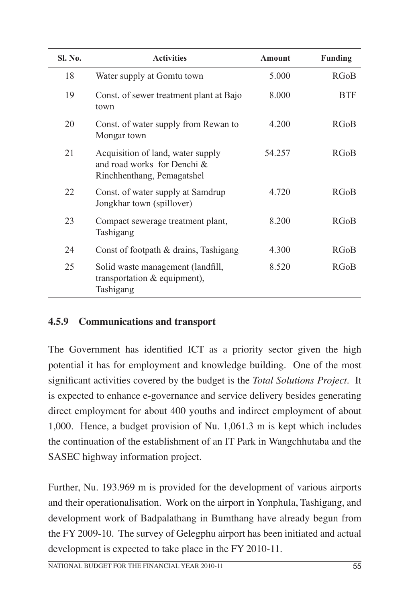| <b>SI. No.</b> | <b>Activities</b>                                                                              | Amount | <b>Funding</b> |
|----------------|------------------------------------------------------------------------------------------------|--------|----------------|
| 18             | Water supply at Gomtu town                                                                     | 5.000  | <b>RGoB</b>    |
| 19             | Const. of sewer treatment plant at Bajo<br>town                                                | 8.000  | <b>BTF</b>     |
| 20             | Const. of water supply from Rewan to<br>Mongar town                                            | 4.200  | <b>RGoB</b>    |
| 21             | Acquisition of land, water supply<br>and road works for Denchi &<br>Rinchhenthang, Pemagatshel | 54.257 | <b>RGoB</b>    |
| 22             | Const. of water supply at Samdrup<br>Jongkhar town (spillover)                                 | 4.720  | <b>RGoB</b>    |
| 23             | Compact sewerage treatment plant,<br>Tashigang                                                 | 8.200  | <b>RGoB</b>    |
| 24             | Const of footpath & drains, Tashigang                                                          | 4.300  | <b>RGoB</b>    |
| 25             | Solid waste management (landfill,<br>transportation & equipment),<br>Tashigang                 | 8.520  | <b>RGoB</b>    |

## **4.5.9 Communications and transport**

The Government has identified ICT as a priority sector given the high potential it has for employment and knowledge building. One of the most significant activities covered by the budget is the *Total Solutions Project*. It is expected to enhance e-governance and service delivery besides generating direct employment for about 400 youths and indirect employment of about 1,000. Hence, a budget provision of Nu. 1,061.3 m is kept which includes the continuation of the establishment of an IT Park in Wangchhutaba and the SASEC highway information project.

Further, Nu. 193.969 m is provided for the development of various airports and their operationalisation. Work on the airport in Yonphula, Tashigang, and development work of Badpalathang in Bumthang have already begun from the FY 2009-10. The survey of Gelegphu airport has been initiated and actual development is expected to take place in the FY 2010-11.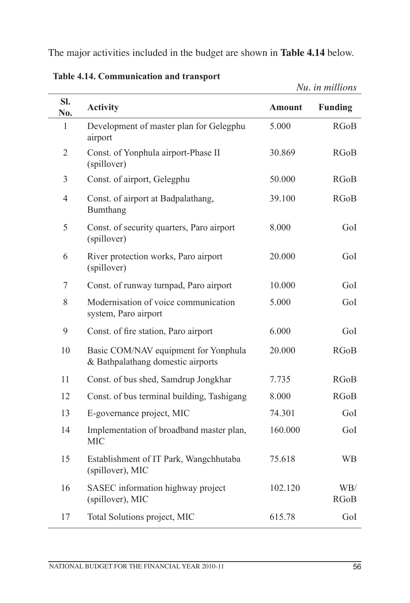The major activities included in the budget are shown in **Table 4.14** below.

|                  |                                                                           |               | Nu. in millions    |
|------------------|---------------------------------------------------------------------------|---------------|--------------------|
| SI.<br>No.       | <b>Activity</b>                                                           | <b>Amount</b> | <b>Funding</b>     |
| $\mathbf{1}$     | Development of master plan for Gelegphu<br>airport                        | 5.000         | <b>RGoB</b>        |
| $\overline{2}$   | Const. of Yonphula airport-Phase II<br>(spillover)                        | 30.869        | <b>RGoB</b>        |
| 3                | Const. of airport, Gelegphu                                               | 50.000        | <b>RGoB</b>        |
| $\overline{4}$   | Const. of airport at Badpalathang,<br>Bumthang                            | 39.100        | <b>RGoB</b>        |
| 5                | Const. of security quarters, Paro airport<br>(spillover)                  | 8.000         | GoI                |
| 6                | River protection works, Paro airport<br>(spillover)                       | 20.000        | GoI                |
| $\boldsymbol{7}$ | Const. of runway turnpad, Paro airport                                    | 10.000        | GoI                |
| 8                | Modernisation of voice communication<br>system, Paro airport              | 5.000         | GoI                |
| 9                | Const. of fire station, Paro airport                                      | 6.000         | GoI                |
| 10               | Basic COM/NAV equipment for Yonphula<br>& Bathpalathang domestic airports | 20.000        | <b>RGoB</b>        |
| 11               | Const. of bus shed, Samdrup Jongkhar                                      | 7.735         | <b>RGoB</b>        |
| 12               | Const. of bus terminal building, Tashigang                                | 8.000         | <b>RGoB</b>        |
| 13               | E-governance project, MIC                                                 | 74.301        | GoI                |
| 14               | Implementation of broadband master plan,<br><b>MIC</b>                    | 160.000       | GoI                |
| 15               | Establishment of IT Park, Wangchhutaba<br>(spillover), MIC                | 75.618        | <b>WB</b>          |
| 16               | SASEC information highway project<br>(spillover), MIC                     | 102.120       | WB/<br><b>RGoB</b> |
| 17               | Total Solutions project, MIC                                              | 615.78        | GoI                |

**Table 4.14. Communication and transport**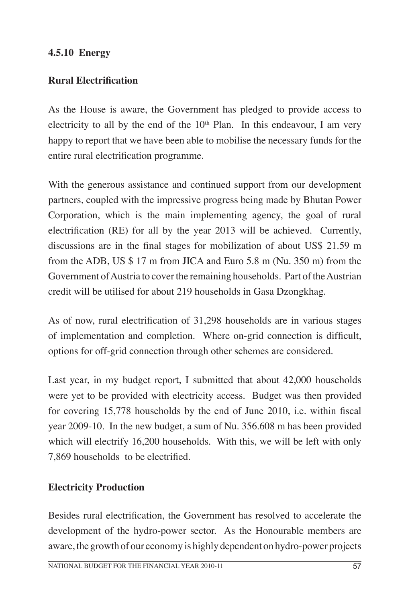## **4.5.10 Energy**

## **Rural Electrification**

As the House is aware, the Government has pledged to provide access to electricity to all by the end of the  $10<sup>th</sup>$  Plan. In this endeavour, I am very happy to report that we have been able to mobilise the necessary funds for the entire rural electrification programme.

With the generous assistance and continued support from our development partners, coupled with the impressive progress being made by Bhutan Power Corporation, which is the main implementing agency, the goal of rural electrification (RE) for all by the year 2013 will be achieved. Currently, discussions are in the final stages for mobilization of about US\$ 21.59 m from the ADB, US \$ 17 m from JICA and Euro 5.8 m (Nu. 350 m) from the Government of Austria to cover the remaining households. Part of the Austrian credit will be utilised for about 219 households in Gasa Dzongkhag.

As of now, rural electrification of 31,298 households are in various stages of implementation and completion. Where on-grid connection is difficult, options for off-grid connection through other schemes are considered.

Last year, in my budget report, I submitted that about 42,000 households were yet to be provided with electricity access. Budget was then provided for covering 15,778 households by the end of June 2010, i.e. within fiscal year 2009-10. In the new budget, a sum of Nu. 356.608 m has been provided which will electrify 16,200 households. With this, we will be left with only 7,869 households to be electrified.

## **Electricity Production**

Besides rural electrification, the Government has resolved to accelerate the development of the hydro-power sector. As the Honourable members are aware, the growth of our economy is highly dependent on hydro-power projects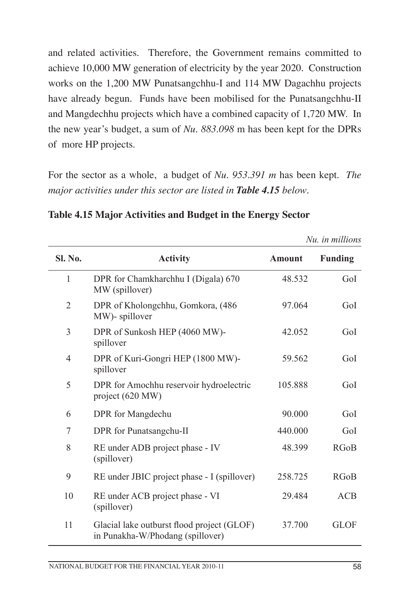and related activities. Therefore, the Government remains committed to achieve 10,000 MW generation of electricity by the year 2020. Construction works on the 1,200 MW Punatsangchhu-I and 114 MW Dagachhu projects have already begun. Funds have been mobilised for the Punatsangchhu-II and Mangdechhu projects which have a combined capacity of 1,720 MW. In the new year's budget, a sum of *Nu. 883.098* m has been kept for the DPRs of more HP projects.

For the sector as a whole, a budget of *Nu. 953.391 m* has been kept. *The major activities under this sector are listed in Table 4.15 below*.

|                |                                                                                |               | Nu. in millions |
|----------------|--------------------------------------------------------------------------------|---------------|-----------------|
| <b>Sl. No.</b> | <b>Activity</b>                                                                | <b>Amount</b> | <b>Funding</b>  |
| 1              | DPR for Chamkharchhu I (Digala) 670<br>MW (spillover)                          | 48.532        | GoI             |
| $\overline{2}$ | DPR of Kholongchhu, Gomkora, (486)<br>MW)- spillover                           | 97.064        | GoI             |
| 3              | DPR of Sunkosh HEP (4060 MW)-<br>spillover                                     | 42.052        | GoI             |
| 4              | DPR of Kuri-Gongri HEP (1800 MW)-<br>spillover                                 | 59.562        | GoI             |
| 5              | DPR for Amochhu reservoir hydroelectric<br>project (620 MW)                    | 105.888       | GoI             |
| 6              | DPR for Mangdechu                                                              | 90.000        | GoI             |
| 7              | DPR for Punatsangchu-II                                                        | 440.000       | GoI             |
| 8              | RE under ADB project phase - IV<br>(spillover)                                 | 48.399        | <b>RGoB</b>     |
| 9              | RE under JBIC project phase - I (spillover)                                    | 258.725       | <b>RGoB</b>     |
| 10             | RE under ACB project phase - VI<br>(spillover)                                 | 29.484        | <b>ACB</b>      |
| 11             | Glacial lake outburst flood project (GLOF)<br>in Punakha-W/Phodang (spillover) | 37.700        | <b>GLOF</b>     |

**Table 4.15 Major Activities and Budget in the Energy Sector**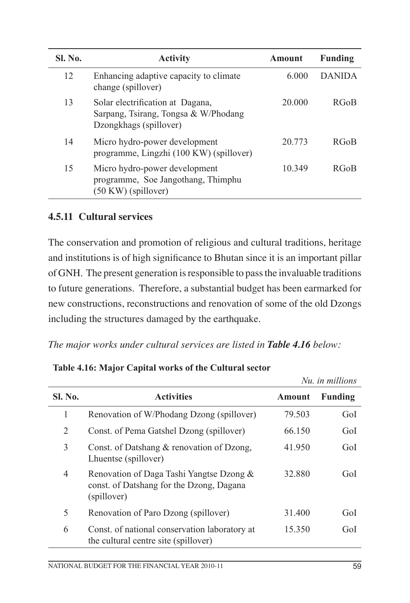| <b>SI. No.</b> | <b>Activity</b>                                                                                      | Amount | <b>Funding</b> |
|----------------|------------------------------------------------------------------------------------------------------|--------|----------------|
| 12             | Enhancing adaptive capacity to climate<br>change (spillover)                                         | 6.000  | <b>DANIDA</b>  |
| 13             | Solar electrification at Dagana,<br>Sarpang, Tsirang, Tongsa & W/Phodang<br>Dzongkhags (spillover)   | 20 000 | <b>RGoB</b>    |
| 14             | Micro hydro-power development<br>programme, Lingzhi (100 KW) (spillover)                             | 20 773 | <b>RGoB</b>    |
| 15             | Micro hydro-power development<br>programme, Soe Jangothang, Thimphu<br>$(50 \text{ KW})$ (spillover) | 10 349 | <b>RGoB</b>    |

## **4.5.11 Cultural services**

The conservation and promotion of religious and cultural traditions, heritage and institutions is of high significance to Bhutan since it is an important pillar of GNH. The present generation is responsible to pass the invaluable traditions to future generations. Therefore, a substantial budget has been earmarked for new constructions, reconstructions and renovation of some of the old Dzongs including the structures damaged by the earthquake.

*The major works under cultural services are listed in Table 4.16 below:*

|         |                                                                                                     |        | Nu, in millions |
|---------|-----------------------------------------------------------------------------------------------------|--------|-----------------|
| Sl. No. | <b>Activities</b>                                                                                   | Amount | <b>Funding</b>  |
| 1       | Renovation of W/Phodang Dzong (spillover)                                                           | 79.503 | GoI             |
| 2       | Const. of Pema Gatshel Dzong (spillover)                                                            | 66.150 | GoI             |
| 3       | Const. of Datshang & renovation of Dzong,<br>Lhuentse (spillover)                                   | 41.950 | GoI             |
| 4       | Renovation of Daga Tashi Yangtse Dzong &<br>const. of Datshang for the Dzong, Dagana<br>(spillover) | 32.880 | GoI             |
| 5       | Renovation of Paro Dzong (spillover)                                                                | 31.400 | GoI             |
| 6       | Const. of national conservation laboratory at<br>the cultural centre site (spillover)               | 15.350 | GoI             |

**Table 4.16: Major Capital works of the Cultural sector**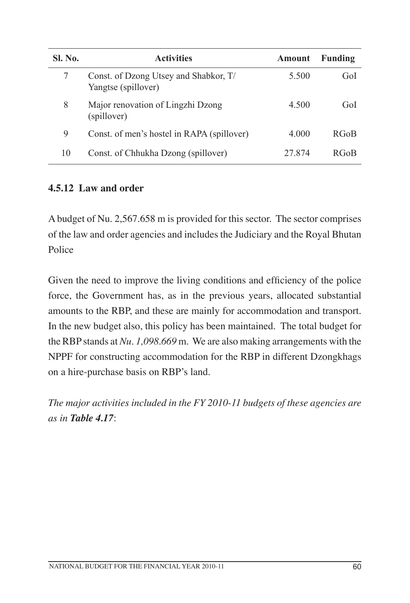| <b>Sl. No.</b> | <b>Activities</b>                                            | <b>Amount</b> | <b>Funding</b> |
|----------------|--------------------------------------------------------------|---------------|----------------|
|                | Const. of Dzong Utsey and Shabkor, T/<br>Yangtse (spillover) | 5.500         | Gol            |
| 8              | Major renovation of Lingzhi Dzong<br>(spillover)             | 4.500         | GoI            |
| 9              | Const. of men's hostel in RAPA (spillover)                   | 4.000         | <b>RGoB</b>    |
| 10             | Const. of Chhukha Dzong (spillover)                          | 27.874        | RGoB           |

### **4.5.12 Law and order**

A budget of Nu. 2,567.658 m is provided for this sector. The sector comprises of the law and order agencies and includes the Judiciary and the Royal Bhutan Police

Given the need to improve the living conditions and efficiency of the police force, the Government has, as in the previous years, allocated substantial amounts to the RBP, and these are mainly for accommodation and transport. In the new budget also, this policy has been maintained. The total budget for the RBP stands at *Nu. 1,098.669* m. We are also making arrangements with the NPPF for constructing accommodation for the RBP in different Dzongkhags on a hire-purchase basis on RBP's land.

*The major activities included in the FY 2010-11 budgets of these agencies are as in Table 4.17*: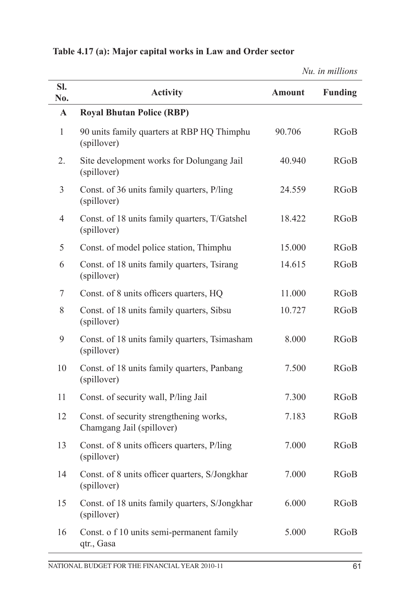| SI.            |                                                                      |               |                |
|----------------|----------------------------------------------------------------------|---------------|----------------|
| No.            | <b>Activity</b>                                                      | <b>Amount</b> | <b>Funding</b> |
| $\mathbf{A}$   | <b>Royal Bhutan Police (RBP)</b>                                     |               |                |
| $\mathbf{1}$   | 90 units family quarters at RBP HQ Thimphu<br>(spillover)            | 90.706        | <b>RGoB</b>    |
| 2.             | Site development works for Dolungang Jail<br>(spillover)             | 40.940        | <b>RGoB</b>    |
| 3              | Const. of 36 units family quarters, P/ling<br>(spillover)            | 24.559        | <b>RGoB</b>    |
| $\overline{4}$ | Const. of 18 units family quarters, T/Gatshel<br>(spillover)         | 18.422        | <b>RGoB</b>    |
| 5              | Const. of model police station, Thimphu                              | 15.000        | <b>RGoB</b>    |
| 6              | Const. of 18 units family quarters, Tsirang<br>(spillover)           | 14.615        | <b>RGoB</b>    |
| 7              | Const. of 8 units officers quarters, HQ                              | 11.000        | <b>RGoB</b>    |
| 8              | Const. of 18 units family quarters, Sibsu<br>(spillover)             | 10.727        | <b>RGoB</b>    |
| 9              | Const. of 18 units family quarters, Tsimasham<br>(spillover)         | 8.000         | <b>RGoB</b>    |
| 10             | Const. of 18 units family quarters, Panbang<br>(spillover)           | 7.500         | <b>RGoB</b>    |
| 11             | Const. of security wall, P/ling Jail                                 | 7.300         | <b>RGoB</b>    |
| 12             | Const. of security strengthening works,<br>Chamgang Jail (spillover) | 7.183         | <b>RGoB</b>    |
| 13             | Const. of 8 units officers quarters, P/ling<br>(spillover)           | 7.000         | <b>RGoB</b>    |
| 14             | Const. of 8 units officer quarters, S/Jongkhar<br>(spillover)        | 7.000         | <b>RGoB</b>    |
| 15             | Const. of 18 units family quarters, S/Jongkhar<br>(spillover)        | 6.000         | <b>RGoB</b>    |
| 16             | Const. o f 10 units semi-permanent family<br>qtr., Gasa              | 5.000         | <b>RGoB</b>    |

*Nu. in millions*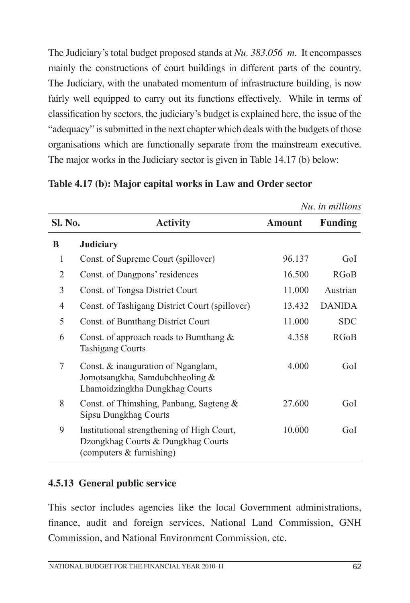The Judiciary's total budget proposed stands at *Nu. 383.056 m*. It encompasses mainly the constructions of court buildings in different parts of the country. The Judiciary, with the unabated momentum of infrastructure building, is now fairly well equipped to carry out its functions effectively. While in terms of classification by sectors, the judiciary's budget is explained here, the issue of the "adequacy" is submitted in the next chapter which deals with the budgets of those organisations which are functionally separate from the mainstream executive. The major works in the Judiciary sector is given in Table 14.17 (b) below:

|   |                                                                                                              |        | Nu. in millions |
|---|--------------------------------------------------------------------------------------------------------------|--------|-----------------|
|   | Sl. No.<br><b>Activity</b>                                                                                   |        | <b>Funding</b>  |
| B | <b>Judiciary</b>                                                                                             |        |                 |
| 1 | Const. of Supreme Court (spillover)                                                                          | 96.137 | GoI             |
| 2 | Const. of Dangpons' residences                                                                               | 16.500 | <b>RGoB</b>     |
| 3 | Const. of Tongsa District Court                                                                              | 11.000 | Austrian        |
| 4 | Const. of Tashigang District Court (spillover)                                                               | 13.432 | <b>DANIDA</b>   |
| 5 | Const. of Bumthang District Court                                                                            | 11.000 | <b>SDC</b>      |
| 6 | Const. of approach roads to Bumthang $\&$<br><b>Tashigang Courts</b>                                         | 4.358  | <b>RGoB</b>     |
| 7 | Const. & inauguration of Nganglam,<br>Jomotsangkha, Samdubchheoling &<br>Lhamoidzingkha Dungkhag Courts      | 4.000  | GoI             |
| 8 | Const. of Thimshing, Panbang, Sagteng &<br>Sipsu Dungkhag Courts                                             | 27.600 | GoI             |
| 9 | Institutional strengthening of High Court,<br>Dzongkhag Courts & Dungkhag Courts<br>(computers & furnishing) | 10.000 | GoI             |

**Table 4.17 (b): Major capital works in Law and Order sector**

## **4.5.13 General public service**

This sector includes agencies like the local Government administrations, finance, audit and foreign services, National Land Commission, GNH Commission, and National Environment Commission, etc.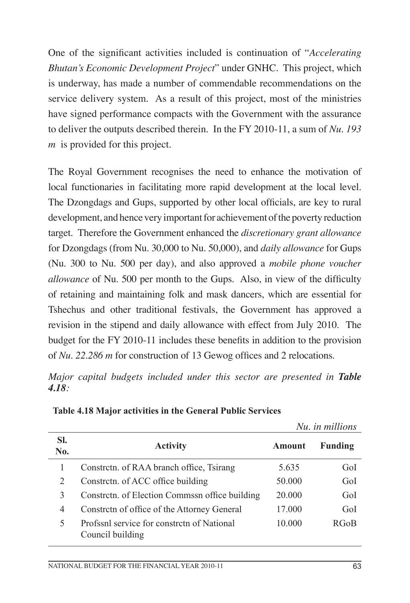One of the significant activities included is continuation of "*Accelerating Bhutan's Economic Development Project*" under GNHC. This project, which is underway, has made a number of commendable recommendations on the service delivery system. As a result of this project, most of the ministries have signed performance compacts with the Government with the assurance to deliver the outputs described therein. In the FY 2010-11, a sum of *Nu. 193 m* is provided for this project.

The Royal Government recognises the need to enhance the motivation of local functionaries in facilitating more rapid development at the local level. The Dzongdags and Gups, supported by other local officials, are key to rural development, and hence very important for achievement of the poverty reduction target. Therefore the Government enhanced the *discretionary grant allowance* for Dzongdags (from Nu. 30,000 to Nu. 50,000), and *daily allowance* for Gups (Nu. 300 to Nu. 500 per day), and also approved a *mobile phone voucher allowance* of Nu. 500 per month to the Gups. Also, in view of the difficulty of retaining and maintaining folk and mask dancers, which are essential for Tshechus and other traditional festivals, the Government has approved a revision in the stipend and daily allowance with effect from July 2010. The budget for the FY 2010-11 includes these benefits in addition to the provision of *Nu. 22.286 m* for construction of 13 Gewog offices and 2 relocations.

*Major capital budgets included under this sector are presented in Table 4.18:*

|            |                                                                |        | Nu. in millions |
|------------|----------------------------------------------------------------|--------|-----------------|
| SI.<br>No. | <b>Activity</b>                                                | Amount | <b>Funding</b>  |
|            | Constreth. of RAA branch office, Tsirang                       | 5.635  | GoI             |
| 2          | Constreth. of ACC office building                              | 50.000 | GoI             |
| 3          | Constreth. of Election Commssn office building                 | 20.000 | GoI             |
| 4          | Constrctn of office of the Attorney General<br>17.000          |        | GoI             |
| 5          | Profssnl service for constrctn of National<br>Council building | 10.000 | <b>RGoB</b>     |

**Table 4.18 Major activities in the General Public Services**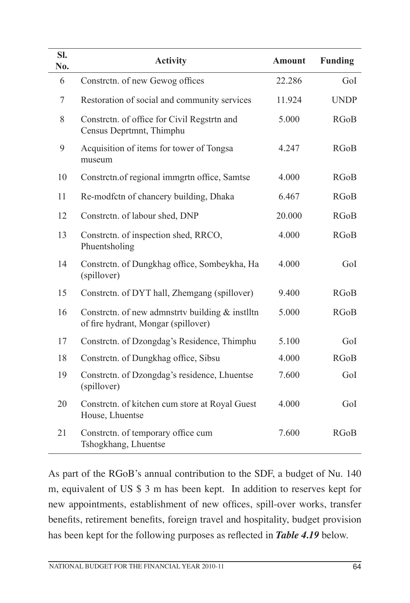| SI.<br>No.     | <b>Activity</b>                                                                          | <b>Amount</b> | <b>Funding</b> |
|----------------|------------------------------------------------------------------------------------------|---------------|----------------|
| 6              | Constrctn. of new Gewog offices                                                          | 22.286        | GoI            |
| $\overline{7}$ | Restoration of social and community services                                             | 11.924        | <b>UNDP</b>    |
| 8              | Constrctn. of office for Civil Regstrtn and<br>Census Deprtmnt, Thimphu                  | 5.000         | <b>RGoB</b>    |
| 9              | Acquisition of items for tower of Tongsa<br>museum                                       | 4.247         | <b>RGoB</b>    |
| 10             | Constretn.of regional immgrtn office, Samtse                                             | 4.000         | <b>RGoB</b>    |
| 11             | Re-modfctn of chancery building, Dhaka                                                   | 6.467         | <b>RGoB</b>    |
| 12             | Constretn. of labour shed, DNP                                                           | 20.000        | <b>RGoB</b>    |
| 13             | Constrctn. of inspection shed, RRCO,<br>Phuentsholing                                    | 4.000         | <b>RGoB</b>    |
| 14             | Constretn. of Dungkhag office, Sombeykha, Ha<br>(spillover)                              | 4.000         | GoI            |
| 15             | Constrctn. of DYT hall, Zhemgang (spillover)                                             | 9.400         | <b>RGoB</b>    |
| 16             | Constrctn. of new admnstrty building $&$ instlltn<br>of fire hydrant, Mongar (spillover) | 5.000         | <b>RGoB</b>    |
| 17             | Constrctn. of Dzongdag's Residence, Thimphu                                              | 5.100         | GoI            |
| 18             | Constrctn. of Dungkhag office, Sibsu                                                     | 4.000         | <b>RGoB</b>    |
| 19             | Constrctn. of Dzongdag's residence, Lhuentse<br>(spillover)                              | 7.600         | GoI            |
| 20             | Constretn. of kitchen cum store at Royal Guest<br>House, Lhuentse                        | 4.000         | GoI            |
| 21             | Constrctn. of temporary office cum<br>Tshogkhang, Lhuentse                               | 7.600         | <b>RGoB</b>    |

As part of the RGoB's annual contribution to the SDF, a budget of Nu. 140 m, equivalent of US \$ 3 m has been kept. In addition to reserves kept for new appointments, establishment of new offices, spill-over works, transfer benefits, retirement benefits, foreign travel and hospitality, budget provision has been kept for the following purposes as reflected in *Table 4.19* below.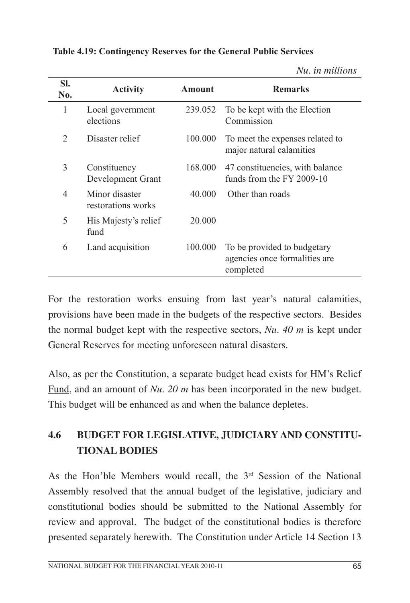| SI.<br>No. | <b>Activity</b>                      | <b>Amount</b> | <b>Remarks</b>                                                            |
|------------|--------------------------------------|---------------|---------------------------------------------------------------------------|
| 1          | Local government<br>elections        | 239.052       | To be kept with the Election<br>Commission                                |
| 2          | Disaster relief                      | 100.000       | To meet the expenses related to<br>major natural calamities               |
| 3          | Constituency<br>Development Grant    | 168.000       | 47 constituencies, with balance<br>funds from the FY 2009-10              |
| 4          | Minor disaster<br>restorations works | 40.000        | Other than roads                                                          |
| 5          | His Majesty's relief<br>fund         | 20.000        |                                                                           |
| 6          | Land acquisition                     | 100.000       | To be provided to budgetary<br>agencies once formalities are<br>completed |

**Table 4.19: Contingency Reserves for the General Public Services**

*Nu. in millions*

For the restoration works ensuing from last year's natural calamities, provisions have been made in the budgets of the respective sectors. Besides the normal budget kept with the respective sectors, *Nu. 40 m* is kept under General Reserves for meeting unforeseen natural disasters.

Also, as per the Constitution, a separate budget head exists for HM's Relief Fund, and an amount of *Nu. 20 m* has been incorporated in the new budget. This budget will be enhanced as and when the balance depletes.

# **4.6 Budget for Legislative, Judiciary and Constitutional bodies**

As the Hon'ble Members would recall, the  $3<sup>rd</sup>$  Session of the National Assembly resolved that the annual budget of the legislative, judiciary and constitutional bodies should be submitted to the National Assembly for review and approval. The budget of the constitutional bodies is therefore presented separately herewith. The Constitution under Article 14 Section 13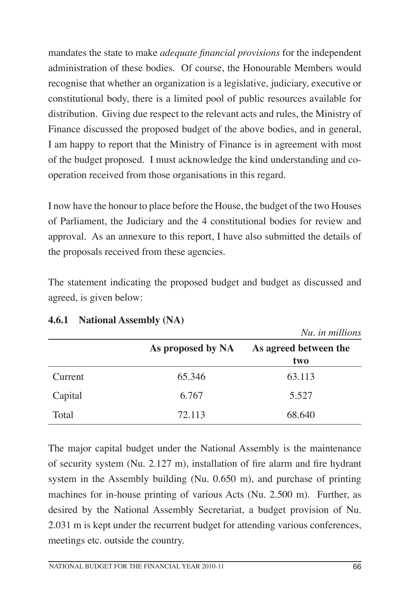mandates the state to make *adequate financial provisions* for the independent administration of these bodies. Of course, the Honourable Members would recognise that whether an organization is a legislative, judiciary, executive or constitutional body, there is a limited pool of public resources available for distribution. Giving due respect to the relevant acts and rules, the Ministry of Finance discussed the proposed budget of the above bodies, and in general, I am happy to report that the Ministry of Finance is in agreement with most of the budget proposed. I must acknowledge the kind understanding and cooperation received from those organisations in this regard.

I now have the honour to place before the House, the budget of the two Houses of Parliament, the Judiciary and the 4 constitutional bodies for review and approval. As an annexure to this report, I have also submitted the details of the proposals received from these agencies.

The statement indicating the proposed budget and budget as discussed and agreed, is given below:

|         |                   | Nu. in millions              |  |
|---------|-------------------|------------------------------|--|
|         | As proposed by NA | As agreed between the<br>two |  |
|         |                   |                              |  |
| Current | 65.346            | 63.113                       |  |
| Capital | 6.767             | 5.527                        |  |
| Total   | 72.113            | 68.640                       |  |

## **4.6.1 National Assembly (NA)**

The major capital budget under the National Assembly is the maintenance of security system (Nu. 2.127 m), installation of fire alarm and fire hydrant system in the Assembly building (Nu. 0.650 m), and purchase of printing machines for in-house printing of various Acts (Nu. 2.500 m). Further, as desired by the National Assembly Secretariat, a budget provision of Nu. 2.031 m is kept under the recurrent budget for attending various conferences, meetings etc. outside the country.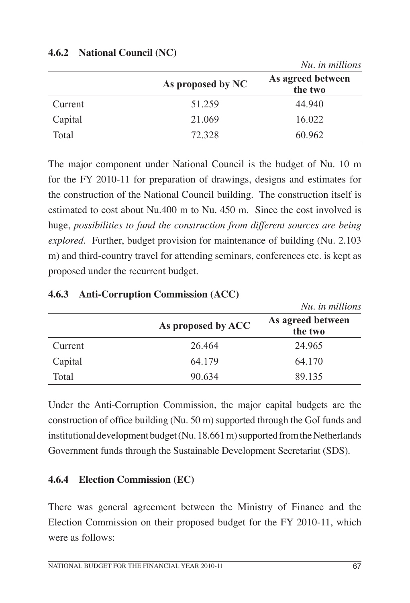|         |                   | Nu. in millions              |
|---------|-------------------|------------------------------|
|         | As proposed by NC | As agreed between<br>the two |
| Current | 51.259            | 44.940                       |
| Capital | 21.069            | 16.022                       |
| Total   | 72.328            | 60.962                       |

#### **4.6.2 National Council (NC)**

The major component under National Council is the budget of Nu. 10 m for the FY 2010-11 for preparation of drawings, designs and estimates for the construction of the National Council building. The construction itself is estimated to cost about Nu.400 m to Nu. 450 m. Since the cost involved is huge, *possibilities to fund the construction from different sources are being explored*. Further, budget provision for maintenance of building (Nu. 2.103 m) and third-country travel for attending seminars, conferences etc. is kept as proposed under the recurrent budget.

|         |                    | Nu. in millions              |
|---------|--------------------|------------------------------|
|         | As proposed by ACC | As agreed between<br>the two |
| Current | 26.464             | 24.965                       |
| Capital | 64.179             | 64.170                       |
| Total   | 90.634             | 89.135                       |

#### **4.6.3 Anti-Corruption Commission (ACC)**

Under the Anti-Corruption Commission, the major capital budgets are the construction of office building (Nu. 50 m) supported through the GoI funds and institutional development budget (Nu. 18.661 m) supported from the Netherlands Government funds through the Sustainable Development Secretariat (SDS).

#### **4.6.4 Election Commission (EC)**

There was general agreement between the Ministry of Finance and the Election Commission on their proposed budget for the FY 2010-11, which were as follows: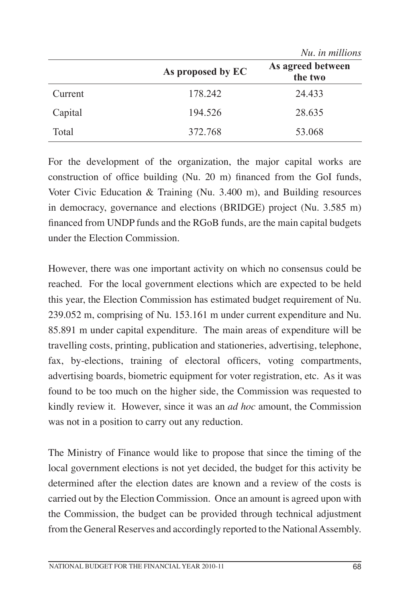|         |                   | Nu. in millions              |
|---------|-------------------|------------------------------|
|         | As proposed by EC | As agreed between<br>the two |
| Current | 178.242           | 24.433                       |
| Capital | 194.526           | 28.635                       |
| Total   | 372.768           | 53.068                       |

For the development of the organization, the major capital works are construction of office building (Nu. 20 m) financed from the GoI funds, Voter Civic Education & Training (Nu. 3.400 m), and Building resources in democracy, governance and elections (BRIDGE) project (Nu. 3.585 m) financed from UNDP funds and the RGoB funds, are the main capital budgets under the Election Commission.

However, there was one important activity on which no consensus could be reached. For the local government elections which are expected to be held this year, the Election Commission has estimated budget requirement of Nu. 239.052 m, comprising of Nu. 153.161 m under current expenditure and Nu. 85.891 m under capital expenditure. The main areas of expenditure will be travelling costs, printing, publication and stationeries, advertising, telephone, fax, by-elections, training of electoral officers, voting compartments, advertising boards, biometric equipment for voter registration, etc. As it was found to be too much on the higher side, the Commission was requested to kindly review it. However, since it was an *ad hoc* amount, the Commission was not in a position to carry out any reduction.

The Ministry of Finance would like to propose that since the timing of the local government elections is not yet decided, the budget for this activity be determined after the election dates are known and a review of the costs is carried out by the Election Commission. Once an amount is agreed upon with the Commission, the budget can be provided through technical adjustment from the General Reserves and accordingly reported to the National Assembly.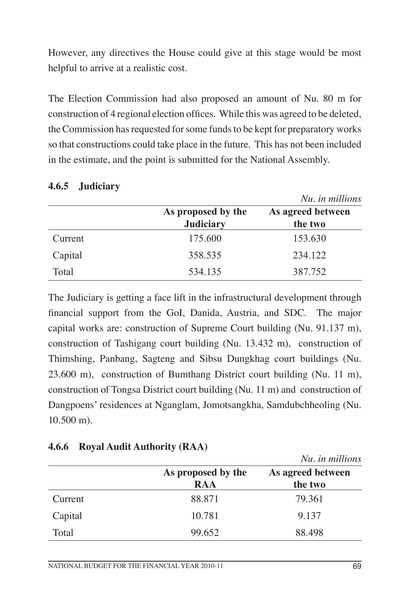However, any directives the House could give at this stage would be most helpful to arrive at a realistic cost.

The Election Commission had also proposed an amount of Nu. 80 m for construction of 4 regional election offices. While this was agreed to be deleted, the Commission has requested for some funds to be kept for preparatory works so that constructions could take place in the future. This has not been included in the estimate, and the point is submitted for the National Assembly.

|         |                    | Nu, in millions   |
|---------|--------------------|-------------------|
|         | As proposed by the | As agreed between |
|         | <b>Judiciary</b>   | the two           |
| Current | 175.600            | 153.630           |
| Capital | 358.535            | 234.122           |
| Total   | 534.135            | 387.752           |

#### **4.6.5 Judiciary**

The Judiciary is getting a face lift in the infrastructural development through financial support from the GoI, Danida, Austria, and SDC. The major capital works are: construction of Supreme Court building (Nu. 91.137 m), construction of Tashigang court building (Nu. 13.432 m), construction of Thimshing, Panbang, Sagteng and Sibsu Dungkhag court buildings (Nu. 23.600 m), construction of Bumthang District court building (Nu. 11 m), construction of Tongsa District court building (Nu. 11 m) and construction of Dangpoens' residences at Nganglam, Jomotsangkha, Samdubchheoling (Nu. 10.500 m).

| 4.6.6 Royal Audit Authority (RAA) |
|-----------------------------------|
|                                   |

|         |                    | Nu. in millions   |
|---------|--------------------|-------------------|
|         | As proposed by the | As agreed between |
|         | <b>RAA</b>         | the two           |
| Current | 88.871             | 79.361            |
| Capital | 10.781             | 9.137             |
| Total   | 99.652             | 88.498            |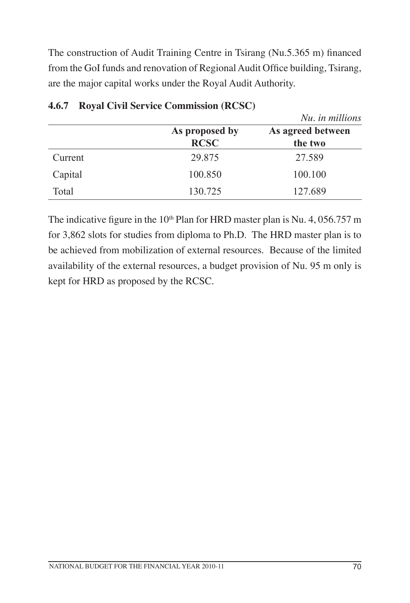The construction of Audit Training Centre in Tsirang (Nu.5.365 m) financed from the GoI funds and renovation of Regional Audit Office building, Tsirang, are the major capital works under the Royal Audit Authority.

|         |                               | Nu, in millions              |
|---------|-------------------------------|------------------------------|
|         | As proposed by<br><b>RCSC</b> | As agreed between<br>the two |
| Current | 29.875                        | 27.589                       |
| Capital | 100.850                       | 100.100                      |
| Total   | 130.725                       | 127.689                      |

#### **4.6.7 Royal Civil Service Commission (RCSC)**

The indicative figure in the  $10<sup>th</sup>$  Plan for HRD master plan is Nu. 4, 056.757 m for 3,862 slots for studies from diploma to Ph.D. The HRD master plan is to be achieved from mobilization of external resources. Because of the limited availability of the external resources, a budget provision of Nu. 95 m only is kept for HRD as proposed by the RCSC.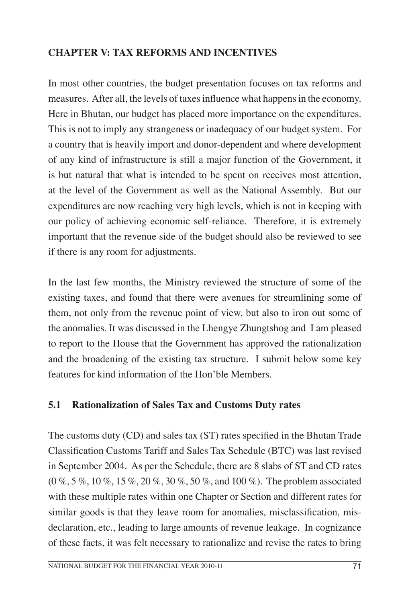## **CHAPTER V: TAX REFORMS and incentives**

In most other countries, the budget presentation focuses on tax reforms and measures. After all, the levels of taxes influence what happens in the economy. Here in Bhutan, our budget has placed more importance on the expenditures. This is not to imply any strangeness or inadequacy of our budget system. For a country that is heavily import and donor-dependent and where development of any kind of infrastructure is still a major function of the Government, it is but natural that what is intended to be spent on receives most attention, at the level of the Government as well as the National Assembly. But our expenditures are now reaching very high levels, which is not in keeping with our policy of achieving economic self-reliance. Therefore, it is extremely important that the revenue side of the budget should also be reviewed to see if there is any room for adjustments.

In the last few months, the Ministry reviewed the structure of some of the existing taxes, and found that there were avenues for streamlining some of them, not only from the revenue point of view, but also to iron out some of the anomalies. It was discussed in the Lhengye Zhungtshog and I am pleased to report to the House that the Government has approved the rationalization and the broadening of the existing tax structure. I submit below some key features for kind information of the Hon'ble Members.

#### **5.1 Rationalization of Sales Tax and Customs Duty rates**

The customs duty (CD) and sales tax (ST) rates specified in the Bhutan Trade Classification Customs Tariff and Sales Tax Schedule (BTC) was last revised in September 2004. As per the Schedule, there are 8 slabs of ST and CD rates (0 %, 5 %, 10 %, 15 %, 20 %, 30 %, 50 %, and 100 %). The problem associated with these multiple rates within one Chapter or Section and different rates for similar goods is that they leave room for anomalies, misclassification, misdeclaration, etc., leading to large amounts of revenue leakage. In cognizance of these facts, it was felt necessary to rationalize and revise the rates to bring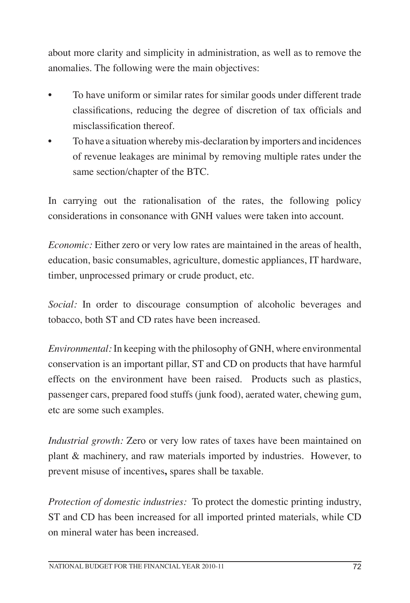about more clarity and simplicity in administration, as well as to remove the anomalies. The following were the main objectives:

- To have uniform or similar rates for similar goods under different trade classifications, reducing the degree of discretion of tax officials and misclassification thereof.
- To have a situation whereby mis-declaration by importers and incidences of revenue leakages are minimal by removing multiple rates under the same section/chapter of the BTC.

In carrying out the rationalisation of the rates, the following policy considerations in consonance with GNH values were taken into account.

*Economic:* Either zero or very low rates are maintained in the areas of health, education, basic consumables, agriculture, domestic appliances, IT hardware, timber, unprocessed primary or crude product, etc.

*Social:* In order to discourage consumption of alcoholic beverages and tobacco, both ST and CD rates have been increased.

*Environmental:* In keeping with the philosophy of GNH, where environmental conservation is an important pillar, ST and CD on products that have harmful effects on the environment have been raised. Products such as plastics, passenger cars, prepared food stuffs (junk food), aerated water, chewing gum, etc are some such examples.

*Industrial growth:* Zero or very low rates of taxes have been maintained on plant & machinery, and raw materials imported by industries. However, to prevent misuse of incentives**,** spares shall be taxable.

*Protection of domestic industries:* To protect the domestic printing industry, ST and CD has been increased for all imported printed materials, while CD on mineral water has been increased.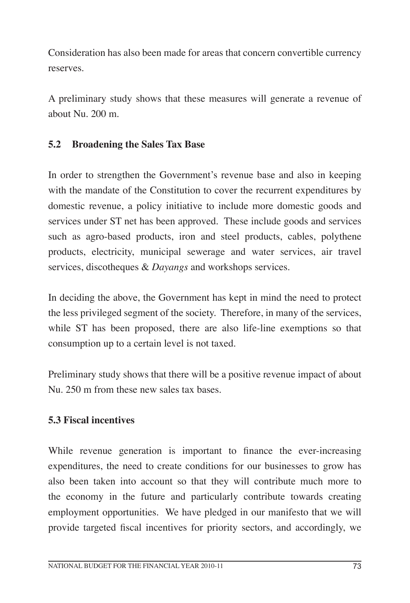Consideration has also been made for areas that concern convertible currency reserves.

A preliminary study shows that these measures will generate a revenue of about Nu. 200 m.

## **5.2 Broadening the Sales Tax Base**

In order to strengthen the Government's revenue base and also in keeping with the mandate of the Constitution to cover the recurrent expenditures by domestic revenue, a policy initiative to include more domestic goods and services under ST net has been approved. These include goods and services such as agro-based products, iron and steel products, cables, polythene products, electricity, municipal sewerage and water services, air travel services, discotheques & *Dayangs* and workshops services.

In deciding the above, the Government has kept in mind the need to protect the less privileged segment of the society. Therefore, in many of the services, while ST has been proposed, there are also life-line exemptions so that consumption up to a certain level is not taxed.

Preliminary study shows that there will be a positive revenue impact of about Nu. 250 m from these new sales tax bases.

#### **5.3 Fiscal incentives**

While revenue generation is important to finance the ever-increasing expenditures, the need to create conditions for our businesses to grow has also been taken into account so that they will contribute much more to the economy in the future and particularly contribute towards creating employment opportunities. We have pledged in our manifesto that we will provide targeted fiscal incentives for priority sectors, and accordingly, we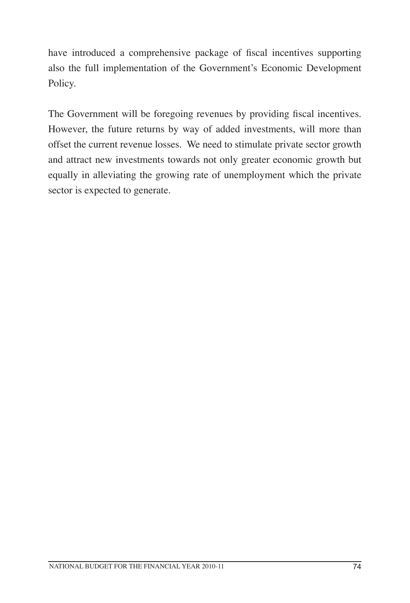have introduced a comprehensive package of fiscal incentives supporting also the full implementation of the Government's Economic Development Policy.

The Government will be foregoing revenues by providing fiscal incentives. However, the future returns by way of added investments, will more than offset the current revenue losses. We need to stimulate private sector growth and attract new investments towards not only greater economic growth but equally in alleviating the growing rate of unemployment which the private sector is expected to generate.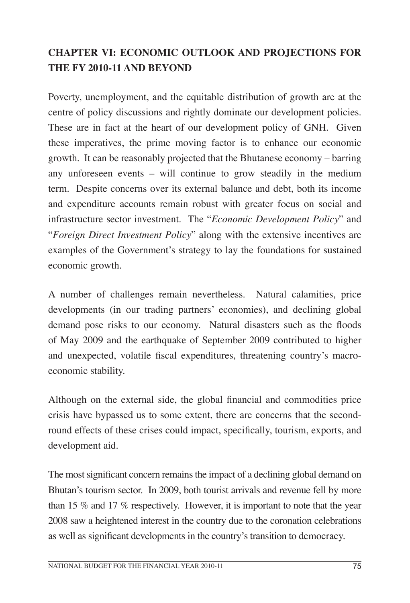## **CHAPTER VI: Economic Outlook and Projections For THE FY 2010-11 and Beyond**

Poverty, unemployment, and the equitable distribution of growth are at the centre of policy discussions and rightly dominate our development policies. These are in fact at the heart of our development policy of GNH. Given these imperatives, the prime moving factor is to enhance our economic growth. It can be reasonably projected that the Bhutanese economy – barring any unforeseen events – will continue to grow steadily in the medium term. Despite concerns over its external balance and debt, both its income and expenditure accounts remain robust with greater focus on social and infrastructure sector investment. The "*Economic Development Policy*" and "*Foreign Direct Investment Policy*" along with the extensive incentives are examples of the Government's strategy to lay the foundations for sustained economic growth.

A number of challenges remain nevertheless. Natural calamities, price developments (in our trading partners' economies), and declining global demand pose risks to our economy. Natural disasters such as the floods of May 2009 and the earthquake of September 2009 contributed to higher and unexpected, volatile fiscal expenditures, threatening country's macroeconomic stability.

Although on the external side, the global financial and commodities price crisis have bypassed us to some extent, there are concerns that the secondround effects of these crises could impact, specifically, tourism, exports, and development aid.

The most significant concern remains the impact of a declining global demand on Bhutan's tourism sector. In 2009, both tourist arrivals and revenue fell by more than 15 % and 17 % respectively. However, it is important to note that the year 2008 saw a heightened interest in the country due to the coronation celebrations as well as significant developments in the country's transition to democracy.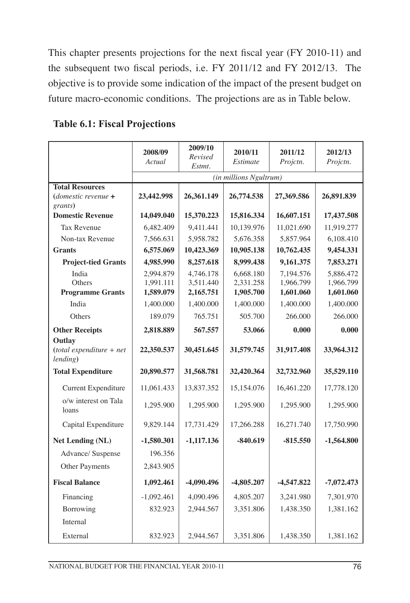This chapter presents projections for the next fiscal year (FY 2010-11) and the subsequent two fiscal periods, i.e. FY 2011/12 and FY 2012/13. The objective is to provide some indication of the impact of the present budget on future macro-economic conditions. The projections are as in Table below.

|                                                            | 2008/09<br>Actual                   | 2009/10<br>Revised<br>Estmt.        | 2010/11<br>Estimate                 | 2011/12<br>Projctn.                 | 2012/13<br>Projctn.                 |
|------------------------------------------------------------|-------------------------------------|-------------------------------------|-------------------------------------|-------------------------------------|-------------------------------------|
|                                                            |                                     |                                     | (in millions Ngultrum)              |                                     |                                     |
| <b>Total Resources</b><br>(domestic revenue $+$<br>grants) | 23,442.998                          | 26,361.149                          | 26,774.538                          | 27,369.586                          | 26,891.839                          |
| <b>Domestic Revenue</b>                                    | 14,049.040                          | 15,370.223                          | 15,816.334                          | 16,607.151                          | 17,437.508                          |
| <b>Tax Revenue</b>                                         | 6,482.409                           | 9,411.441                           | 10,139.976                          | 11,021.690                          | 11,919.277                          |
| Non-tax Revenue                                            | 7,566.631                           | 5,958.782                           | 5,676.358                           | 5,857.964                           | 6,108.410                           |
| <b>Grants</b>                                              | 6,575.069                           | 10,423.369                          | 10,905.138                          | 10,762.435                          | 9,454.331                           |
| <b>Project-tied Grants</b>                                 | 4,985.990                           | 8,257.618                           | 8,999.438                           | 9,161.375                           | 7,853.271                           |
| India<br>Others<br><b>Programme Grants</b>                 | 2,994.879<br>1,991.111<br>1,589.079 | 4,746.178<br>3,511.440<br>2,165.751 | 6,668.180<br>2,331.258<br>1,905.700 | 7,194.576<br>1,966.799<br>1,601.060 | 5,886.472<br>1,966.799<br>1,601.060 |
| India                                                      | 1,400.000                           | 1,400.000                           | 1,400.000                           | 1,400.000                           | 1,400.000                           |
| Others                                                     | 189.079                             | 765.751                             | 505.700                             | 266.000                             | 266.000                             |
| <b>Other Receipts</b>                                      | 2,818.889                           | 567.557                             | 53.066                              | 0.000                               | 0.000                               |
| Outlay<br>$(total expenditure + net$<br>lending)           | 22,350.537                          | 30,451.645                          | 31,579.745                          | 31,917.408                          | 33,964.312                          |
| <b>Total Expenditure</b>                                   | 20,890.577                          | 31,568.781                          | 32,420.364                          | 32,732.960                          | 35,529.110                          |
| Current Expenditure                                        | 11,061.433                          | 13,837.352                          | 15,154.076                          | 16,461.220                          | 17,778.120                          |
| o/w interest on Tala<br>loans                              | 1,295.900                           | 1,295.900                           | 1,295.900                           | 1,295.900                           | 1,295.900                           |
| Capital Expenditure                                        | 9,829.144                           | 17,731.429                          | 17,266.288                          | 16,271.740                          | 17,750.990                          |
| <b>Net Lending (NL)</b>                                    | $-1,580.301$                        | $-1,117.136$                        | $-840.619$                          | $-815.550$                          | $-1,564.800$                        |
| Advance/ Suspense                                          | 196.356                             |                                     |                                     |                                     |                                     |
| Other Payments                                             | 2,843.905                           |                                     |                                     |                                     |                                     |
| <b>Fiscal Balance</b>                                      | 1,092.461                           | -4,090.496                          | $-4,805.207$                        | $-4,547.822$                        | $-7,072.473$                        |
| Financing                                                  | $-1,092.461$                        | 4,090.496                           | 4,805.207                           | 3,241.980                           | 7,301.970                           |
| Borrowing                                                  | 832.923                             | 2,944.567                           | 3,351.806                           | 1,438.350                           | 1,381.162                           |
| Internal                                                   |                                     |                                     |                                     |                                     |                                     |
| External                                                   | 832.923                             | 2,944.567                           | 3,351.806                           | 1,438.350                           | 1,381.162                           |

#### **Table 6.1: Fiscal Projections**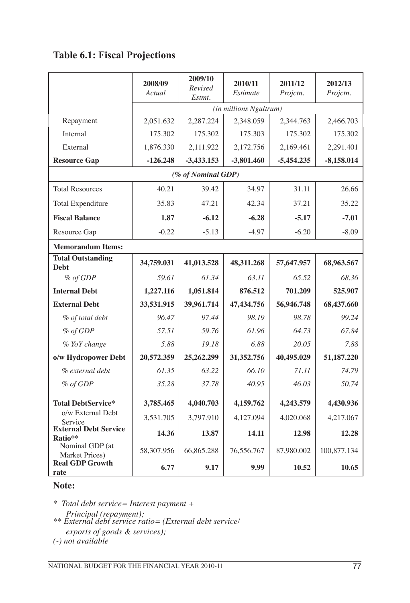## **Table 6.1: Fiscal Projections**

|                                         | 2008/09<br>Actual | 2009/10<br>Revised<br>Estmt. | 2010/11<br>Estimate | 2011/12<br>Projctn. | 2012/13<br>Projctn. |  |
|-----------------------------------------|-------------------|------------------------------|---------------------|---------------------|---------------------|--|
|                                         |                   | (in millions Ngultrum)       |                     |                     |                     |  |
| Repayment                               | 2,051.632         | 2,287.224                    | 2,348.059           | 2,344.763           | 2,466.703           |  |
| Internal                                | 175.302           | 175.302                      | 175.303             | 175.302             | 175.302             |  |
| External                                | 1,876.330         | 2,111.922                    | 2,172.756           | 2,169.461           | 2,291.401           |  |
| <b>Resource Gap</b>                     | $-126.248$        | $-3,433.153$                 | $-3,801.460$        | $-5,454.235$        | $-8,158.014$        |  |
|                                         |                   | (% of Nominal GDP)           |                     |                     |                     |  |
| <b>Total Resources</b>                  | 40.21             | 39.42                        | 34.97               | 31.11               | 26.66               |  |
| <b>Total Expenditure</b>                | 35.83             | 47.21                        | 42.34               | 37.21               | 35.22               |  |
| <b>Fiscal Balance</b>                   | 1.87              | $-6.12$                      | $-6.28$             | $-5.17$             | $-7.01$             |  |
| Resource Gap                            | $-0.22$           | $-5.13$                      | $-4.97$             | $-6.20$             | $-8.09$             |  |
| <b>Memorandum Items:</b>                |                   |                              |                     |                     |                     |  |
| <b>Total Outstanding</b><br>Debt        | 34,759.031        | 41,013.528                   | 48,311.268          | 57,647.957          | 68,963.567          |  |
| % of GDP                                | 59.61             | 61.34                        | 63.11               | 65.52               | 68.36               |  |
| <b>Internal Debt</b>                    | 1,227.116         | 1,051.814                    | 876.512             | 701.209             | 525.907             |  |
| <b>External Debt</b>                    | 33,531.915        | 39,961.714                   | 47,434.756          | 56,946.748          | 68,437.660          |  |
| % of total debt                         | 96.47             | 97.44                        | 98.19               | 98.78               | 99.24               |  |
| % of GDP                                | 57.51             | 59.76                        | 61.96               | 64.73               | 67.84               |  |
| % YoY change                            | 5.88              | 19.18                        | 6.88                | 20.05               | 7.88                |  |
| o/w Hydropower Debt                     | 20,572.359        | 25,262.299                   | 31,352.756          | 40,495.029          | 51,187.220          |  |
| % external debt                         | 61.35             | 63.22                        | 66.10               | 71.11               | 74.79               |  |
| % of GDP                                | 35.28             | 37.78                        | 40.95               | 46.03               | 50.74               |  |
| <b>Total DebtService*</b>               | 3,785.465         | 4,040.703                    | 4,159.762           | 4,243.579           | 4,430.936           |  |
| o/w External Debt<br>Service            | 3,531.705         | 3,797.910                    | 4,127.094           | 4,020.068           | 4,217.067           |  |
| <b>External Debt Service</b><br>Ratio** | 14.36             | 13.87                        | 14.11               | 12.98               | 12.28               |  |
| Nominal GDP (at<br>Market Prices)       | 58,307.956        | 66,865.288                   | 76,556.767          | 87,980.002          | 100,877.134         |  |
| <b>Real GDP Growth</b><br>rate          | 6.77              | 9.17                         | 9.99                | 10.52               | 10.65               |  |

#### **Note:**

*\* Total debt service= Interest payment +* 

- *Principal (repayment); \*\* External debt service ratio= (External debt service/ exports of goods & services);*
- *(-) not available*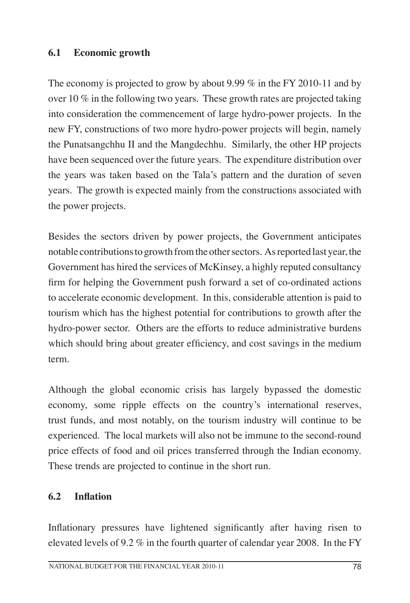### **6.1 Economic growth**

The economy is projected to grow by about 9.99 % in the FY 2010-11 and by over 10 % in the following two years. These growth rates are projected taking into consideration the commencement of large hydro-power projects. In the new FY, constructions of two more hydro-power projects will begin, namely the Punatsangchhu II and the Mangdechhu. Similarly, the other HP projects have been sequenced over the future years. The expenditure distribution over the years was taken based on the Tala's pattern and the duration of seven years. The growth is expected mainly from the constructions associated with the power projects.

Besides the sectors driven by power projects, the Government anticipates notable contributions to growth from the other sectors. As reported last year, the Government has hired the services of McKinsey, a highly reputed consultancy firm for helping the Government push forward a set of co-ordinated actions to accelerate economic development. In this, considerable attention is paid to tourism which has the highest potential for contributions to growth after the hydro-power sector. Others are the efforts to reduce administrative burdens which should bring about greater efficiency, and cost savings in the medium term.

Although the global economic crisis has largely bypassed the domestic economy, some ripple effects on the country's international reserves, trust funds, and most notably, on the tourism industry will continue to be experienced. The local markets will also not be immune to the second-round price effects of food and oil prices transferred through the Indian economy. These trends are projected to continue in the short run.

#### **6.2 Inflation**

Inflationary pressures have lightened significantly after having risen to elevated levels of 9.2 % in the fourth quarter of calendar year 2008. In the FY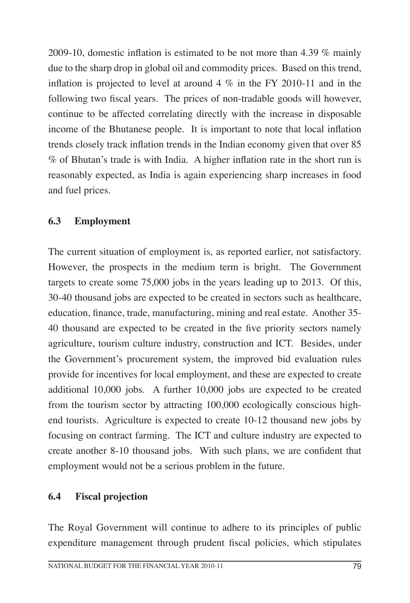2009-10, domestic inflation is estimated to be not more than 4.39 % mainly due to the sharp drop in global oil and commodity prices. Based on this trend, inflation is projected to level at around  $4\%$  in the FY 2010-11 and in the following two fiscal years. The prices of non-tradable goods will however, continue to be affected correlating directly with the increase in disposable income of the Bhutanese people. It is important to note that local inflation trends closely track inflation trends in the Indian economy given that over 85 % of Bhutan's trade is with India. A higher inflation rate in the short run is reasonably expected, as India is again experiencing sharp increases in food and fuel prices.

## **6.3 Employment**

The current situation of employment is, as reported earlier, not satisfactory. However, the prospects in the medium term is bright. The Government targets to create some 75,000 jobs in the years leading up to 2013. Of this, 30-40 thousand jobs are expected to be created in sectors such as healthcare, education, finance, trade, manufacturing, mining and real estate. Another 35- 40 thousand are expected to be created in the five priority sectors namely agriculture, tourism culture industry, construction and ICT. Besides, under the Government's procurement system, the improved bid evaluation rules provide for incentives for local employment, and these are expected to create additional 10,000 jobs. A further 10,000 jobs are expected to be created from the tourism sector by attracting 100,000 ecologically conscious highend tourists. Agriculture is expected to create 10-12 thousand new jobs by focusing on contract farming. The ICT and culture industry are expected to create another 8-10 thousand jobs. With such plans, we are confident that employment would not be a serious problem in the future.

#### **6.4 Fiscal projection**

The Royal Government will continue to adhere to its principles of public expenditure management through prudent fiscal policies, which stipulates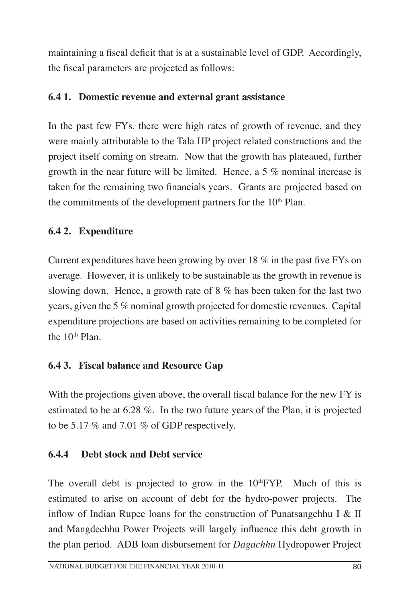maintaining a fiscal deficit that is at a sustainable level of GDP. Accordingly, the fiscal parameters are projected as follows:

## **6.4 1. Domestic revenue and external grant assistance**

In the past few FYs, there were high rates of growth of revenue, and they were mainly attributable to the Tala HP project related constructions and the project itself coming on stream. Now that the growth has plateaued, further growth in the near future will be limited. Hence, a 5 % nominal increase is taken for the remaining two financials years. Grants are projected based on the commitments of the development partners for the  $10<sup>th</sup>$  Plan.

## **6.4 2. Expenditure**

Current expenditures have been growing by over 18 % in the past five FYs on average. However, it is unlikely to be sustainable as the growth in revenue is slowing down. Hence, a growth rate of 8 % has been taken for the last two years, given the 5 % nominal growth projected for domestic revenues. Capital expenditure projections are based on activities remaining to be completed for the  $10<sup>th</sup>$  Plan.

## **6.4 3. Fiscal balance and Resource Gap**

With the projections given above, the overall fiscal balance for the new FY is estimated to be at 6.28 %. In the two future years of the Plan, it is projected to be 5.17 % and 7.01 % of GDP respectively.

#### **6.4.4 Debt stock and Debt service**

The overall debt is projected to grow in the  $10<sup>th</sup> FYP$ . Much of this is estimated to arise on account of debt for the hydro-power projects. The inflow of Indian Rupee loans for the construction of Punatsangchhu I & II and Mangdechhu Power Projects will largely influence this debt growth in the plan period. ADB loan disbursement for *Dagachhu* Hydropower Project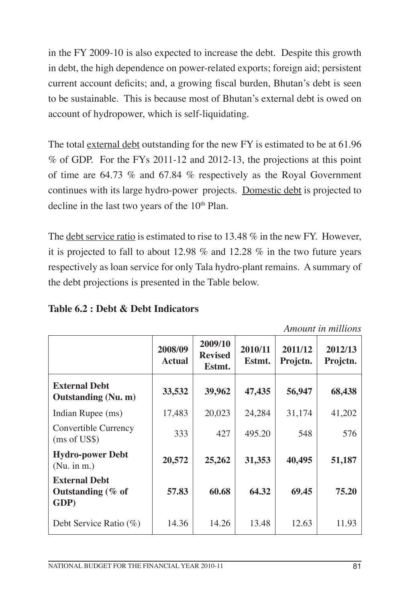in the FY 2009-10 is also expected to increase the debt. Despite this growth in debt, the high dependence on power-related exports; foreign aid; persistent current account deficits; and, a growing fiscal burden, Bhutan's debt is seen to be sustainable. This is because most of Bhutan's external debt is owed on account of hydropower, which is self-liquidating.

The total external debt outstanding for the new FY is estimated to be at 61.96 % of GDP. For the FYs 2011-12 and 2012-13, the projections at this point of time are 64.73 % and 67.84 % respectively as the Royal Government continues with its large hydro-power projects. Domestic debt is projected to decline in the last two years of the 10<sup>th</sup> Plan.

The debt service ratio is estimated to rise to 13.48 % in the new FY. However, it is projected to fall to about 12.98 % and 12.28 % in the two future years respectively as loan service for only Tala hydro-plant remains. A summary of the debt projections is presented in the Table below.

|                                                      | 2008/09<br><b>Actual</b> | 2009/10<br><b>Revised</b><br>Estmt. | 2010/11<br>Estmt. | 2011/12<br>Projetn. | 2012/13<br>Projctn. |
|------------------------------------------------------|--------------------------|-------------------------------------|-------------------|---------------------|---------------------|
| <b>External Debt</b><br><b>Outstanding (Nu. m)</b>   | 33,532                   | 39,962                              | 47,435            | 56,947              | 68,438              |
| Indian Rupee (ms)                                    | 17,483                   | 20,023                              | 24,284            | 31,174              | 41,202              |
| Convertible Currency<br>(ms of US\$)                 | 333                      | 427                                 | 495.20            | 548                 | 576                 |
| <b>Hydro-power Debt</b><br>(Nu. in m.)               | 20,572                   | 25,262                              | 31,353            | 40,495              | 51,187              |
| <b>External Debt</b><br>Outstanding $(\%$ of<br>GDP) | 57.83                    | 60.68                               | 64.32             | 69.45               | 75.20               |
| Debt Service Ratio $(\%)$                            | 14.36                    | 14.26                               | 13.48             | 12.63               | 11.93               |

## **Table 6.2 : Debt & Debt Indicators**

*Amount in millions*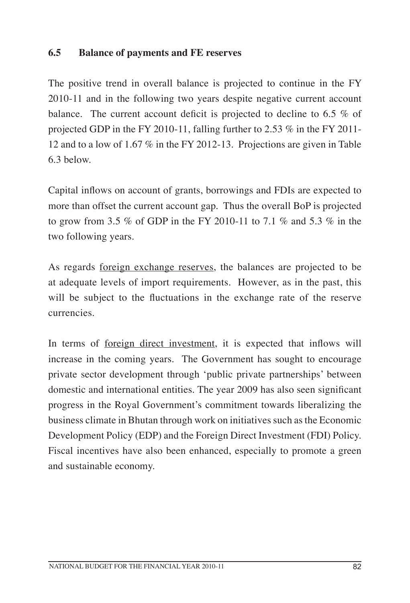### **6.5 Balance of payments and FE reserves**

The positive trend in overall balance is projected to continue in the FY 2010-11 and in the following two years despite negative current account balance. The current account deficit is projected to decline to 6.5 % of projected GDP in the FY 2010-11, falling further to 2.53 % in the FY 2011- 12 and to a low of 1.67 % in the FY 2012-13. Projections are given in Table 6.3 below.

Capital inflows on account of grants, borrowings and FDIs are expected to more than offset the current account gap. Thus the overall BoP is projected to grow from 3.5 % of GDP in the FY 2010-11 to 7.1 % and 5.3 % in the two following years.

As regards <u>foreign exchange reserves</u>, the balances are projected to be at adequate levels of import requirements. However, as in the past, this will be subject to the fluctuations in the exchange rate of the reserve currencies.

In terms of <u>foreign direct investment</u>, it is expected that inflows will increase in the coming years. The Government has sought to encourage private sector development through 'public private partnerships' between domestic and international entities. The year 2009 has also seen significant progress in the Royal Government's commitment towards liberalizing the business climate in Bhutan through work on initiatives such as the Economic Development Policy (EDP) and the Foreign Direct Investment (FDI) Policy. Fiscal incentives have also been enhanced, especially to promote a green and sustainable economy.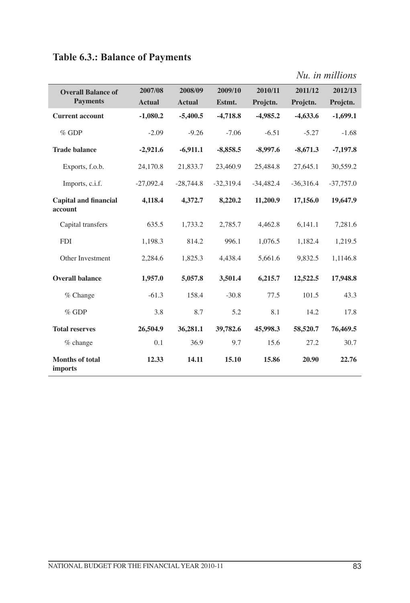# **Table 6.3.: Balance of Payments**

|  |  |  |  | Nu. in millions |
|--|--|--|--|-----------------|
|--|--|--|--|-----------------|

| <b>Overall Balance of</b>               | 2007/08       | 2008/09       | 2009/10     | 2010/11     | 2011/12     | 2012/13     |
|-----------------------------------------|---------------|---------------|-------------|-------------|-------------|-------------|
| <b>Payments</b>                         | <b>Actual</b> | <b>Actual</b> | Estmt.      | Projctn.    | Projetn.    | Projetn.    |
| <b>Current account</b>                  | $-1,080.2$    | $-5,400.5$    | $-4,718.8$  | $-4,985.2$  | $-4,633.6$  | $-1,699.1$  |
| $%$ GDP                                 | $-2.09$       | $-9.26$       | $-7.06$     | $-6.51$     | $-5.27$     | $-1.68$     |
| <b>Trade balance</b>                    | $-2,921.6$    | $-6,911.1$    | $-8,858.5$  | $-8,997.6$  | $-8,671.3$  | $-7,197.8$  |
| Exports, f.o.b.                         | 24,170.8      | 21,833.7      | 23,460.9    | 25,484.8    | 27,645.1    | 30,559.2    |
| Imports, c.i.f.                         | $-27,092.4$   | $-28,744.8$   | $-32,319.4$ | $-34,482.4$ | $-36,316.4$ | $-37,757.0$ |
| <b>Capital and financial</b><br>account | 4,118.4       | 4,372.7       | 8,220.2     | 11,200.9    | 17,156.0    | 19,647.9    |
| Capital transfers                       | 635.5         | 1,733.2       | 2,785.7     | 4,462.8     | 6,141.1     | 7,281.6     |
| <b>FDI</b>                              | 1,198.3       | 814.2         | 996.1       | 1.076.5     | 1,182.4     | 1,219.5     |
| Other Investment                        | 2,284.6       | 1,825.3       | 4.438.4     | 5,661.6     | 9,832.5     | 1,1146.8    |
| <b>Overall balance</b>                  | 1,957.0       | 5,057.8       | 3,501.4     | 6,215.7     | 12,522.5    | 17,948.8    |
| $%$ Change                              | $-61.3$       | 158.4         | $-30.8$     | 77.5        | 101.5       | 43.3        |
| $%$ GDP                                 | 3.8           | 8.7           | 5.2         | 8.1         | 14.2        | 17.8        |
| <b>Total reserves</b>                   | 26,504.9      | 36,281.1      | 39,782.6    | 45,998.3    | 58,520.7    | 76,469.5    |
| % change                                | 0.1           | 36.9          | 9.7         | 15.6        | 27.2        | 30.7        |
| Months of total<br><i>imports</i>       | 12.33         | 14.11         | 15.10       | 15.86       | 20.90       | 22.76       |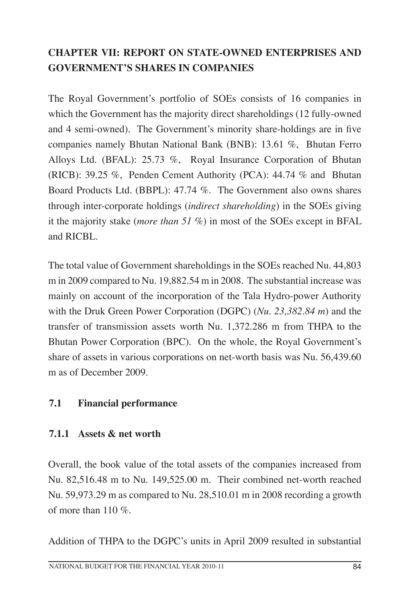## **CHAPTER VII: REPORT ON STATE-OWNED ENTERPRISES AND GOVERNMENT'S SHARES IN COMPANIES**

The Royal Government's portfolio of SOEs consists of 16 companies in which the Government has the majority direct shareholdings (12 fully-owned and 4 semi-owned). The Government's minority share-holdings are in five companies namely Bhutan National Bank (BNB): 13.61 %, Bhutan Ferro Alloys Ltd. (BFAL): 25.73 %, Royal Insurance Corporation of Bhutan (RICB): 39.25 %, Penden Cement Authority (PCA): 44.74 % and Bhutan Board Products Ltd. (BBPL): 47.74 %. The Government also owns shares through inter-corporate holdings (*indirect shareholding*) in the SOEs giving it the majority stake (*more than 51 %*) in most of the SOEs except in BFAL and RICBL.

The total value of Government shareholdings in the SOEs reached Nu. 44,803 m in 2009 compared to Nu. 19,882.54 m in 2008. The substantial increase was mainly on account of the incorporation of the Tala Hydro-power Authority with the Druk Green Power Corporation (DGPC) (*Nu. 23,382.84 m*) and the transfer of transmission assets worth Nu. 1,372.286 m from THPA to the Bhutan Power Corporation (BPC). On the whole, the Royal Government's share of assets in various corporations on net-worth basis was Nu. 56,439.60 m as of December 2009.

#### **7.1 Financial performance**

#### **7.1.1 Assets & net worth**

Overall, the book value of the total assets of the companies increased from Nu. 82,516.48 m to Nu. 149,525.00 m. Their combined net-worth reached Nu. 59,973.29 m as compared to Nu. 28,510.01 m in 2008 recording a growth of more than 110 %.

Addition of THPA to the DGPC's units in April 2009 resulted in substantial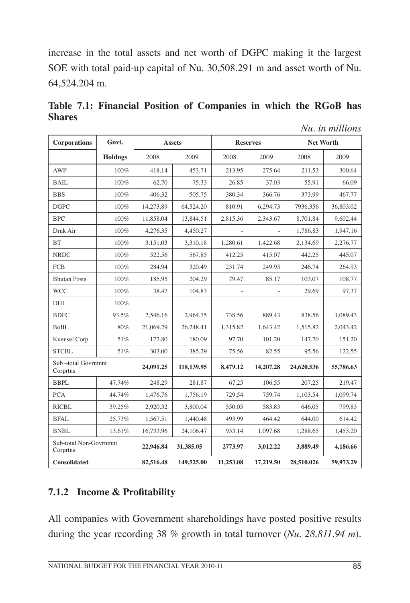increase in the total assets and net worth of DGPC making it the largest SOE with total paid-up capital of Nu. 30,508.291 m and asset worth of Nu. 64,524.204 m.

| <b>Corporations</b>                | Govt.   |           | <b>Assets</b> | <b>Reserves</b> |           | <b>Net Worth</b> |           |
|------------------------------------|---------|-----------|---------------|-----------------|-----------|------------------|-----------|
|                                    | Holdngs | 2008      | 2009          | 2008            | 2009      | 2008             | 2009      |
| <b>AWP</b>                         | $100\%$ | 418.14    | 453.71        | 213.95          | 275.64    | 211.53           | 300.64    |
| <b>BAIL</b>                        | 100%    | 62.70     | 75.33         | 26.85           | 37.03     | 55.91            | 66.09     |
| <b>BBS</b>                         | 100%    | 406.32    | 505.75        | 380.34          | 366.76    | 373.99           | 467.77    |
| <b>DGPC</b>                        | 100%    | 14,273.89 | 64.524.20     | 810.91          | 6.294.73  | 7936.356         | 36,803.02 |
| <b>BPC</b>                         | 100%    | 11,858.04 | 13,844.51     | 2,815.36        | 2.343.67  | 8,701.84         | 9,602.44  |
| Druk Air                           | 100%    | 4,276.35  | 4,450.27      |                 |           | 1,786.83         | 1,947.16  |
| <b>BT</b>                          | 100%    | 3.151.03  | 3.310.18      | 1.280.61        | 1.422.68  | 2.134.69         | 2.276.77  |
| <b>NRDC</b>                        | 100%    | 522.56    | 567.85        | 412.25          | 415.07    | 442.25           | 445.07    |
| <b>FCB</b>                         | 100%    | 284.94    | 320.49        | 231.74          | 249.93    | 246.74           | 264.93    |
| <b>Bhutan Posts</b>                | 100%    | 185.95    | 204.29        | 79.47           | 85.17     | 103.07           | 108.77    |
| <b>WCC</b>                         | 100%    | 38.47     | 104.83        |                 |           | 29.69            | 97.37     |
| DHI                                | 100%    |           |               |                 |           |                  |           |
| <b>BDFC</b>                        | 93.5%   | 2,546.16  | 2,964.75      | 738.56          | 889.43    | 838.56           | 1,089.43  |
| <b>BoBL</b>                        | 80%     | 21.069.29 | 26,248.41     | 1,315.82        | 1.643.42  | 1,515.82         | 2,043.42  |
| Kuensel Corp                       | 51%     | 172.80    | 180.09        | 97.70           | 101.20    | 147.70           | 151.20    |
| <b>STCBL</b>                       | 51%     | 303.00    | 385.29        | 75.56           | 82.55     | 95.56            | 122.55    |
| Sub-total Govrnmnt<br>Corprtns     |         | 24,091.25 | 118,139.95    | 8,479.12        | 14,207.28 | 24,620.536       | 55,786.63 |
| <b>BBPL</b>                        | 47.74%  | 248.29    | 281.87        | 67.25           | 106.55    | 207.25           | 219.47    |
| <b>PCA</b>                         | 44.74%  | 1,476.76  | 1,756.19      | 729.54          | 759.74    | 1,103.54         | 1,099.74  |
| <b>RICBL</b>                       | 39.25%  | 2,920.32  | 3,800.04      | 550.05          | 583.83    | 646.05           | 799.83    |
| <b>BFAL</b>                        | 25.73%  | 1,567.51  | 1,440.48      | 493.99          | 464.42    | 644.00           | 614.42    |
| <b>BNBL</b>                        | 13.61%  | 16,733.96 | 24,106.47     | 933.14          | 1,097.68  | 1,288.65         | 1,453.20  |
| Sub-total Non-Govrnmnt<br>Corprtns |         | 22,946.84 | 31,385.05     | 2773.97         | 3,012.22  | 3,889.49         | 4,186.66  |
| <b>Consolidated</b>                |         | 82,516.48 | 149,525.00    | 11,253.08       | 17,219.50 | 28,510.026       | 59,973.29 |

**Table 7.1: Financial Position of Companies in which the RGoB has Shares** *Nu. in millions*

## **7.1.2 Income & Profitability**

All companies with Government shareholdings have posted positive results during the year recording 38 % growth in total turnover (*Nu. 28,811.94 m*).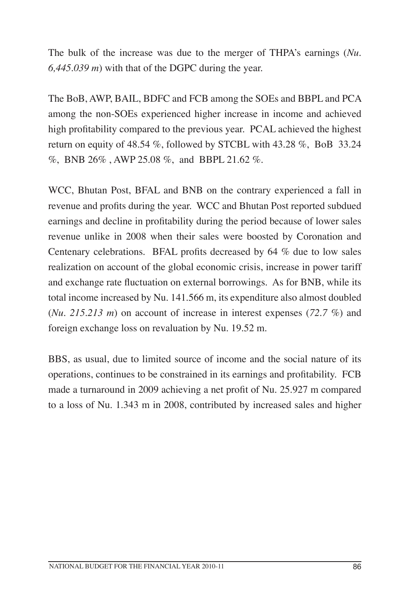The bulk of the increase was due to the merger of THPA's earnings (*Nu. 6,445.039 m*) with that of the DGPC during the year.

The BoB, AWP, BAIL, BDFC and FCB among the SOEs and BBPL and PCA among the non-SOEs experienced higher increase in income and achieved high profitability compared to the previous year. PCAL achieved the highest return on equity of 48.54 %, followed by STCBL with 43.28 %, BoB 33.24 %, BNB 26% , AWP 25.08 %, and BBPL 21.62 %.

WCC, Bhutan Post, BFAL and BNB on the contrary experienced a fall in revenue and profits during the year. WCC and Bhutan Post reported subdued earnings and decline in profitability during the period because of lower sales revenue unlike in 2008 when their sales were boosted by Coronation and Centenary celebrations. BFAL profits decreased by 64 % due to low sales realization on account of the global economic crisis, increase in power tariff and exchange rate fluctuation on external borrowings. As for BNB, while its total income increased by Nu. 141.566 m, its expenditure also almost doubled (*Nu. 215.213 m*) on account of increase in interest expenses (*72.7 %*) and foreign exchange loss on revaluation by Nu. 19.52 m.

BBS, as usual, due to limited source of income and the social nature of its operations, continues to be constrained in its earnings and profitability. FCB made a turnaround in 2009 achieving a net profit of Nu. 25.927 m compared to a loss of Nu. 1.343 m in 2008, contributed by increased sales and higher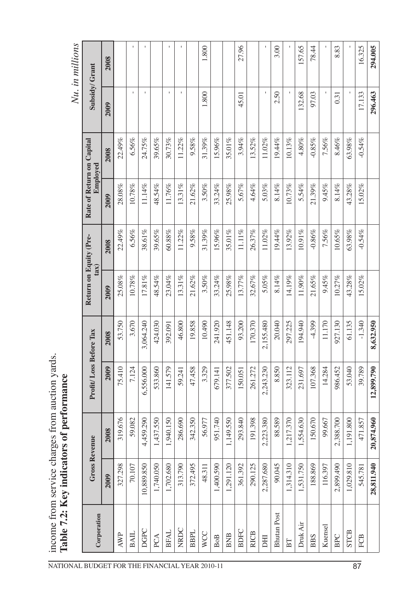| NATIONAL BUDGET FOR THE FINANCIAL YEAR 2010-11 |            |                            |                               |           | Return on Equity (Pre- |           | Rate of Return on Capital |          | Nu. in millions |         |
|------------------------------------------------|------------|----------------------------|-------------------------------|-----------|------------------------|-----------|---------------------------|----------|-----------------|---------|
| Corporation                                    |            | <b>Gross Revenue</b>       | <b>Profit/Loss Before Tax</b> |           | tan(                   |           | Employed                  |          | Subsidy/Grant   |         |
|                                                | 2009       | 2008                       | 2009                          | 2008      | 2009                   | 2008      | 2009                      | 2008     | 2009            | 2008    |
| <b>AWP</b>                                     | 327.298    | $\infty$<br>319.67         | 75.410                        | 53.750    | $25.08\%$              | 22.49%    | $28.08\%$                 | 22.49%   |                 |         |
| <b>BAIL</b>                                    | 70.107     | 59.082                     | 7.124                         | 3.670     | 10.78%                 | 6.56%     | 10.78%                    | 6.56%    | I.              |         |
| <b>DGPC</b>                                    | 10,889.850 | 4,459.290                  | 6,556.000                     | 3,064.240 | $17.81\%$              | 38.61%    | 11.14%                    | 24.75%   |                 |         |
| PCA                                            | 1,740.050  | 1,437.550                  | 533.860                       | 424.030   | 48.54%                 | 39.65%    | 48.54%                    | 39.65%   |                 |         |
| <b>BFAL</b>                                    | 1,702.680  | 1,940.150                  | 141.579                       | 392.091   | 23.04%                 | 60.88%    | 11.76%                    | 30.73%   |                 |         |
| NRDC                                           | 313.790    | 286.690                    | 59.241                        | 46.800    | 13.31%                 | $11.22\%$ | 13.31%                    | 11.22%   | $\mathsf{I}$    | I.      |
| <b>BBPL</b>                                    | 372.495    | 342.350                    | 47.458                        | 19.858    | 21.62%                 | 9.58%     | 21.62%                    | 9.58%    |                 |         |
| WCC                                            | 48.311     | 56.977                     | 3.329                         | 10.490    | 3.50%                  | 31.39%    | 3.50%                     | 31.39%   | 1.800           | 1.800   |
| <b>BoB</b>                                     | 1,400.590  | 951.740                    | 679.141                       | 241.920   | 33.24%                 | 15.96%    | 33.24%                    | 15.96%   |                 |         |
| <b>BNB</b>                                     | 1,291.120  | 1,149.550                  | 377.502                       | 451.148   | 25.98%                 | 35.01%    | 25.98%                    | 35.01%   |                 |         |
| <b>BDFC</b>                                    | 361.392    | 293.840                    | 150.051                       | 93.200    | 13.77%                 | $11.11\%$ | 5.67%                     | 3.94%    | 45.01           | 27.96   |
| <b>RICB</b>                                    | 290.125    | 191.398                    | 261.272                       | 170.370   | 32.67%                 | 26.37%    | 4.64%                     | 13.52%   |                 |         |
| EК                                             | 2,287.680  | 2,223.380                  | 2,243.230                     | 2,155.480 | 5.05%                  | $11.02\%$ | 5.03%                     | 11.02%   |                 |         |
| <b>Bhutan Post</b>                             | 90.045     | 88.589                     | 8.850                         | 20.040    | 8.14%                  | 19.44%    | 8.14%                     | 19.44%   | 2.50            | 3.00    |
| BT                                             | 1,314.310  | $\overline{C}$<br>1,217.37 | 323.112                       | 297.225   | 14.19%                 | 13.92%    | 10.73%                    | 10.13%   |                 |         |
| Druk Air                                       | 1,531.750  | 1,554.630                  | 231.697                       | 194.940   | 11.90%                 | 10.91%    | 5.54%                     | 4.80%    | 132.68          | 157.65  |
| <b>BBS</b>                                     | 188.869    | 150.670                    | 107.368                       | 4.399     | 21.65%                 | $-0.86%$  | 21.39%                    | $-0.85%$ | 97.03           | 78.44   |
| Kuensel                                        | 116.397    | 99.667                     | 14.284                        | 11.170    | 9.45%                  | 7.56%     | 9.45%                     | 7.56%    |                 |         |
| <b>BPC</b>                                     | 2,899.490  | 2,388.700                  | 986.452                       | 927.130   | 10.27%                 | 10.65%    | 8.14%                     | 8.46%    | 0.31            | 8.83    |
| <b>STCB</b>                                    | 1,029.810  | 1,191.800                  | 53.040                        | 61.135    | 43.28%                 | $63.98\%$ | 43.28%                    | 63.98%   |                 |         |
| FCB                                            | 545.781    | 471.857                    | 39.789                        | $-1.340$  | 15.02%                 | $-0.54%$  | 15.02%                    | $-0.54%$ | 17.133          | 16.325  |
|                                                | 28,811.940 | 20,874.960                 | 12,899.790                    | 8,632.950 |                        |           |                           |          | 296.463         | 294.005 |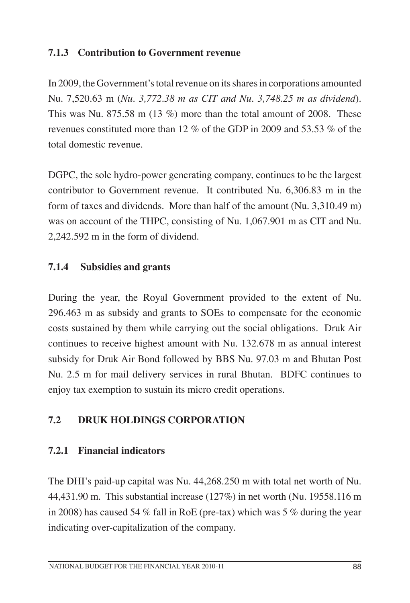## **7.1.3 Contribution to Government revenue**

In 2009, the Government's total revenue on its shares in corporations amounted Nu. 7,520.63 m (*Nu. 3,772.38 m as CIT and Nu. 3,748.25 m as dividend*). This was Nu. 875.58 m (13 %) more than the total amount of 2008. These revenues constituted more than 12 % of the GDP in 2009 and 53.53 % of the total domestic revenue.

DGPC, the sole hydro-power generating company, continues to be the largest contributor to Government revenue. It contributed Nu. 6,306.83 m in the form of taxes and dividends. More than half of the amount (Nu. 3,310.49 m) was on account of the THPC, consisting of Nu. 1,067.901 m as CIT and Nu. 2,242.592 m in the form of dividend.

## **7.1.4 Subsidies and grants**

During the year, the Royal Government provided to the extent of Nu. 296.463 m as subsidy and grants to SOEs to compensate for the economic costs sustained by them while carrying out the social obligations. Druk Air continues to receive highest amount with Nu. 132.678 m as annual interest subsidy for Druk Air Bond followed by BBS Nu. 97.03 m and Bhutan Post Nu. 2.5 m for mail delivery services in rural Bhutan. BDFC continues to enjoy tax exemption to sustain its micro credit operations.

## **7.2 Druk Holdings Corporation**

#### **7.2.1 Financial indicators**

The DHI's paid-up capital was Nu. 44,268.250 m with total net worth of Nu. 44,431.90 m. This substantial increase (127%) in net worth (Nu. 19558.116 m in 2008) has caused 54 % fall in RoE (pre-tax) which was 5 % during the year indicating over-capitalization of the company.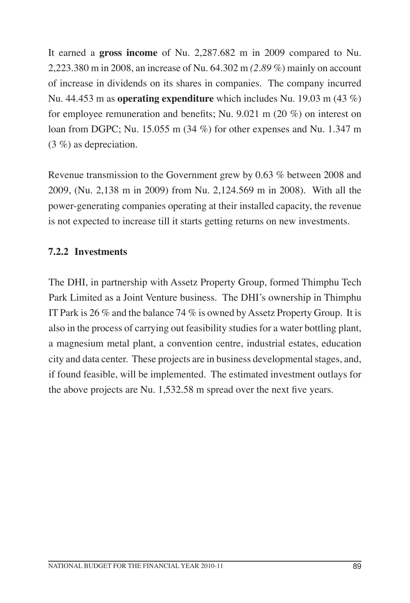It earned a **gross income** of Nu. 2,287.682 m in 2009 compared to Nu. 2,223.380 m in 2008, an increase of Nu. 64.302 m *(2.89 %*) mainly on account of increase in dividends on its shares in companies. The company incurred Nu. 44.453 m as **operating expenditure** which includes Nu. 19.03 m (43 %) for employee remuneration and benefits; Nu. 9.021 m (20 %) on interest on loan from DGPC; Nu. 15.055 m (34 %) for other expenses and Nu. 1.347 m (3 %) as depreciation.

Revenue transmission to the Government grew by 0.63 % between 2008 and 2009, (Nu. 2,138 m in 2009) from Nu. 2,124.569 m in 2008). With all the power-generating companies operating at their installed capacity, the revenue is not expected to increase till it starts getting returns on new investments.

## **7.2.2 Investments**

The DHI, in partnership with Assetz Property Group, formed Thimphu Tech Park Limited as a Joint Venture business. The DHI's ownership in Thimphu IT Park is 26 % and the balance 74 % is owned by Assetz Property Group. It is also in the process of carrying out feasibility studies for a water bottling plant, a magnesium metal plant, a convention centre, industrial estates, education city and data center. These projects are in business developmental stages, and, if found feasible, will be implemented. The estimated investment outlays for the above projects are Nu. 1,532.58 m spread over the next five years.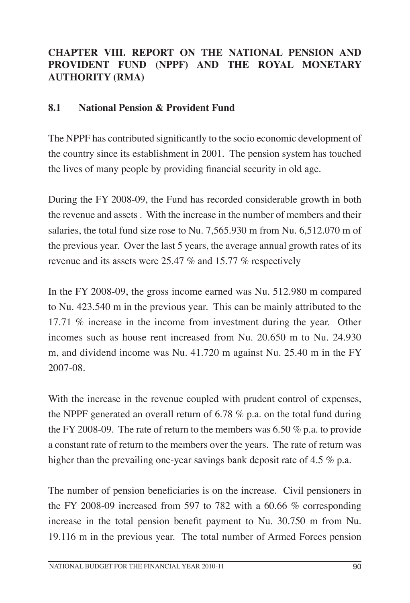## **CHAPTER VIII. REPORT ON THE NATIONAL PENSION AND PROVIDENT FUND (NPPF) AND THE ROYAL MONETARY AUTHORITY (RMA)**

#### **8.1 National Pension & Provident Fund**

The NPPF has contributed significantly to the socio economic development of the country since its establishment in 2001. The pension system has touched the lives of many people by providing financial security in old age.

During the FY 2008-09, the Fund has recorded considerable growth in both the revenue and assets . With the increase in the number of members and their salaries, the total fund size rose to Nu. 7,565.930 m from Nu. 6,512.070 m of the previous year. Over the last 5 years, the average annual growth rates of its revenue and its assets were 25.47 % and 15.77 % respectively

In the FY 2008-09, the gross income earned was Nu. 512.980 m compared to Nu. 423.540 m in the previous year. This can be mainly attributed to the 17.71 % increase in the income from investment during the year. Other incomes such as house rent increased from Nu. 20.650 m to Nu. 24.930 m, and dividend income was Nu. 41.720 m against Nu. 25.40 m in the FY 2007-08.

With the increase in the revenue coupled with prudent control of expenses, the NPPF generated an overall return of 6.78 % p.a. on the total fund during the FY 2008-09. The rate of return to the members was  $6.50\%$  p.a. to provide a constant rate of return to the members over the years. The rate of return was higher than the prevailing one-year savings bank deposit rate of 4.5 % p.a.

The number of pension beneficiaries is on the increase. Civil pensioners in the FY 2008-09 increased from 597 to 782 with a 60.66 % corresponding increase in the total pension benefit payment to Nu. 30.750 m from Nu. 19.116 m in the previous year. The total number of Armed Forces pension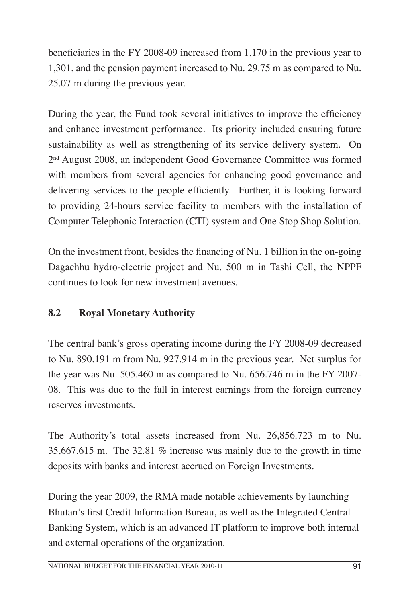beneficiaries in the FY 2008-09 increased from 1,170 in the previous year to 1,301, and the pension payment increased to Nu. 29.75 m as compared to Nu. 25.07 m during the previous year.

During the year, the Fund took several initiatives to improve the efficiency and enhance investment performance. Its priority included ensuring future sustainability as well as strengthening of its service delivery system. On 2nd August 2008, an independent Good Governance Committee was formed with members from several agencies for enhancing good governance and delivering services to the people efficiently. Further, it is looking forward to providing 24-hours service facility to members with the installation of Computer Telephonic Interaction (CTI) system and One Stop Shop Solution.

On the investment front, besides the financing of Nu. 1 billion in the on-going Dagachhu hydro-electric project and Nu. 500 m in Tashi Cell, the NPPF continues to look for new investment avenues.

## **8.2 Royal Monetary Authority**

The central bank's gross operating income during the FY 2008-09 decreased to Nu. 890.191 m from Nu. 927.914 m in the previous year. Net surplus for the year was Nu. 505.460 m as compared to Nu. 656.746 m in the FY 2007- 08. This was due to the fall in interest earnings from the foreign currency reserves investments.

The Authority's total assets increased from Nu. 26,856.723 m to Nu. 35,667.615 m. The 32.81 % increase was mainly due to the growth in time deposits with banks and interest accrued on Foreign Investments.

During the year 2009, the RMA made notable achievements by launching Bhutan's first Credit Information Bureau, as well as the Integrated Central Banking System, which is an advanced IT platform to improve both internal and external operations of the organization.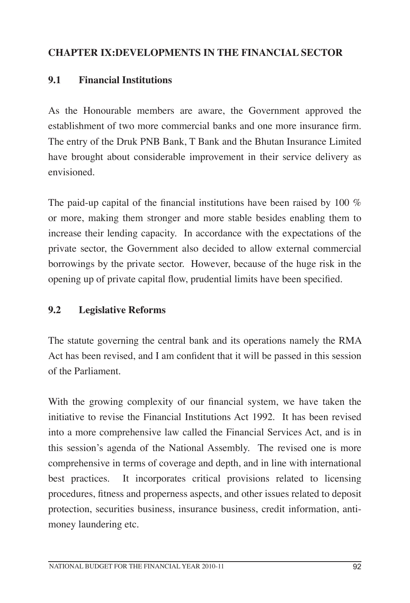## **CHAPTER IX:DEVELOPMENTS IN THE FINANCIAL SECTOR**

#### **9.1 Financial Institutions**

As the Honourable members are aware, the Government approved the establishment of two more commercial banks and one more insurance firm. The entry of the Druk PNB Bank, T Bank and the Bhutan Insurance Limited have brought about considerable improvement in their service delivery as envisioned.

The paid-up capital of the financial institutions have been raised by 100 % or more, making them stronger and more stable besides enabling them to increase their lending capacity. In accordance with the expectations of the private sector, the Government also decided to allow external commercial borrowings by the private sector. However, because of the huge risk in the opening up of private capital flow, prudential limits have been specified.

#### **9.2 Legislative Reforms**

The statute governing the central bank and its operations namely the RMA Act has been revised, and I am confident that it will be passed in this session of the Parliament.

With the growing complexity of our financial system, we have taken the initiative to revise the Financial Institutions Act 1992. It has been revised into a more comprehensive law called the Financial Services Act, and is in this session's agenda of the National Assembly. The revised one is more comprehensive in terms of coverage and depth, and in line with international best practices. It incorporates critical provisions related to licensing procedures, fitness and properness aspects, and other issues related to deposit protection, securities business, insurance business, credit information, antimoney laundering etc.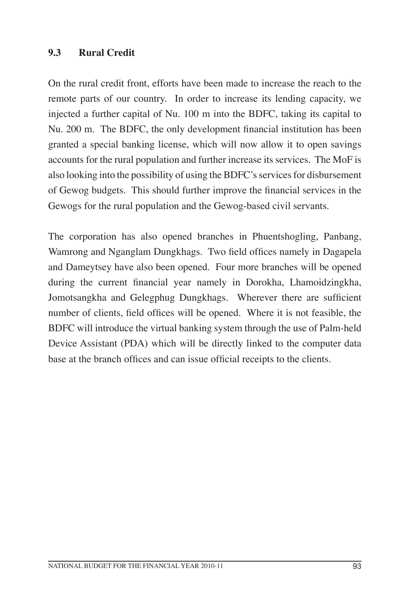#### **9.3 Rural Credit**

On the rural credit front, efforts have been made to increase the reach to the remote parts of our country. In order to increase its lending capacity, we injected a further capital of Nu. 100 m into the BDFC, taking its capital to Nu. 200 m. The BDFC, the only development financial institution has been granted a special banking license, which will now allow it to open savings accounts for the rural population and further increase its services. The MoF is also looking into the possibility of using the BDFC's services for disbursement of Gewog budgets. This should further improve the financial services in the Gewogs for the rural population and the Gewog-based civil servants.

The corporation has also opened branches in Phuentshogling, Panbang, Wamrong and Nganglam Dungkhags. Two field offices namely in Dagapela and Dameytsey have also been opened. Four more branches will be opened during the current financial year namely in Dorokha, Lhamoidzingkha, Jomotsangkha and Gelegphug Dungkhags. Wherever there are sufficient number of clients, field offices will be opened. Where it is not feasible, the BDFC will introduce the virtual banking system through the use of Palm-held Device Assistant (PDA) which will be directly linked to the computer data base at the branch offices and can issue official receipts to the clients.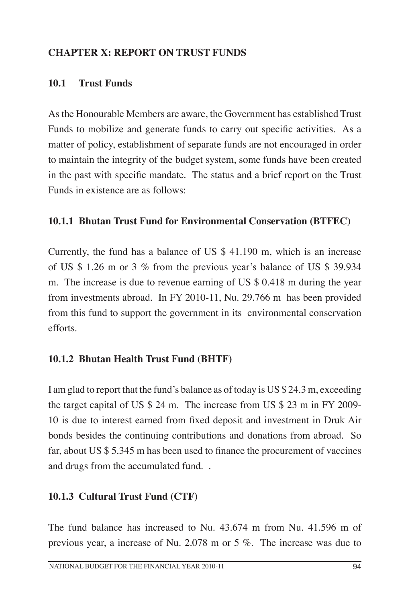## **CHAPTER X: REPORT ON TRUST FUNDS**

#### **10.1 Trust Funds**

As the Honourable Members are aware, the Government has established Trust Funds to mobilize and generate funds to carry out specific activities. As a matter of policy, establishment of separate funds are not encouraged in order to maintain the integrity of the budget system, some funds have been created in the past with specific mandate. The status and a brief report on the Trust Funds in existence are as follows:

#### **10.1.1 Bhutan Trust Fund for Environmental Conservation (BTFEC)**

Currently, the fund has a balance of US \$ 41.190 m, which is an increase of US \$ 1.26 m or 3 % from the previous year's balance of US \$ 39.934 m. The increase is due to revenue earning of US \$ 0.418 m during the year from investments abroad. In FY 2010-11, Nu. 29.766 m has been provided from this fund to support the government in its environmental conservation efforts.

#### **10.1.2 Bhutan Health Trust Fund (BHTF)**

I am glad to report that the fund's balance as of today is US \$ 24.3 m, exceeding the target capital of US \$ 24 m. The increase from US \$ 23 m in FY 2009- 10 is due to interest earned from fixed deposit and investment in Druk Air bonds besides the continuing contributions and donations from abroad. So far, about US \$ 5.345 m has been used to finance the procurement of vaccines and drugs from the accumulated fund. .

#### **10.1.3 Cultural Trust Fund (CTF)**

The fund balance has increased to Nu. 43.674 m from Nu. 41.596 m of previous year, a increase of Nu. 2.078 m or 5 %. The increase was due to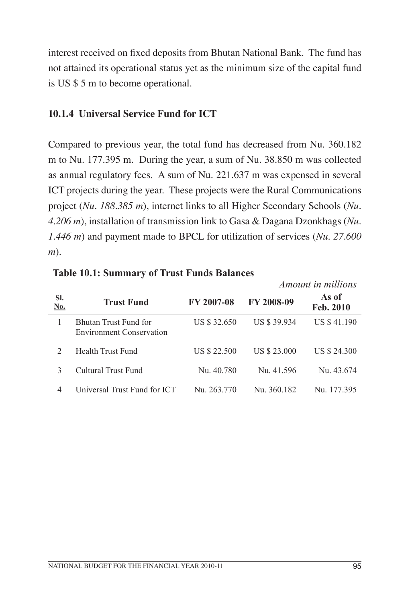interest received on fixed deposits from Bhutan National Bank. The fund has not attained its operational status yet as the minimum size of the capital fund is US \$ 5 m to become operational.

#### **10.1.4 Universal Service Fund for ICT**

Compared to previous year, the total fund has decreased from Nu. 360.182 m to Nu. 177.395 m. During the year, a sum of Nu. 38.850 m was collected as annual regulatory fees. A sum of Nu. 221.637 m was expensed in several ICT projects during the year. These projects were the Rural Communications project (*Nu. 188.385 m*), internet links to all Higher Secondary Schools (*Nu. 4.206 m*), installation of transmission link to Gasa & Dagana Dzonkhags (*Nu. 1.446 m*) and payment made to BPCL for utilization of services (*Nu. 27.600 m*).

|                   |                                                          |                   | <i>Amount in millions</i> |                    |  |
|-------------------|----------------------------------------------------------|-------------------|---------------------------|--------------------|--|
| SI.<br><u>No.</u> | <b>Trust Fund</b>                                        | <b>FY 2007-08</b> | <b>FY 2008-09</b>         | As of<br>Feb. 2010 |  |
| 1                 | Bhutan Trust Fund for<br><b>Environment Conservation</b> | US \$ 32.650      | US \$ 39.934              | US \$41.190        |  |
| $\mathcal{D}$     | Health Trust Fund                                        | US \$ 22.500      | US \$ 23.000              | US \$ 24.300       |  |
| 3                 | Cultural Trust Fund                                      | Nu. 40.780        | Nu. 41.596                | Nu. 43.674         |  |
| 4                 | Universal Trust Fund for ICT                             | Nu. 263.770       | Nu. 360.182               | Nu 177395          |  |

**Table 10.1: Summary of Trust Funds Balances**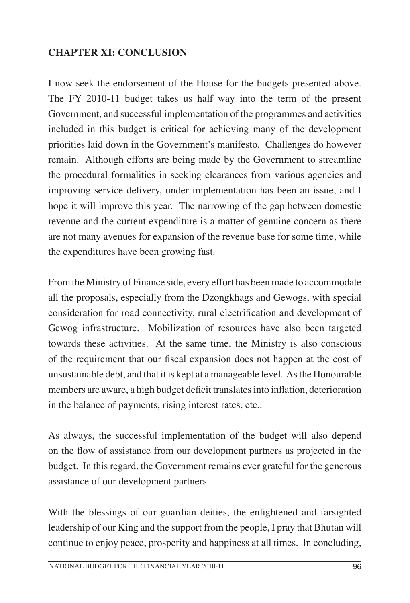## **CHAPTER XI: CONCLUSION**

I now seek the endorsement of the House for the budgets presented above. The FY 2010-11 budget takes us half way into the term of the present Government, and successful implementation of the programmes and activities included in this budget is critical for achieving many of the development priorities laid down in the Government's manifesto. Challenges do however remain. Although efforts are being made by the Government to streamline the procedural formalities in seeking clearances from various agencies and improving service delivery, under implementation has been an issue, and I hope it will improve this year. The narrowing of the gap between domestic revenue and the current expenditure is a matter of genuine concern as there are not many avenues for expansion of the revenue base for some time, while the expenditures have been growing fast.

From the Ministry of Finance side, every effort has been made to accommodate all the proposals, especially from the Dzongkhags and Gewogs, with special consideration for road connectivity, rural electrification and development of Gewog infrastructure. Mobilization of resources have also been targeted towards these activities. At the same time, the Ministry is also conscious of the requirement that our fiscal expansion does not happen at the cost of unsustainable debt, and that it is kept at a manageable level. As the Honourable members are aware, a high budget deficit translates into inflation, deterioration in the balance of payments, rising interest rates, etc..

As always, the successful implementation of the budget will also depend on the flow of assistance from our development partners as projected in the budget. In this regard, the Government remains ever grateful for the generous assistance of our development partners.

With the blessings of our guardian deities, the enlightened and farsighted leadership of our King and the support from the people, I pray that Bhutan will continue to enjoy peace, prosperity and happiness at all times. In concluding,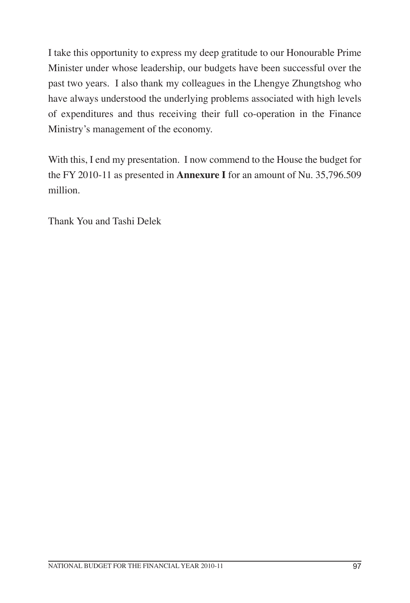I take this opportunity to express my deep gratitude to our Honourable Prime Minister under whose leadership, our budgets have been successful over the past two years. I also thank my colleagues in the Lhengye Zhungtshog who have always understood the underlying problems associated with high levels of expenditures and thus receiving their full co-operation in the Finance Ministry's management of the economy.

With this, I end my presentation. I now commend to the House the budget for the FY 2010-11 as presented in **Annexure I** for an amount of Nu. 35,796.509 million.

Thank You and Tashi Delek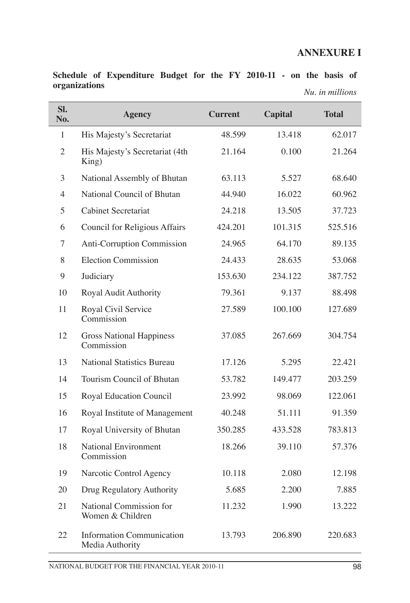## **ANNEXURE I**

|               | Schedule of Expenditure Budget for the FY 2010-11 - on the basis of |  |  |  |  |                 |  |
|---------------|---------------------------------------------------------------------|--|--|--|--|-----------------|--|
| organizations |                                                                     |  |  |  |  | Nu, in millions |  |
|               |                                                                     |  |  |  |  |                 |  |

Ī

| SI.<br>No.     | <b>Agency</b>                                       | <b>Current</b> | <b>Capital</b> | <b>Total</b> |
|----------------|-----------------------------------------------------|----------------|----------------|--------------|
| $\mathbf{1}$   | His Majesty's Secretariat                           | 48.599         | 13.418         | 62.017       |
| $\overline{2}$ | His Majesty's Secretariat (4th<br>King)             | 21.164         | 0.100          | 21.264       |
| 3              | National Assembly of Bhutan                         | 63.113         | 5.527          | 68.640       |
| $\overline{4}$ | National Council of Bhutan                          | 44.940         | 16.022         | 60.962       |
| 5              | <b>Cabinet Secretariat</b>                          | 24.218         | 13.505         | 37.723       |
| 6              | Council for Religious Affairs                       | 424.201        | 101.315        | 525.516      |
| 7              | Anti-Corruption Commission                          | 24.965         | 64.170         | 89.135       |
| 8              | <b>Election Commission</b>                          | 24.433         | 28.635         | 53.068       |
| 9              | Judiciary                                           | 153.630        | 234.122        | 387.752      |
| 10             | Royal Audit Authority                               | 79.361         | 9.137          | 88.498       |
| 11             | Royal Civil Service<br>Commission                   | 27.589         | 100.100        | 127.689      |
| 12             | <b>Gross National Happiness</b><br>Commission       | 37.085         | 267.669        | 304.754      |
| 13             | <b>National Statistics Bureau</b>                   | 17.126         | 5.295          | 22.421       |
| 14             | Tourism Council of Bhutan                           | 53.782         | 149.477        | 203.259      |
| 15             | Royal Education Council                             | 23.992         | 98.069         | 122.061      |
| 16             | Royal Institute of Management                       | 40.248         | 51.111         | 91.359       |
| 17             | Royal University of Bhutan                          | 350.285        | 433.528        | 783.813      |
| 18             | <b>National Environment</b><br>Commission           | 18.266         | 39.110         | 57.376       |
| 19             | Narcotic Control Agency                             | 10.118         | 2.080          | 12.198       |
| 20             | Drug Regulatory Authority                           | 5.685          | 2.200          | 7.885        |
| 21             | National Commission for<br>Women & Children         | 11.232         | 1.990          | 13.222       |
| 22             | <b>Information Communication</b><br>Media Authority | 13.793         | 206.890        | 220.683      |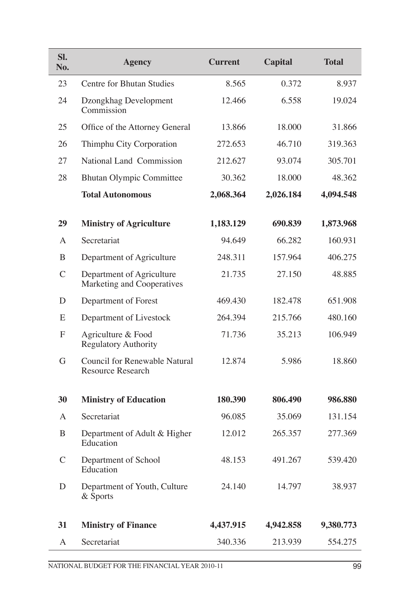| SI.<br>No.    | <b>Agency</b>                                             | <b>Current</b> | <b>Capital</b> | <b>Total</b> |
|---------------|-----------------------------------------------------------|----------------|----------------|--------------|
| 23            | <b>Centre for Bhutan Studies</b>                          | 8.565          | 0.372          | 8.937        |
| 24            | Dzongkhag Development<br>Commission                       | 12.466         | 6.558          | 19.024       |
| 25            | Office of the Attorney General                            | 13.866         | 18.000         | 31.866       |
| 26            | Thimphu City Corporation                                  | 272.653        | 46.710         | 319.363      |
| 27            | National Land Commission                                  | 212.627        | 93.074         | 305.701      |
| 28            | <b>Bhutan Olympic Committee</b>                           | 30.362         | 18.000         | 48.362       |
|               | <b>Total Autonomous</b>                                   | 2,068.364      | 2,026.184      | 4,094.548    |
| 29            | <b>Ministry of Agriculture</b>                            | 1,183.129      | 690.839        | 1,873.968    |
| A             | Secretariat                                               | 94.649         | 66.282         | 160.931      |
| B             | Department of Agriculture                                 | 248.311        | 157.964        | 406.275      |
| $\mathcal{C}$ | Department of Agriculture<br>Marketing and Cooperatives   | 21.735         | 27.150         | 48.885       |
| D             | Department of Forest                                      | 469.430        | 182.478        | 651.908      |
| E             | Department of Livestock                                   | 264.394        | 215.766        | 480.160      |
| F             | Agriculture & Food<br><b>Regulatory Authority</b>         | 71.736         | 35.213         | 106.949      |
| G             | Council for Renewable Natural<br><b>Resource Research</b> | 12.874         | 5.986          | 18.860       |
| 30            | <b>Ministry of Education</b>                              | 180.390        | 806.490        | 986.880      |
| A             | Secretariat                                               | 96.085         | 35.069         | 131.154      |
| B             | Department of Adult & Higher<br>Education                 | 12.012         | 265.357        | 277.369      |
| $\mathsf{C}$  | Department of School<br>Education                         | 48.153         | 491.267        | 539.420      |
| D             | Department of Youth, Culture<br>& Sports                  | 24.140         | 14.797         | 38.937       |
| 31            | <b>Ministry of Finance</b>                                | 4,437.915      | 4,942.858      | 9,380.773    |
| A             | Secretariat                                               | 340.336        | 213.939        | 554.275      |

Ī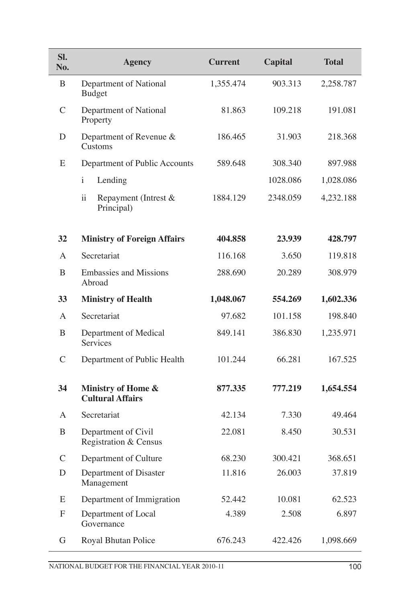| SI.<br>No.    | <b>Agency</b>                                         | <b>Current</b> | <b>Capital</b> | <b>Total</b> |
|---------------|-------------------------------------------------------|----------------|----------------|--------------|
| B             | Department of National<br><b>Budget</b>               | 1,355.474      | 903.313        | 2,258.787    |
| $\mathcal{C}$ | Department of National<br>Property                    | 81.863         | 109.218        | 191.081      |
| D             | Department of Revenue &<br>Customs                    | 186.465        | 31.903         | 218.368      |
| E             | Department of Public Accounts                         | 589.648        | 308.340        | 897.988      |
|               | $\mathbf{i}$<br>Lending                               |                | 1028.086       | 1,028.086    |
|               | $\ddot{\rm ii}$<br>Repayment (Intrest &<br>Principal) | 1884.129       | 2348.059       | 4,232.188    |
| 32            | <b>Ministry of Foreign Affairs</b>                    | 404.858        | 23.939         | 428.797      |
| A             | Secretariat                                           | 116.168        | 3.650          | 119.818      |
| B             | <b>Embassies and Missions</b><br>Abroad               | 288.690        | 20.289         | 308.979      |
| 33            | <b>Ministry of Health</b>                             | 1,048.067      | 554.269        | 1,602.336    |
| A             | Secretariat                                           | 97.682         | 101.158        | 198.840      |
| B             | Department of Medical<br>Services                     | 849.141        | 386.830        | 1,235.971    |
| $\mathcal{C}$ | Department of Public Health                           | 101.244        | 66.281         | 167.525      |
| 34            | Ministry of Home &<br><b>Cultural Affairs</b>         | 877.335        | 777.219        | 1,654.554    |
| A             | Secretariat                                           | 42.134         | 7.330          | 49.464       |
| B             | Department of Civil<br>Registration & Census          | 22.081         | 8.450          | 30.531       |
| $\mathcal{C}$ | Department of Culture                                 | 68.230         | 300.421        | 368.651      |
| D             | Department of Disaster<br>Management                  | 11.816         | 26.003         | 37.819       |
| E             | Department of Immigration                             | 52.442         | 10.081         | 62.523       |
| ${\rm F}$     | Department of Local<br>Governance                     | 4.389          | 2.508          | 6.897        |
| G             | Royal Bhutan Police                                   | 676.243        | 422.426        | 1,098.669    |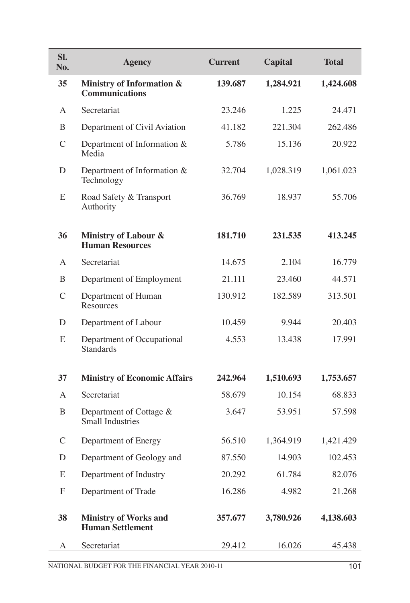| SI.<br>No.    | <b>Agency</b>                                           | <b>Current</b> | <b>Capital</b> | <b>Total</b> |
|---------------|---------------------------------------------------------|----------------|----------------|--------------|
| 35            | Ministry of Information &<br><b>Communications</b>      | 139.687        | 1,284.921      | 1,424.608    |
| A             | Secretariat                                             | 23.246         | 1.225          | 24.471       |
| B             | Department of Civil Aviation                            | 41.182         | 221.304        | 262.486      |
| $\mathcal{C}$ | Department of Information &<br>Media                    | 5.786          | 15.136         | 20.922       |
| D             | Department of Information &<br>Technology               | 32.704         | 1,028.319      | 1,061.023    |
| E             | Road Safety & Transport<br>Authority                    | 36.769         | 18.937         | 55.706       |
| 36            | Ministry of Labour &<br><b>Human Resources</b>          | 181.710        | 231.535        | 413.245      |
| A             | Secretariat                                             | 14.675         | 2.104          | 16.779       |
| B             | Department of Employment                                | 21.111         | 23.460         | 44.571       |
| $\mathcal{C}$ | Department of Human<br>Resources                        | 130.912        | 182.589        | 313.501      |
| D             | Department of Labour                                    | 10.459         | 9.944          | 20.403       |
| E             | Department of Occupational<br><b>Standards</b>          | 4.553          | 13.438         | 17.991       |
| 37            | <b>Ministry of Economic Affairs</b>                     | 242.964        | 1,510.693      | 1,753.657    |
| A             | Secretariat                                             | 58.679         | 10.154         | 68.833       |
| B             | Department of Cottage $&$<br><b>Small Industries</b>    | 3.647          | 53.951         | 57.598       |
| $\mathcal{C}$ | Department of Energy                                    | 56.510         | 1,364.919      | 1,421.429    |
| $\mathbf D$   | Department of Geology and                               | 87.550         | 14.903         | 102.453      |
| E             | Department of Industry                                  | 20.292         | 61.784         | 82.076       |
| $\mathbf F$   | Department of Trade                                     | 16.286         | 4.982          | 21.268       |
| 38            | <b>Ministry of Works and</b><br><b>Human Settlement</b> | 357.677        | 3,780.926      | 4,138.603    |
| А             | Secretariat                                             | 29.412         | 16.026         | 45.438       |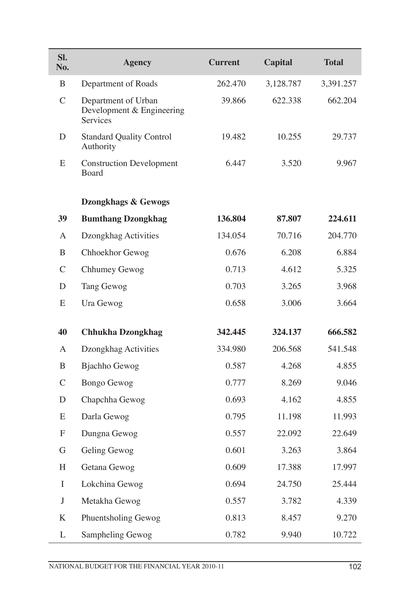| SI.<br>No.    | <b>Agency</b>                                                | <b>Current</b> | <b>Capital</b> | <b>Total</b> |
|---------------|--------------------------------------------------------------|----------------|----------------|--------------|
| B             | Department of Roads                                          | 262.470        | 3,128.787      | 3,391.257    |
| $\mathcal{C}$ | Department of Urban<br>Development & Engineering<br>Services | 39.866         | 622.338        | 662.204      |
| D             | <b>Standard Quality Control</b><br>Authority                 | 19.482         | 10.255         | 29.737       |
| E             | <b>Construction Development</b><br><b>Board</b>              | 6.447          | 3.520          | 9.967        |
|               | Dzongkhags & Gewogs                                          |                |                |              |
| 39            | <b>Bumthang Dzongkhag</b>                                    | 136.804        | 87.807         | 224.611      |
| A             | Dzongkhag Activities                                         | 134.054        | 70.716         | 204.770      |
| B             | Chhoekhor Gewog                                              | 0.676          | 6.208          | 6.884        |
| $\mathsf{C}$  | Chhumey Gewog                                                | 0.713          | 4.612          | 5.325        |
| D             | Tang Gewog                                                   | 0.703          | 3.265          | 3.968        |
| E             | Ura Gewog                                                    | 0.658          | 3.006          | 3.664        |
| 40            | <b>Chhukha Dzongkhag</b>                                     | 342.445        | 324.137        | 666.582      |
| A             | Dzongkhag Activities                                         | 334.980        | 206.568        | 541.548      |
| B             | <b>Bjachho Gewog</b>                                         | 0.587          | 4.268          | 4.855        |
| $\mathcal{C}$ | <b>Bongo Gewog</b>                                           | 0.777          | 8.269          | 9.046        |
| D             | Chapchha Gewog                                               | 0.693          | 4.162          | 4.855        |
| E             | Darla Gewog                                                  | 0.795          | 11.198         | 11.993       |
| F             | Dungna Gewog                                                 | 0.557          | 22.092         | 22.649       |
| G             | Geling Gewog                                                 | 0.601          | 3.263          | 3.864        |
| H             | Getana Gewog                                                 | 0.609          | 17.388         | 17.997       |
| I             | Lokchina Gewog                                               | 0.694          | 24.750         | 25.444       |
| $\mathbf{J}$  | Metakha Gewog                                                | 0.557          | 3.782          | 4.339        |
| K             | Phuentsholing Gewog                                          | 0.813          | 8.457          | 9.270        |
| L             | Sampheling Gewog                                             | 0.782          | 9.940          | 10.722       |

Ī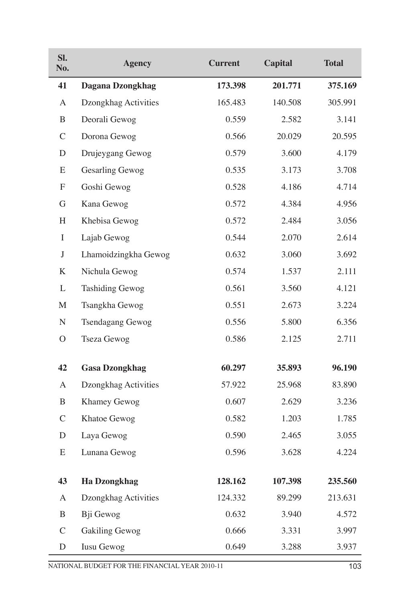| Sl.<br>No.       | <b>Agency</b>           | <b>Current</b> | <b>Capital</b> | <b>Total</b> |
|------------------|-------------------------|----------------|----------------|--------------|
| 41               | Dagana Dzongkhag        | 173.398        | 201.771        | 375.169      |
| A                | Dzongkhag Activities    | 165.483        | 140.508        | 305.991      |
| B                | Deorali Gewog           | 0.559          | 2.582          | 3.141        |
| $\mathcal{C}$    | Dorona Gewog            | 0.566          | 20.029         | 20.595       |
| D                | Drujeygang Gewog        | 0.579          | 3.600          | 4.179        |
| E                | <b>Gesarling Gewog</b>  | 0.535          | 3.173          | 3.708        |
| $\boldsymbol{F}$ | Goshi Gewog             | 0.528          | 4.186          | 4.714        |
| G                | Kana Gewog              | 0.572          | 4.384          | 4.956        |
| H                | Khebisa Gewog           | 0.572          | 2.484          | 3.056        |
| $\bf{I}$         | Lajab Gewog             | 0.544          | 2.070          | 2.614        |
| $\mathbf{J}$     | Lhamoidzingkha Gewog    | 0.632          | 3.060          | 3.692        |
| K                | Nichula Gewog           | 0.574          | 1.537          | 2.111        |
| L                | <b>Tashiding Gewog</b>  | 0.561          | 3.560          | 4.121        |
| M                | Tsangkha Gewog          | 0.551          | 2.673          | 3.224        |
| ${\bf N}$        | <b>Tsendagang Gewog</b> | 0.556          | 5.800          | 6.356        |
| $\mathcal{O}$    | Tseza Gewog             | 0.586          | 2.125          | 2.711        |
| 42               | <b>Gasa Dzongkhag</b>   | 60.297         | 35.893         | 96.190       |
| A                | Dzongkhag Activities    | 57.922         | 25.968         | 83.890       |
| B                | Khamey Gewog            | 0.607          | 2.629          | 3.236        |
| $\mathsf{C}$     | Khatoe Gewog            | 0.582          | 1.203          | 1.785        |
| D                | Laya Gewog              | 0.590          | 2.465          | 3.055        |
| E                | Lunana Gewog            | 0.596          | 3.628          | 4.224        |
| 43               | <b>Ha Dzongkhag</b>     | 128.162        | 107.398        | 235.560      |
| $\mathbf{A}$     | Dzongkhag Activities    | 124.332        | 89.299         | 213.631      |
| B                | Bji Gewog               | 0.632          | 3.940          | 4.572        |
| $\mathcal{C}$    | <b>Gakiling Gewog</b>   | 0.666          | 3.331          | 3.997        |
| D                | Iusu Gewog              | 0.649          | 3.288          | 3.937        |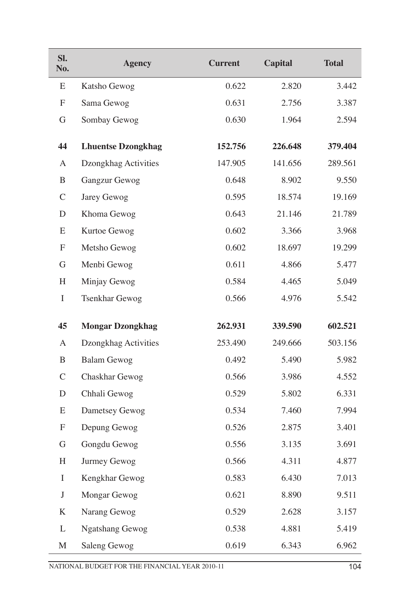| SI.<br>No.       | <b>Agency</b>             | <b>Current</b> | <b>Capital</b> | <b>Total</b> |
|------------------|---------------------------|----------------|----------------|--------------|
| Е                | Katsho Gewog              | 0.622          | 2.820          | 3.442        |
| F                | Sama Gewog                | 0.631          | 2.756          | 3.387        |
| G                | Sombay Gewog              | 0.630          | 1.964          | 2.594        |
| 44               | <b>Lhuentse Dzongkhag</b> | 152.756        | 226.648        | 379.404      |
| A                | Dzongkhag Activities      | 147.905        | 141.656        | 289.561      |
| B                | Gangzur Gewog             | 0.648          | 8.902          | 9.550        |
| $\mathcal{C}$    | Jarey Gewog               | 0.595          | 18.574         | 19.169       |
| D                | Khoma Gewog               | 0.643          | 21.146         | 21.789       |
| E                | Kurtoe Gewog              | 0.602          | 3.366          | 3.968        |
| $\boldsymbol{F}$ | Metsho Gewog              | 0.602          | 18.697         | 19.299       |
| G                | Menbi Gewog               | 0.611          | 4.866          | 5.477        |
| H                | Minjay Gewog              | 0.584          | 4.465          | 5.049        |
| $\bf{I}$         | <b>Tsenkhar Gewog</b>     | 0.566<br>4.976 |                | 5.542        |
|                  |                           |                |                |              |
| 45               | <b>Mongar Dzongkhag</b>   | 262.931        | 339.590        | 602.521      |
| A                | Dzongkhag Activities      | 253.490        | 249.666        | 503.156      |
| B                | <b>Balam Gewog</b>        | 0.492          | 5.490          | 5.982        |
| $\mathcal{C}$    | Chaskhar Gewog            | 0.566          | 3.986          | 4.552        |
| $\mathbf D$      | Chhali Gewog              | 0.529          | 5.802          | 6.331        |
| E                | Dametsey Gewog            | 0.534          | 7.460          | 7.994        |
| F                | Depung Gewog              | 0.526          | 2.875          | 3.401        |
| G                | Gongdu Gewog              | 0.556          | 3.135          | 3.691        |
| $H_{\rm}$        | Jurmey Gewog              | 0.566          | 4.311          | 4.877        |
| I                | Kengkhar Gewog            | 0.583          | 6.430          | 7.013        |
| $\bf J$          | Mongar Gewog              | 0.621          | 8.890          | 9.511        |
| K                | Narang Gewog              | 0.529          | 2.628          | 3.157        |
| L                | <b>Ngatshang Gewog</b>    | 0.538          | 4.881          | 5.419        |
| M                | Saleng Gewog              | 0.619          | 6.343          | 6.962        |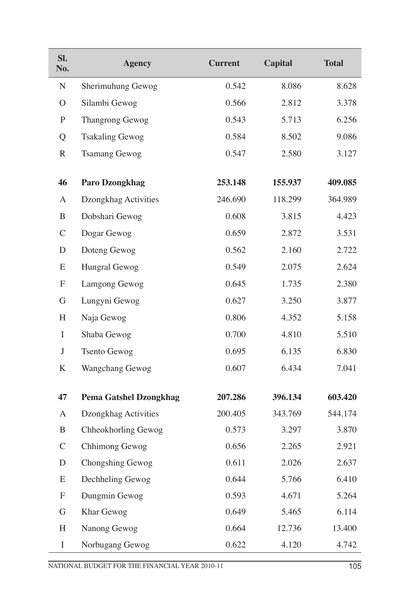| Sl.<br>No.    | <b>Agency</b>                          | <b>Current</b> | <b>Capital</b> | <b>Total</b> |
|---------------|----------------------------------------|----------------|----------------|--------------|
| ${\bf N}$     | Sherimuhung Gewog                      | 0.542          | 8.086          | 8.628        |
| $\mathcal{O}$ | Silambi Gewog                          | 0.566          | 2.812          | 3.378        |
| $\mathbf{P}$  | Thangrong Gewog                        | 0.543          | 5.713          | 6.256        |
| Q             | <b>Tsakaling Gewog</b>                 | 0.584          | 8.502          | 9.086        |
| $\mathbb{R}$  | <b>Tsamang Gewog</b>                   | 0.547          | 2.580          | 3.127        |
| 46            | Paro Dzongkhag                         | 253.148        | 155.937        | 409.085      |
| A             |                                        | 246.690        | 118.299        | 364.989      |
| B             | Dzongkhag Activities<br>Dobshari Gewog | 0.608          | 3.815          | 4.423        |
| $\mathcal{C}$ | Dogar Gewog                            | 0.659          | 2.872          | 3.531        |
| $\mathbf D$   |                                        | 0.562          | 2.160          | 2.722        |
|               | Doteng Gewog                           |                |                |              |
| E             | Hungral Gewog                          | 0.549          | 2.075          | 2.624        |
| F             | Lamgong Gewog                          | 0.645          | 1.735          | 2.380        |
| G             | Lungyni Gewog                          | 0.627          | 3.250          | 3.877        |
| H             | Naja Gewog                             | 0.806          | 4.352          | 5.158        |
| $\bf{I}$      | Shaba Gewog                            | 0.700          | 4.810          | 5.510        |
| J             | <b>Tsento Gewog</b>                    | 0.695          | 6.135          | 6.830        |
| K             | Wangchang Gewog                        | 0.607          | 6.434          | 7.041        |
| 47            | <b>Pema Gatshel Dzongkhag</b>          | 207.286        | 396.134        | 603.420      |
| A             | Dzongkhag Activities                   | 200.405        | 343.769        | 544.174      |
| B             | Chheokhorling Gewog                    | 0.573          | 3.297          | 3.870        |
| $\mathcal{C}$ | Chhimong Gewog                         | 0.656          | 2.265          | 2.921        |
| $\mathbf D$   | Chongshing Gewog                       | 0.611          | 2.026          | 2.637        |
| E             | Dechheling Gewog                       | 0.644          | 5.766          | 6.410        |
| F             | Dungmin Gewog                          | 0.593          | 4.671          | 5.264        |
| G             | Khar Gewog                             | 0.649          | 5.465          | 6.114        |
| H             | Nanong Gewog                           | 0.664          | 12.736         | 13.400       |
| $\bf{I}$      | Norbugang Gewog                        | 0.622          | 4.120          | 4.742        |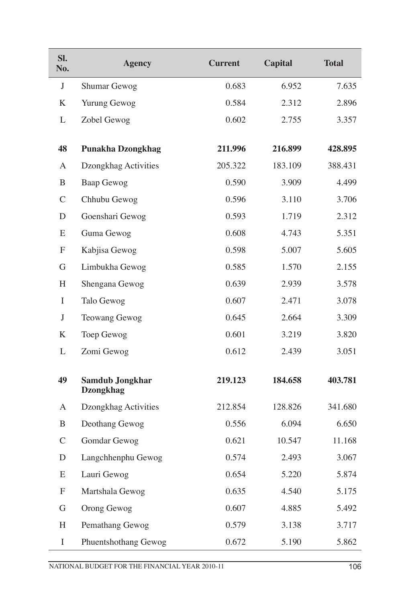| SI.<br>No.    | <b>Agency</b>                              | <b>Current</b> | <b>Capital</b> | <b>Total</b> |  |
|---------------|--------------------------------------------|----------------|----------------|--------------|--|
| J             | Shumar Gewog                               | 0.683          | 6.952          | 7.635        |  |
| K             | Yurung Gewog                               | 0.584          | 2.312          | 2.896        |  |
| L             | Zobel Gewog                                | 0.602          | 2.755          | 3.357        |  |
|               |                                            |                |                |              |  |
| 48            | <b>Punakha Dzongkhag</b>                   | 211.996        | 216.899        | 428.895      |  |
| A             | Dzongkhag Activities                       | 205.322        | 183.109        | 388.431      |  |
| B             | Baap Gewog                                 | 0.590          | 3.909          | 4.499        |  |
| $\mathcal{C}$ | Chhubu Gewog                               | 0.596          | 3.110          | 3.706        |  |
| D             | Goenshari Gewog                            | 0.593          | 1.719          | 2.312        |  |
| E             | Guma Gewog                                 | 0.608          | 4.743          | 5.351        |  |
| F             | Kabjisa Gewog                              | 0.598          | 5.007          | 5.605        |  |
| G             | Limbukha Gewog                             | 0.585          | 1.570          | 2.155        |  |
| H             | Shengana Gewog                             | 0.639          | 2.939          | 3.578        |  |
| $\mathbf I$   | Talo Gewog                                 | 0.607          | 2.471          | 3.078        |  |
| J             | Teowang Gewog                              | 0.645          | 2.664          | 3.309        |  |
| K             | Toep Gewog                                 | 0.601          | 3.219          | 3.820        |  |
| L             | Zomi Gewog                                 | 0.612          | 2.439          | 3.051        |  |
| 49            | <b>Samdub Jongkhar</b><br><b>Dzongkhag</b> | 219.123        | 184.658        | 403.781      |  |
| A             | Dzongkhag Activities                       | 212.854        | 128.826        | 341.680      |  |
| B             | Deothang Gewog                             | 0.556          | 6.094          | 6.650        |  |
| $\mathcal{C}$ | Gomdar Gewog                               | 0.621          | 10.547         | 11.168       |  |
| D             | Langchhenphu Gewog                         | 0.574          | 2.493          | 3.067        |  |
| E             | Lauri Gewog                                | 0.654          | 5.220          | 5.874        |  |
| F             | Martshala Gewog                            | 0.635          | 4.540          | 5.175        |  |
| G             | Orong Gewog                                | 0.607          | 4.885          | 5.492        |  |
| H             | Pemathang Gewog                            | 0.579          | 3.138          | 3.717        |  |
| $\bf{I}$      | Phuentshothang Gewog                       | 0.672          | 5.190          | 5.862        |  |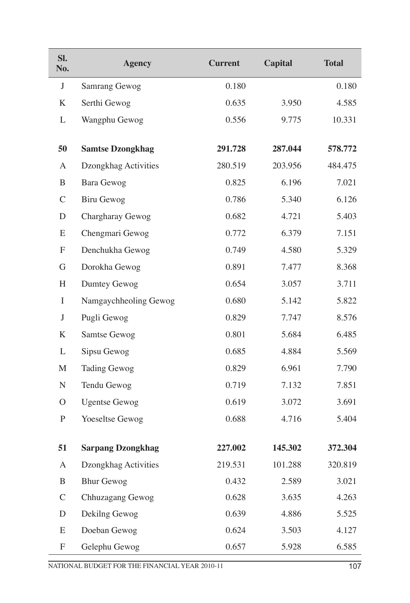| Sl.<br>No.       | <b>Agency</b>            | <b>Current</b> | <b>Capital</b> | <b>Total</b> |
|------------------|--------------------------|----------------|----------------|--------------|
| J                | Samrang Gewog            | 0.180          |                | 0.180        |
| K                | Serthi Gewog             | 0.635          | 3.950          | 4.585        |
| L                | Wangphu Gewog            | 0.556          | 9.775          | 10.331       |
|                  |                          |                |                |              |
| 50               | <b>Samtse Dzongkhag</b>  | 291.728        | 287.044        | 578.772      |
| A                | Dzongkhag Activities     | 280.519        | 203.956        | 484.475      |
| B                | Bara Gewog               | 0.825          | 6.196          | 7.021        |
| $\mathcal{C}$    | <b>Biru Gewog</b>        | 0.786          | 5.340          | 6.126        |
| D                | Chargharay Gewog         | 0.682          | 4.721          | 5.403        |
| E                | Chengmari Gewog          | 0.772          | 6.379          | 7.151        |
| $\boldsymbol{F}$ | Denchukha Gewog          | 0.749          | 4.580          | 5.329        |
| G                | Dorokha Gewog            | 0.891          | 7.477          | 8.368        |
| H                | Dumtey Gewog             | 0.654          | 3.057          | 3.711        |
| I                | Namgaychheoling Gewog    | 0.680          | 5.142          | 5.822        |
| $\bf J$          | Pugli Gewog              | 0.829          | 7.747          | 8.576        |
| K                | Samtse Gewog             | 0.801          | 5.684          | 6.485        |
| L                | Sipsu Gewog              | 0.685          | 4.884          | 5.569        |
| M                | <b>Tading Gewog</b>      | 0.829          | 6.961          | 7.790        |
| $\mathbf N$      | Tendu Gewog              | 0.719          | 7.132          | 7.851        |
| $\rm{O}$         | <b>Ugentse Gewog</b>     | 0.619          | 3.072          | 3.691        |
| P                | Yoeseltse Gewog          | 0.688          | 4.716          | 5.404        |
|                  |                          |                |                |              |
| 51               | <b>Sarpang Dzongkhag</b> | 227.002        | 145.302        | 372.304      |
| A                | Dzongkhag Activities     | 219.531        | 101.288        | 320.819      |
| B                | <b>Bhur Gewog</b>        | 0.432          | 2.589          | 3.021        |
| $\mathcal{C}$    | Chhuzagang Gewog         | 0.628          | 3.635          | 4.263        |
| D                | Dekilng Gewog            | 0.639          | 4.886          | 5.525        |
| E                | Doeban Gewog             | 0.624          | 3.503          | 4.127        |
| F                | Gelephu Gewog            | 0.657          | 5.928          | 6.585        |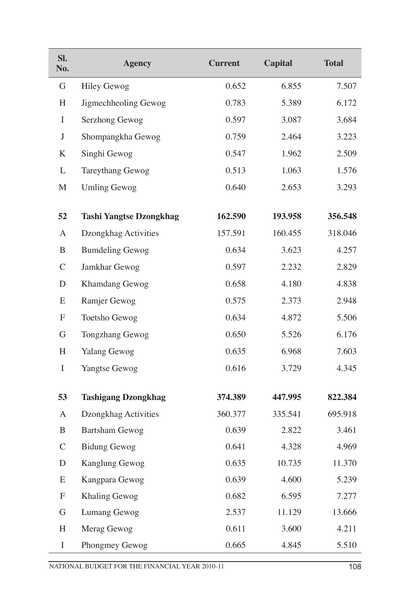| SI.<br>No.    | <b>Agency</b>                  | <b>Current</b> | Capital | <b>Total</b> |
|---------------|--------------------------------|----------------|---------|--------------|
| G             | <b>Hiley Gewog</b>             | 0.652          | 6.855   | 7.507        |
| $H_{\rm}$     | Jigmechheoling Gewog           | 0.783          | 5.389   | 6.172        |
| I             | Serzhong Gewog                 | 0.597          | 3.087   | 3.684        |
| $\mathbf{J}$  | Shompangkha Gewog              | 0.759          | 2.464   | 3.223        |
| K             | Singhi Gewog                   | 0.547          | 1.962   | 2.509        |
| L             | Tareythang Gewog               | 0.513          | 1.063   | 1.576        |
| M             | <b>Umling Gewog</b>            | 0.640          | 2.653   | 3.293        |
| 52            | <b>Tashi Yangtse Dzongkhag</b> | 162.590        | 193.958 | 356.548      |
| $\mathbf{A}$  | Dzongkhag Activities           | 157.591        | 160.455 | 318.046      |
| B             | <b>Bumdeling Gewog</b>         | 0.634          | 3.623   | 4.257        |
| $\mathcal{C}$ | Jamkhar Gewog                  | 0.597          | 2.232   | 2.829        |
| D             | Khamdang Gewog                 | 0.658          | 4.180   | 4.838        |
| E             | Ramjer Gewog                   | 0.575          | 2.373   | 2.948        |
| F             | Toetsho Gewog                  | 0.634          | 4.872   | 5.506        |
| G             | <b>Tongzhang Gewog</b>         | 0.650          | 5.526   | 6.176        |
| H             | <b>Yalang Gewog</b>            | 0.635          | 6.968   | 7.603        |
| I             | Yangtse Gewog                  | 0.616          | 3.729   | 4.345        |
| 53            | <b>Tashigang Dzongkhag</b>     | 374.389        | 447.995 | 822.384      |
| A             | Dzongkhag Activities           | 360.377        | 335.541 | 695.918      |
| B             | Bartsham Gewog                 | 0.639          | 2.822   | 3.461        |
| $\mathcal{C}$ | <b>Bidung Gewog</b>            | 0.641          | 4.328   | 4.969        |
| $\mathbf D$   | Kanglung Gewog                 | 0.635          | 10.735  | 11.370       |
| E             | Kangpara Gewog                 | 0.639          | 4.600   | 5.239        |
| F             | Khaling Gewog                  | 0.682          | 6.595   | 7.277        |
| $\mathbf G$   | Lumang Gewog                   | 2.537          | 11.129  | 13.666       |
| H             | Merag Gewog                    | 0.611          | 3.600   | 4.211        |
| $\bf{I}$      | Phongmey Gewog                 | 0.665          | 4.845   | 5.510        |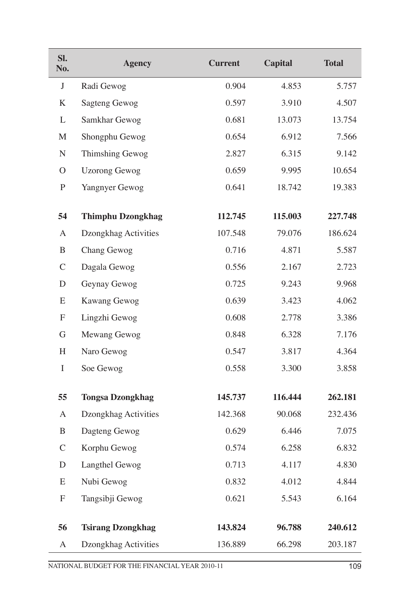| SI.<br>No.       | <b>Agency</b>            | <b>Current</b> | <b>Capital</b> |         |  |
|------------------|--------------------------|----------------|----------------|---------|--|
| $\mathbf{J}$     | Radi Gewog               | 0.904          | 4.853          | 5.757   |  |
| K                | <b>Sagteng Gewog</b>     | 0.597          | 3.910          | 4.507   |  |
| L                | Samkhar Gewog            | 0.681          | 13.073         | 13.754  |  |
| M                | Shongphu Gewog           | 0.654          | 6.912          | 7.566   |  |
| ${\bf N}$        | Thimshing Gewog          | 2.827          | 6.315          | 9.142   |  |
| $\mathcal{O}$    | <b>Uzorong Gewog</b>     | 0.659          | 9.995          | 10.654  |  |
| ${\bf P}$        | Yangnyer Gewog           | 0.641          | 18.742         | 19.383  |  |
| 54               | <b>Thimphu Dzongkhag</b> | 112.745        | 115.003        | 227.748 |  |
| A                | Dzongkhag Activities     | 107.548        | 79.076         | 186.624 |  |
| B                | Chang Gewog              | 0.716          | 4.871          | 5.587   |  |
| $\mathcal{C}$    | Dagala Gewog             | 0.556          | 2.167          | 2.723   |  |
| D                | Geynay Gewog             | 0.725          | 9.243          | 9.968   |  |
| E                | Kawang Gewog             | 0.639          | 3.423          | 4.062   |  |
| $\boldsymbol{F}$ | Lingzhi Gewog            | 0.608          | 2.778          | 3.386   |  |
| G                | Mewang Gewog             | 0.848          | 6.328          | 7.176   |  |
| H                | Naro Gewog               | 0.547          | 3.817          | 4.364   |  |
| $\bf{I}$         | Soe Gewog                | 0.558          | 3.300          | 3.858   |  |
| 55               | <b>Tongsa Dzongkhag</b>  | 145.737        | 116.444        | 262.181 |  |
| A                | Dzongkhag Activities     | 142.368        | 90.068         | 232.436 |  |
| B                | Dagteng Gewog            | 0.629          | 6.446          | 7.075   |  |
| $\mathcal{C}$    | Korphu Gewog             | 0.574          | 6.258          | 6.832   |  |
| $\mathbf D$      | Langthel Gewog           | 0.713          | 4.117          | 4.830   |  |
| E                | Nubi Gewog               | 0.832          | 4.012          | 4.844   |  |
| F                | Tangsibji Gewog          | 0.621          | 5.543          | 6.164   |  |
| 56               | <b>Tsirang Dzongkhag</b> | 143.824        | 96.788         | 240.612 |  |
| A                | Dzongkhag Activities     | 136.889        | 66.298         | 203.187 |  |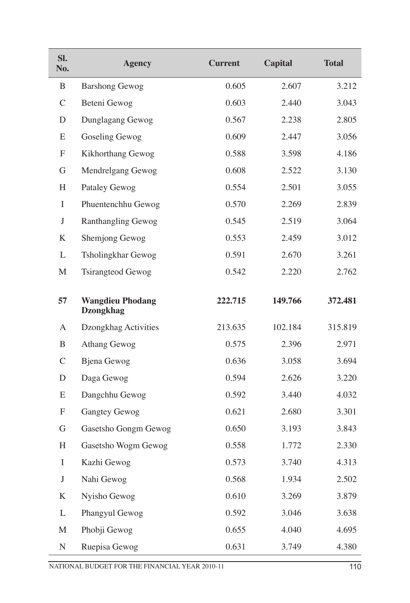| Sl.<br>No.    | <b>Agency</b>                               | <b>Current</b> | <b>Capital</b> | <b>Total</b> |
|---------------|---------------------------------------------|----------------|----------------|--------------|
| B             | <b>Barshong Gewog</b>                       | 0.605          | 2.607          | 3.212        |
| $\mathcal{C}$ | Beteni Gewog                                | 0.603          | 2.440          | 3.043        |
| D             | Dunglagang Gewog                            | 0.567          | 2.238          | 2.805        |
| E             | Goseling Gewog                              | 0.609          | 2.447          | 3.056        |
| F             | Kikhorthang Gewog                           | 0.588          | 3.598          | 4.186        |
| G             | Mendrelgang Gewog                           | 0.608          | 2.522          | 3.130        |
| H             | Pataley Gewog                               | 0.554          | 2.501          | 3.055        |
| I             | Phuentenchhu Gewog                          | 0.570          | 2.269          | 2.839        |
| J             | <b>Ranthangling Gewog</b>                   | 0.545          | 2.519          | 3.064        |
| K             | Shemjong Gewog                              | 0.553          | 2.459          | 3.012        |
| L             | Tsholingkhar Gewog                          | 0.591          | 2.670          | 3.261        |
| M             | <b>Tsirangteod Gewog</b>                    | 0.542          | 2.220          | 2.762        |
| 57            | <b>Wangdieu Phodang</b><br><b>Dzongkhag</b> | 222.715        | 149.766        | 372.481      |
| A             | Dzongkhag Activities                        | 213.635        | 102.184        | 315.819      |
| B             | Athang Gewog                                | 0.575          | 2.396          | 2.971        |
| $\mathcal{C}$ | <b>Bjena</b> Gewog                          | 0.636          | 3.058          | 3.694        |
| D             | Daga Gewog                                  | 0.594          | 2.626          | 3.220        |
| E             | Dangchhu Gewog                              | 0.592          | 3.440          | 4.032        |
| F             | <b>Gangtey Gewog</b>                        | 0.621          | 2.680          | 3.301        |
| G             | Gasetsho Gongm Gewog                        | 0.650          | 3.193          | 3.843        |
| H             | Gasetsho Wogm Gewog                         | 0.558          | 1.772          | 2.330        |
| $\bf{I}$      | Kazhi Gewog                                 | 0.573          | 3.740          | 4.313        |
| J             | Nahi Gewog                                  | 0.568          | 1.934          | 2.502        |
| K             | Nyisho Gewog                                | 0.610          | 3.269          | 3.879        |
| L             | Phangyul Gewog                              | 0.592          | 3.046          | 3.638        |
| M             | Phobji Gewog                                | 0.655          | 4.040          | 4.695        |
| ${\bf N}$     | Ruepisa Gewog                               | 0.631          | 3.749          | 4.380        |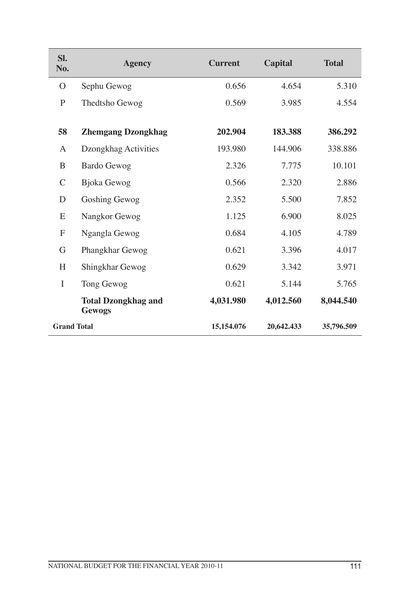| SI.<br>No.         | <b>Agency</b>                        | <b>Current</b> | Capital    | <b>Total</b> |
|--------------------|--------------------------------------|----------------|------------|--------------|
| $\Omega$           | Sephu Gewog                          | 0.656          | 4.654      | 5.310        |
| P                  | Thedtsho Gewog                       | 0.569          | 3.985      | 4.554        |
| 58                 |                                      | 202.904        | 183.388    | 386.292      |
|                    | <b>Zhemgang Dzongkhag</b>            |                |            |              |
| A                  | Dzongkhag Activities                 | 193.980        | 144.906    | 338.886      |
| B                  | <b>Bardo Gewog</b>                   | 2.326          | 7.775      | 10.101       |
| $\mathcal{C}$      | <b>Bjoka</b> Gewog                   | 0.566          | 2.320      | 2.886        |
| D                  | Goshing Gewog                        | 2.352          | 5.500      | 7.852        |
| E                  | Nangkor Gewog                        | 1.125          | 6.900      | 8.025        |
| $\mathbf{F}$       | Ngangla Gewog                        | 0.684          | 4.105      | 4.789        |
| G                  | Phangkhar Gewog                      | 0.621          | 3.396      | 4.017        |
| H                  | Shingkhar Gewog                      | 0.629          | 3.342      | 3.971        |
| I                  | Tong Gewog                           | 0.621          | 5.144      | 5.765        |
|                    | <b>Total Dzongkhag and</b><br>Gewogs | 4,031.980      | 4,012.560  | 8,044.540    |
| <b>Grand Total</b> |                                      | 15,154.076     | 20,642.433 | 35,796.509   |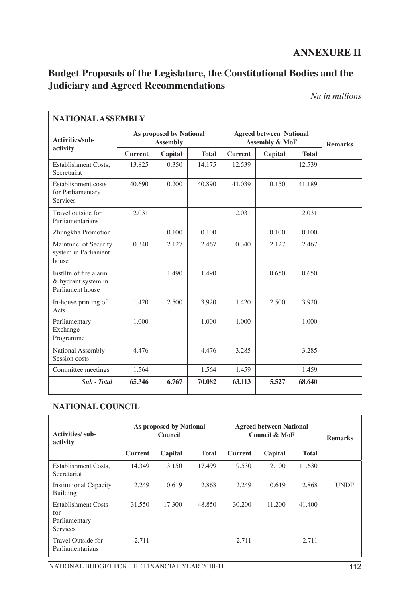# **ANNEXURE II**

# **Budget Proposals of the Legislature, the Constitutional Bodies and the Judiciary and Agreed Recommendations**

*Nu in millions*

|                                                                   | <b>NATIONAL ASSEMBLY</b>                   |         |              |                                                             |         |              |                |  |
|-------------------------------------------------------------------|--------------------------------------------|---------|--------------|-------------------------------------------------------------|---------|--------------|----------------|--|
| Activities/sub-                                                   | As proposed by National<br><b>Assembly</b> |         |              | <b>Agreed between National</b><br><b>Assembly &amp; MoF</b> |         |              | <b>Remarks</b> |  |
| activity                                                          | <b>Current</b>                             | Capital | <b>Total</b> | <b>Current</b>                                              | Capital | <b>Total</b> |                |  |
| Establishment Costs,<br>Secretariat                               | 13.825                                     | 0.350   | 14.175       | 12.539                                                      |         | 12.539       |                |  |
| Establishment costs<br>for Parliamentary<br>Services              | 40.690                                     | 0.200   | 40.890       | 41.039                                                      | 0.150   | 41.189       |                |  |
| Travel outside for<br>Parliamentarians                            | 2.031                                      |         |              | 2.031                                                       |         | 2.031        |                |  |
| Zhungkha Promotion                                                |                                            | 0.100   | 0.100        |                                                             | 0.100   | 0.100        |                |  |
| Maintnnc. of Security<br>system in Parliament<br>house            | 0.340                                      | 2.127   | 2.467        | 0.340                                                       | 2.127   | 2.467        |                |  |
| Instiltn of fire alarm<br>& hydrant system in<br>Parliament house |                                            | 1.490   | 1.490        |                                                             | 0.650   | 0.650        |                |  |
| In-house printing of<br>Acts                                      | 1.420                                      | 2.500   | 3.920        | 1.420                                                       | 2.500   | 3.920        |                |  |
| Parliamentary<br>Exchange<br>Programme                            | 1.000                                      |         | 1.000        | 1.000                                                       |         | 1.000        |                |  |
| National Assembly<br>Session costs                                | 4.476                                      |         | 4.476        | 3.285                                                       |         | 3.285        |                |  |
| Committee meetings                                                | 1.564                                      |         | 1.564        | 1.459                                                       |         | 1.459        |                |  |
| Sub - Total                                                       | 65.346                                     | 6.767   | 70.082       | 63.113                                                      | 5.527   | 68.640       |                |  |

### **NATIONAL COUNCIL**

| <b>Activities/sub-</b><br>activity                                    | As proposed by National<br><b>Conneil</b> |         |              | <b>Agreed between National</b><br><b>Council &amp; MoF</b> |         |              | <b>Remarks</b> |
|-----------------------------------------------------------------------|-------------------------------------------|---------|--------------|------------------------------------------------------------|---------|--------------|----------------|
|                                                                       | <b>Current</b>                            | Capital | <b>Total</b> | <b>Current</b>                                             | Capital | <b>Total</b> |                |
| Establishment Costs.<br>Secretariat                                   | 14.349                                    | 3.150   | 17.499       | 9.530                                                      | 2.100   | 11.630       |                |
| <b>Institutional Capacity</b><br>Building                             | 2.249                                     | 0.619   | 2.868        | 2.249                                                      | 0.619   | 2.868        | <b>UNDP</b>    |
| <b>Establishment Costs</b><br>for<br>Parliamentary<br><b>Services</b> | 31.550                                    | 17.300  | 48.850       | 30.200                                                     | 11.200  | 41.400       |                |
| Travel Outside for<br>Parliamentarians                                | 2.711                                     |         |              | 2.711                                                      |         | 2.711        |                |

NATIONAL BUDGET FOR THE FINANCIAL YEAR 2010-11 112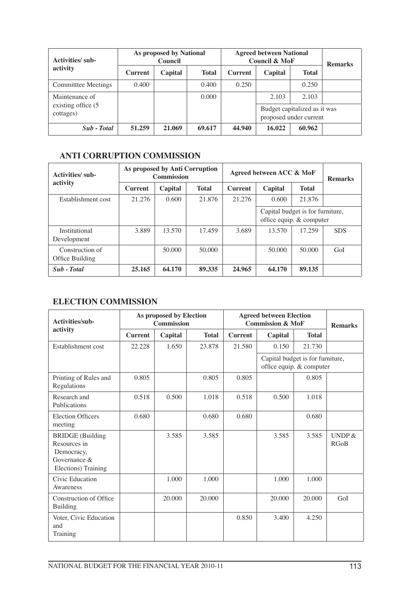| Activities/sub-                  | As proposed by National<br>Council |         |              | <b>Agreed between National</b><br><b>Council &amp; MoF</b> |         |                                                        | <b>Remarks</b> |
|----------------------------------|------------------------------------|---------|--------------|------------------------------------------------------------|---------|--------------------------------------------------------|----------------|
| activity                         | <b>Current</b>                     | Capital | <b>Total</b> | <b>Current</b>                                             | Capital | <b>Total</b>                                           |                |
| Committee Meetings               | 0.400                              |         | 0.400        | 0.250                                                      |         | 0.250                                                  |                |
| Maintenance of                   |                                    |         | 0.000        |                                                            | 2.103   | 2.103                                                  |                |
| existing office (5)<br>cottages) |                                    |         |              |                                                            |         | Budget capitalized as it was<br>proposed under current |                |
| Sub - Total                      | 51.259                             | 21.069  | 69.617       | 44.940                                                     | 16.022  | 60.962                                                 |                |

### **ANTI CORRUPTION COMMISSION**

| <b>Activities/sub-</b>             | As proposed by Anti Corruption<br><b>Commission</b> |         |              | Agreed between ACC & MoF | <b>Remarks</b>                                               |              |            |
|------------------------------------|-----------------------------------------------------|---------|--------------|--------------------------|--------------------------------------------------------------|--------------|------------|
| activity                           | <b>Current</b>                                      | Capital | <b>Total</b> | <b>Current</b>           | Capital                                                      | <b>Total</b> |            |
| Establishment cost                 | 21.276                                              | 0.600   | 21.876       | 21.276                   | 0.600                                                        | 21.876       |            |
|                                    |                                                     |         |              |                          | Capital budget is for furniture,<br>office equip. & computer |              |            |
| Institutional<br>Development       | 3.889                                               | 13.570  | 17.459       | 3.689                    | 13.570                                                       | 17.259       | <b>SDS</b> |
| Construction of<br>Office Building |                                                     | 50,000  | 50.000       |                          | 50.000                                                       | 50,000       | GoI        |
| Sub - Total                        | 25.165                                              | 64.170  | 89.335       | 24.965                   | 64.170                                                       | 89.135       |            |

## **ELECTION COMMISSION**

| Activities/sub-                                                                              | As proposed by Election<br><b>Commission</b> |         |              |                | <b>Agreed between Election</b><br><b>Commission &amp; MoF</b> | <b>Remarks</b>                                               |                          |
|----------------------------------------------------------------------------------------------|----------------------------------------------|---------|--------------|----------------|---------------------------------------------------------------|--------------------------------------------------------------|--------------------------|
| activity                                                                                     | <b>Current</b>                               | Capital | <b>Total</b> | <b>Current</b> | Capital                                                       | <b>Total</b>                                                 |                          |
| Establishment cost                                                                           | 22.228                                       | 1.650   | 23.878       | 21.580         | 0.150                                                         | 21.730                                                       |                          |
|                                                                                              |                                              |         |              |                |                                                               | Capital budget is for furniture,<br>office equip. & computer |                          |
| Printing of Rules and<br>Regulations                                                         | 0.805                                        |         | 0.805        | 0.805          |                                                               | 0.805                                                        |                          |
| Research and<br>Publications                                                                 | 0.518                                        | 0.500   | 1.018        | 0.518          | 0.500                                                         | 1.018                                                        |                          |
| <b>Election Officers</b><br>meeting                                                          | 0.680                                        |         | 0.680        | 0.680          |                                                               | 0.680                                                        |                          |
| <b>BRIDGE</b> (Building<br>Resources in<br>Democracy,<br>Governance &<br>Elections) Training |                                              | 3.585   | 3.585        |                | 3.585                                                         | 3.585                                                        | <b>UNDP</b> $\&$<br>RGoB |
| Civic Education<br>Awareness                                                                 |                                              | 1.000   | 1.000        |                | 1.000                                                         | 1.000                                                        |                          |
| Construction of Office<br>Building                                                           |                                              | 20.000  | 20,000       |                | 20,000                                                        | 20,000                                                       | GoI                      |
| Voter, Civic Education<br>and<br>Training                                                    |                                              |         |              | 0.850          | 3.400                                                         | 4.250                                                        |                          |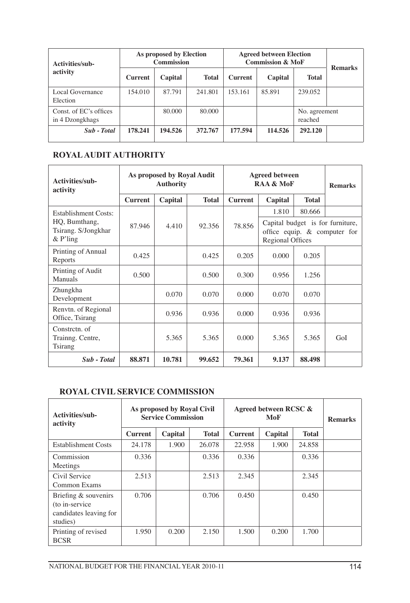| Activities/sub-<br>activity               | As proposed by Election<br><b>Commission</b> |         |              | <b>Agreed between Election</b><br><b>Commission &amp; MoF</b> | <b>Remarks</b> |                          |  |
|-------------------------------------------|----------------------------------------------|---------|--------------|---------------------------------------------------------------|----------------|--------------------------|--|
|                                           | <b>Current</b>                               | Capital | <b>Total</b> | <b>Current</b>                                                | Capital        | <b>Total</b>             |  |
| Local Governance<br>Election              | 154.010                                      | 87.791  | 241.801      | 153.161                                                       | 85.891         | 239.052                  |  |
| Const. of EC's offices<br>in 4 Dzongkhags |                                              | 80,000  | 80,000       |                                                               |                | No. agreement<br>reached |  |
| Sub - Total                               | 178.241                                      | 194.526 | 372.767      | 177.594                                                       | 114.526        | 292.120                  |  |

## **ROYAL AUDIT AUTHORITY**

| Activities/sub-<br>activity                        | As proposed by Royal Audit<br><b>Authority</b> |         |                  | <b>Agreed between</b><br>RAA & MoF | <b>Remarks</b>                                                                       |              |     |
|----------------------------------------------------|------------------------------------------------|---------|------------------|------------------------------------|--------------------------------------------------------------------------------------|--------------|-----|
|                                                    | <b>Current</b>                                 | Capital | <b>Total</b>     | <b>Current</b>                     | Capital                                                                              | <b>Total</b> |     |
| Establishment Costs:                               |                                                |         |                  |                                    | 1.810                                                                                | 80.666       |     |
| HQ, Bumthang,<br>Tsirang. S/Jongkhar<br>$&$ P'ling | 87.946                                         | 4.410   | 78.856<br>92.356 |                                    | Capital budget is for furniture,<br>office equip. & computer for<br>Regional Offices |              |     |
| Printing of Annual<br>Reports                      | 0.425                                          |         | 0.425            | 0.205                              | 0.000                                                                                | 0.205        |     |
| Printing of Audit<br>Manuals                       | 0.500                                          |         | 0.500            | 0.300                              | 0.956                                                                                | 1.256        |     |
| Zhungkha<br>Development                            |                                                | 0.070   | 0.070            | 0.000                              | 0.070                                                                                | 0.070        |     |
| Renvtn. of Regional<br>Office, Tsirang             |                                                | 0.936   | 0.936            | 0.000                              | 0.936                                                                                | 0.936        |     |
| Constreth, of<br>Trainng. Centre,<br>Tsirang       |                                                | 5.365   | 5.365            | 0.000                              | 5.365                                                                                | 5.365        | GoI |
| Sub - Total                                        | 88.871                                         | 10.781  | 99.652           | 79.361                             | 9.137                                                                                | 88.498       |     |

#### **ROYAL CIVIL SERVICE COMMISSION**

| Activities/sub-<br>activity                                                   | As proposed by Royal Civil<br><b>Service Commission</b> |         |              | Agreed between RCSC & | <b>Remarks</b> |              |  |
|-------------------------------------------------------------------------------|---------------------------------------------------------|---------|--------------|-----------------------|----------------|--------------|--|
|                                                                               | <b>Current</b>                                          | Capital | <b>Total</b> | <b>Current</b>        | Capital        | <b>Total</b> |  |
| <b>Establishment Costs</b>                                                    | 24.178                                                  | 1.900   | 26.078       | 22.958                | 1.900          | 24.858       |  |
| Commission<br>Meetings                                                        | 0.336                                                   |         | 0.336        | 0.336                 |                | 0.336        |  |
| Civil Service<br>Common Exams                                                 | 2.513                                                   |         | 2.513        | 2.345                 |                | 2.345        |  |
| Briefing & souvenirs<br>(to in-service)<br>candidates leaving for<br>studies) | 0.706                                                   |         | 0.706        | 0.450                 |                | 0.450        |  |
| Printing of revised<br><b>BCSR</b>                                            | 1.950                                                   | 0.200   | 2.150        | 1.500                 | 0.200          | 1.700        |  |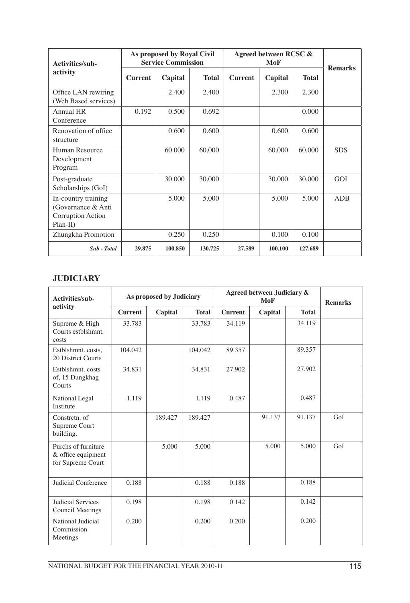| Activities/sub-                                                               | As proposed by Royal Civil<br><b>Service Commission</b> |         |              | Agreed between RCSC & |         |              |                |
|-------------------------------------------------------------------------------|---------------------------------------------------------|---------|--------------|-----------------------|---------|--------------|----------------|
| activity                                                                      | <b>Current</b>                                          | Capital | <b>Total</b> | <b>Current</b>        | Capital | <b>Total</b> | <b>Remarks</b> |
| Office LAN rewiring<br>(Web Based services)                                   |                                                         | 2.400   | 2.400        |                       | 2.300   | 2.300        |                |
| Annual HR<br>Conference                                                       | 0.192                                                   | 0.500   | 0.692        |                       |         | 0.000        |                |
| Renovation of office<br>structure                                             |                                                         | 0.600   | 0.600        |                       | 0.600   | 0.600        |                |
| Human Resource<br>Development<br>Program                                      |                                                         | 60,000  | 60.000       |                       | 60,000  | 60.000       | <b>SDS</b>     |
| Post-graduate<br>Scholarships (GoI)                                           |                                                         | 30,000  | 30.000       |                       | 30,000  | 30,000       | GOI            |
| In-country training<br>(Governance & Anti<br>Corruption Action<br>$Plan-II$ ) |                                                         | 5.000   | 5.000        |                       | 5.000   | 5.000        | <b>ADB</b>     |
| Zhungkha Promotion                                                            |                                                         | 0.250   | 0.250        |                       | 0.100   | 0.100        |                |
| Sub - Total                                                                   | 29.875                                                  | 100.850 | 130.725      | 27.589                | 100.100 | 127.689      |                |

#### **JUDICIARY**

| Activities/sub-                                                | As proposed by Judiciary |         |              |                | Agreed between Judiciary & | <b>Remarks</b> |     |
|----------------------------------------------------------------|--------------------------|---------|--------------|----------------|----------------------------|----------------|-----|
| activity                                                       | <b>Current</b>           | Capital | <b>Total</b> | <b>Current</b> | Capital                    | <b>Total</b>   |     |
| Supreme & High<br>Courts estblshmnt.<br>costs                  | 33.783                   |         | 33.783       | 34.119         |                            | 34.119         |     |
| Estblshmnt. costs,<br>20 District Courts                       | 104.042                  |         | 104.042      | 89.357         |                            | 89.357         |     |
| Estblshmnt, costs<br>of, 15 Dungkhag<br>Courts                 | 34.831                   |         | 34.831       | 27.902         |                            | 27.902         |     |
| National Legal<br>Institute                                    | 1.119                    |         | 1.119        | 0.487          |                            | 0.487          |     |
| Constretn, of<br>Supreme Court<br>building.                    |                          | 189.427 | 189.427      |                | 91.137                     | 91.137         | GoI |
| Purchs of furniture<br>& office equipment<br>for Supreme Court |                          | 5.000   | 5.000        |                | 5.000                      | 5.000          | GoI |
| Judicial Conference                                            | 0.188                    |         | 0.188        | 0.188          |                            | 0.188          |     |
| <b>Judicial Services</b><br>Council Meetings                   | 0.198                    |         | 0.198        | 0.142          |                            | 0.142          |     |
| National Judicial<br>Commission<br>Meetings                    | 0.200                    |         | 0.200        | 0.200          |                            | 0.200          |     |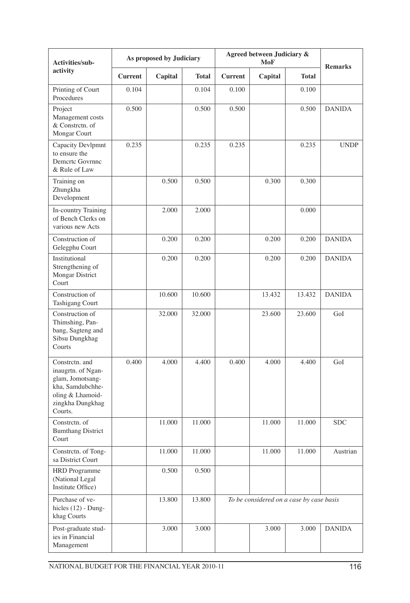| Activities/sub-                                                                                                                 |                | As proposed by Judiciary |              |                                          | Agreed between Judiciary & | <b>Remarks</b> |               |
|---------------------------------------------------------------------------------------------------------------------------------|----------------|--------------------------|--------------|------------------------------------------|----------------------------|----------------|---------------|
| activity                                                                                                                        | <b>Current</b> | Capital                  | <b>Total</b> | <b>Current</b>                           | Capital                    | <b>Total</b>   |               |
| Printing of Court<br>Procedures                                                                                                 | 0.104          |                          | 0.104        | 0.100                                    |                            | 0.100          |               |
| Project<br>Management costs<br>& Constretn. of<br>Mongar Court                                                                  | 0.500          |                          | 0.500        | 0.500                                    |                            | 0.500          | <b>DANIDA</b> |
| Capacity Devlpmnt<br>to ensure the<br>Demerte Govrnne<br>& Rule of Law                                                          | 0.235          |                          | 0.235        | 0.235                                    |                            | 0.235          | <b>UNDP</b>   |
| Training on<br>Zhungkha<br>Development                                                                                          |                | 0.500                    | 0.500        |                                          | 0.300                      | 0.300          |               |
| In-country Training<br>of Bench Clerks on<br>various new Acts                                                                   |                | 2.000                    | 2.000        |                                          |                            | 0.000          |               |
| Construction of<br>Gelegphu Court                                                                                               |                | 0.200                    | 0.200        |                                          | 0.200                      | 0.200          | <b>DANIDA</b> |
| Institutional<br>Strengthening of<br>Mongar District<br>Court                                                                   |                | 0.200                    | 0.200        |                                          | 0.200                      | 0.200          | <b>DANIDA</b> |
| Construction of<br><b>Tashigang Court</b>                                                                                       |                | 10.600                   | 10.600       |                                          | 13.432                     | 13.432         | <b>DANIDA</b> |
| Construction of<br>Thimshing, Pan-<br>bang, Sagteng and<br>Sibsu Dungkhag<br>Courts                                             |                | 32.000                   | 32.000       |                                          | 23.600                     | 23.600         | GoI           |
| Constretn. and<br>inaugrtn. of Ngan-<br>glam, Jomotsang-<br>kha, Samdubchhe-<br>oling & Lhamoid-<br>zingkha Dungkhag<br>Courts. | 0.400          | 4.000                    | 4.400        | 0.400                                    | 4.000                      | 4.400          | GoI           |
| Constretn. of<br><b>Bumthang District</b><br>Court                                                                              |                | 11.000                   | 11.000       |                                          | 11.000                     | 11.000         | <b>SDC</b>    |
| Constretn. of Tong-<br>sa District Court                                                                                        |                | 11.000                   | 11.000       |                                          | 11.000                     | 11.000         | Austrian      |
| <b>HRD</b> Programme<br>(National Legal<br>Institute Office)                                                                    |                | 0.500                    | 0.500        |                                          |                            |                |               |
| Purchase of ve-<br>hicles $(12)$ - Dung-<br>khag Courts                                                                         |                | 13.800                   | 13.800       | To be considered on a case by case basis |                            |                |               |
| Post-graduate stud-<br>ies in Financial<br>Management                                                                           |                | 3.000                    | 3.000        |                                          | 3.000                      | 3.000          | <b>DANIDA</b> |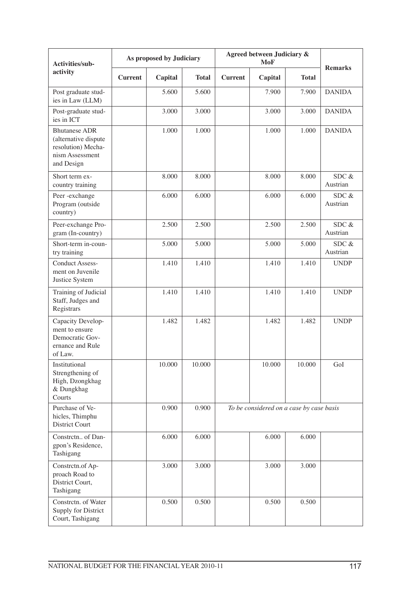| Activities/sub-                                                                                     |                | As proposed by Judiciary |              |                | Agreed between Judiciary &               | <b>Remarks</b> |                      |
|-----------------------------------------------------------------------------------------------------|----------------|--------------------------|--------------|----------------|------------------------------------------|----------------|----------------------|
| activity                                                                                            | <b>Current</b> | Capital                  | <b>Total</b> | <b>Current</b> | Capital                                  | <b>Total</b>   |                      |
| Post graduate stud-<br>ies in Law (LLM)                                                             |                | 5.600                    | 5.600        |                | 7.900                                    | 7.900          | <b>DANIDA</b>        |
| Post-graduate stud-<br>ies in ICT                                                                   |                | 3.000                    | 3.000        |                | 3.000                                    | 3.000          | <b>DANIDA</b>        |
| <b>Bhutanese ADR</b><br>(alternative dispute<br>resolution) Mecha-<br>nism Assessment<br>and Design |                | 1.000                    | 1.000        |                | 1.000                                    | 1.000          | <b>DANIDA</b>        |
| Short term ex-<br>country training                                                                  |                | 8.000                    | 8.000        |                | 8.000                                    | 8.000          | SDC &<br>Austrian    |
| Peer-exchange<br>Program (outside<br>country)                                                       |                | 6.000                    | 6.000        |                | 6.000                                    | 6.000          | SDC &<br>Austrian    |
| Peer-exchange Pro-<br>gram (In-country)                                                             |                | 2.500                    | 2.500        |                | 2.500                                    | 2.500          | SDC $\&$<br>Austrian |
| Short-term in-coun-<br>try training                                                                 |                | 5.000                    | 5.000        |                | 5.000                                    | 5.000          | SDC &<br>Austrian    |
| <b>Conduct Assess-</b><br>ment on Juvenile<br>Justice System                                        |                | 1.410                    | 1.410        |                | 1.410                                    | 1.410          | <b>UNDP</b>          |
| Training of Judicial<br>Staff, Judges and<br>Registrars                                             |                | 1.410                    | 1.410        |                | 1.410                                    | 1.410          | <b>UNDP</b>          |
| Capacity Develop-<br>ment to ensure<br>Democratic Gov-<br>ernance and Rule<br>of Law.               |                | 1.482                    | 1.482        |                | 1.482                                    | 1.482          | <b>UNDP</b>          |
| Institutional<br>Strengthening of<br>High, Dzongkhag<br>& Dungkhag<br>Courts                        |                | 10.000                   | 10.000       |                | 10.000                                   | 10.000         | GoI                  |
| Purchase of Ve-<br>hicles, Thimphu<br>District Court                                                |                | 0.900                    | 0.900        |                | To be considered on a case by case basis |                |                      |
| Constretn of Dan-<br>gpon's Residence,<br>Tashigang                                                 |                | 6.000                    | 6.000        |                | 6.000                                    | 6.000          |                      |
| Constretn.of Ap-<br>proach Road to<br>District Court,<br>Tashigang                                  |                | 3.000                    | 3.000        |                | 3.000                                    | 3.000          |                      |
| Constretn. of Water<br>Supply for District<br>Court, Tashigang                                      |                | 0.500                    | 0.500        |                | 0.500                                    | 0.500          |                      |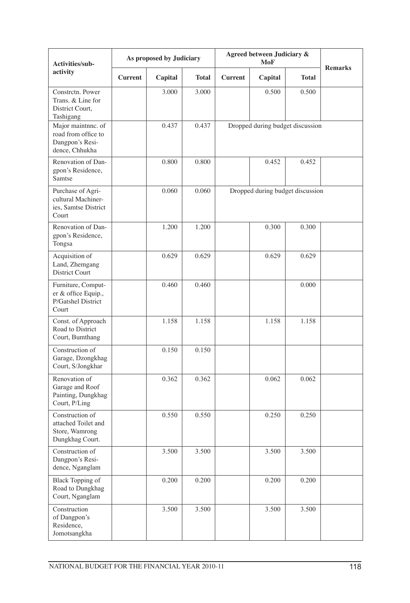| Activities/sub-                                                                |                | As proposed by Judiciary |              | Agreed between Judiciary &       | <b>Remarks</b> |              |  |  |
|--------------------------------------------------------------------------------|----------------|--------------------------|--------------|----------------------------------|----------------|--------------|--|--|
| activity                                                                       | <b>Current</b> | Capital                  | <b>Total</b> | <b>Current</b>                   | Capital        | <b>Total</b> |  |  |
| Constretn, Power<br>Trans. & Line for<br>District Court,<br>Tashigang          |                | 3.000                    | 3.000        |                                  | 0.500          | 0.500        |  |  |
| Major maintnnc. of<br>road from office to<br>Dangpon's Resi-<br>dence, Chhukha |                | 0.437                    | 0.437        | Dropped during budget discussion |                |              |  |  |
| Renovation of Dan-<br>gpon's Residence,<br>Samtse                              |                | 0.800                    | 0.800        |                                  | 0.452          | 0.452        |  |  |
| Purchase of Agri-<br>cultural Machiner-<br>ies, Samtse District<br>Court       |                | 0.060                    | 0.060        | Dropped during budget discussion |                |              |  |  |
| Renovation of Dan-<br>gpon's Residence,<br>Tongsa                              |                | 1.200                    | 1.200        |                                  | 0.300          | 0.300        |  |  |
| Acquisition of<br>Land, Zhemgang<br><b>District Court</b>                      |                | 0.629                    | 0.629        |                                  | 0.629          | 0.629        |  |  |
| Furniture, Comput-<br>er & office Equip.,<br>P/Gatshel District<br>Court       |                | 0.460                    | 0.460        |                                  |                | 0.000        |  |  |
| Const. of Approach<br>Road to District<br>Court, Bumthang                      |                | 1.158                    | 1.158        |                                  | 1.158          | 1.158        |  |  |
| Construction of<br>Garage, Dzongkhag<br>Court, S/Jongkhar                      |                | 0.150                    | 0.150        |                                  |                |              |  |  |
| Renovation of<br>Garage and Roof<br>Painting, Dungkhag<br>Court, P/Ling        |                | 0.362                    | 0.362        |                                  | 0.062          | 0.062        |  |  |
| Construction of<br>attached Toilet and<br>Store, Wamrong<br>Dungkhag Court.    |                | 0.550                    | 0.550        |                                  | 0.250          | 0.250        |  |  |
| Construction of<br>Dangpon's Resi-<br>dence, Nganglam                          |                | 3.500                    | 3.500        |                                  | 3.500          | 3.500        |  |  |
| <b>Black Topping of</b><br>Road to Dungkhag<br>Court, Nganglam                 |                | 0.200                    | 0.200        |                                  | 0.200          | 0.200        |  |  |
| Construction<br>of Dangpon's<br>Residence,<br>Jomotsangkha                     |                | 3.500                    | 3.500        |                                  | 3.500          | 3.500        |  |  |